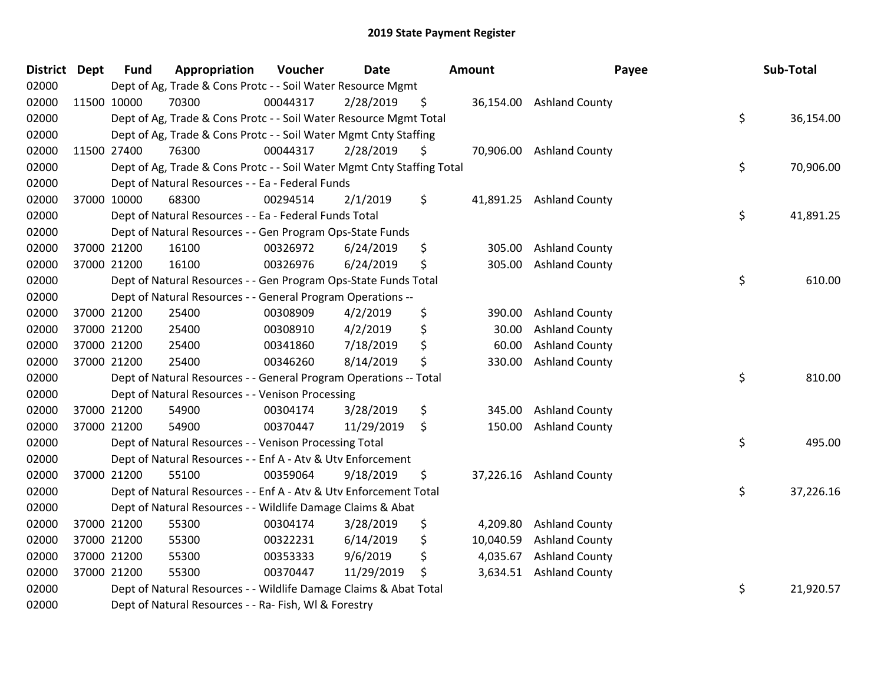| District Dept |             | <b>Fund</b> | Appropriation                                                          | Voucher  | <b>Date</b> | <b>Amount</b>   | Payee                    | Sub-Total       |
|---------------|-------------|-------------|------------------------------------------------------------------------|----------|-------------|-----------------|--------------------------|-----------------|
| 02000         |             |             | Dept of Ag, Trade & Cons Protc - - Soil Water Resource Mgmt            |          |             |                 |                          |                 |
| 02000         |             | 11500 10000 | 70300                                                                  | 00044317 | 2/28/2019   | \$              | 36,154.00 Ashland County |                 |
| 02000         |             |             | Dept of Ag, Trade & Cons Protc - - Soil Water Resource Mgmt Total      |          |             |                 |                          | \$<br>36,154.00 |
| 02000         |             |             | Dept of Ag, Trade & Cons Protc - - Soil Water Mgmt Cnty Staffing       |          |             |                 |                          |                 |
| 02000         |             | 11500 27400 | 76300                                                                  | 00044317 | 2/28/2019   | \$              | 70,906.00 Ashland County |                 |
| 02000         |             |             | Dept of Ag, Trade & Cons Protc - - Soil Water Mgmt Cnty Staffing Total |          |             |                 |                          | \$<br>70,906.00 |
| 02000         |             |             | Dept of Natural Resources - - Ea - Federal Funds                       |          |             |                 |                          |                 |
| 02000         |             | 37000 10000 | 68300                                                                  | 00294514 | 2/1/2019    | \$<br>41,891.25 | <b>Ashland County</b>    |                 |
| 02000         |             |             | Dept of Natural Resources - - Ea - Federal Funds Total                 |          |             |                 |                          | \$<br>41,891.25 |
| 02000         |             |             | Dept of Natural Resources - - Gen Program Ops-State Funds              |          |             |                 |                          |                 |
| 02000         |             | 37000 21200 | 16100                                                                  | 00326972 | 6/24/2019   | \$<br>305.00    | <b>Ashland County</b>    |                 |
| 02000         |             | 37000 21200 | 16100                                                                  | 00326976 | 6/24/2019   | \$<br>305.00    | <b>Ashland County</b>    |                 |
| 02000         |             |             | Dept of Natural Resources - - Gen Program Ops-State Funds Total        |          |             |                 |                          | \$<br>610.00    |
| 02000         |             |             | Dept of Natural Resources - - General Program Operations --            |          |             |                 |                          |                 |
| 02000         |             | 37000 21200 | 25400                                                                  | 00308909 | 4/2/2019    | \$<br>390.00    | <b>Ashland County</b>    |                 |
| 02000         |             | 37000 21200 | 25400                                                                  | 00308910 | 4/2/2019    | \$<br>30.00     | <b>Ashland County</b>    |                 |
| 02000         |             | 37000 21200 | 25400                                                                  | 00341860 | 7/18/2019   | \$<br>60.00     | <b>Ashland County</b>    |                 |
| 02000         | 37000 21200 |             | 25400                                                                  | 00346260 | 8/14/2019   | \$<br>330.00    | <b>Ashland County</b>    |                 |
| 02000         |             |             | Dept of Natural Resources - - General Program Operations -- Total      |          |             |                 |                          | \$<br>810.00    |
| 02000         |             |             | Dept of Natural Resources - - Venison Processing                       |          |             |                 |                          |                 |
| 02000         |             | 37000 21200 | 54900                                                                  | 00304174 | 3/28/2019   | \$<br>345.00    | <b>Ashland County</b>    |                 |
| 02000         |             | 37000 21200 | 54900                                                                  | 00370447 | 11/29/2019  | \$<br>150.00    | <b>Ashland County</b>    |                 |
| 02000         |             |             | Dept of Natural Resources - - Venison Processing Total                 |          |             |                 |                          | \$<br>495.00    |
| 02000         |             |             | Dept of Natural Resources - - Enf A - Atv & Utv Enforcement            |          |             |                 |                          |                 |
| 02000         |             | 37000 21200 | 55100                                                                  | 00359064 | 9/18/2019   | \$<br>37,226.16 | <b>Ashland County</b>    |                 |
| 02000         |             |             | Dept of Natural Resources - - Enf A - Atv & Utv Enforcement Total      |          |             |                 |                          | \$<br>37,226.16 |
| 02000         |             |             | Dept of Natural Resources - - Wildlife Damage Claims & Abat            |          |             |                 |                          |                 |
| 02000         |             | 37000 21200 | 55300                                                                  | 00304174 | 3/28/2019   | \$<br>4,209.80  | <b>Ashland County</b>    |                 |
| 02000         |             | 37000 21200 | 55300                                                                  | 00322231 | 6/14/2019   | \$<br>10,040.59 | <b>Ashland County</b>    |                 |
| 02000         |             | 37000 21200 | 55300                                                                  | 00353333 | 9/6/2019    | \$<br>4,035.67  | <b>Ashland County</b>    |                 |
| 02000         |             | 37000 21200 | 55300                                                                  | 00370447 | 11/29/2019  | \$<br>3,634.51  | <b>Ashland County</b>    |                 |
| 02000         |             |             | Dept of Natural Resources - - Wildlife Damage Claims & Abat Total      |          |             |                 |                          | \$<br>21,920.57 |
| 02000         |             |             | Dept of Natural Resources - - Ra- Fish, WI & Forestry                  |          |             |                 |                          |                 |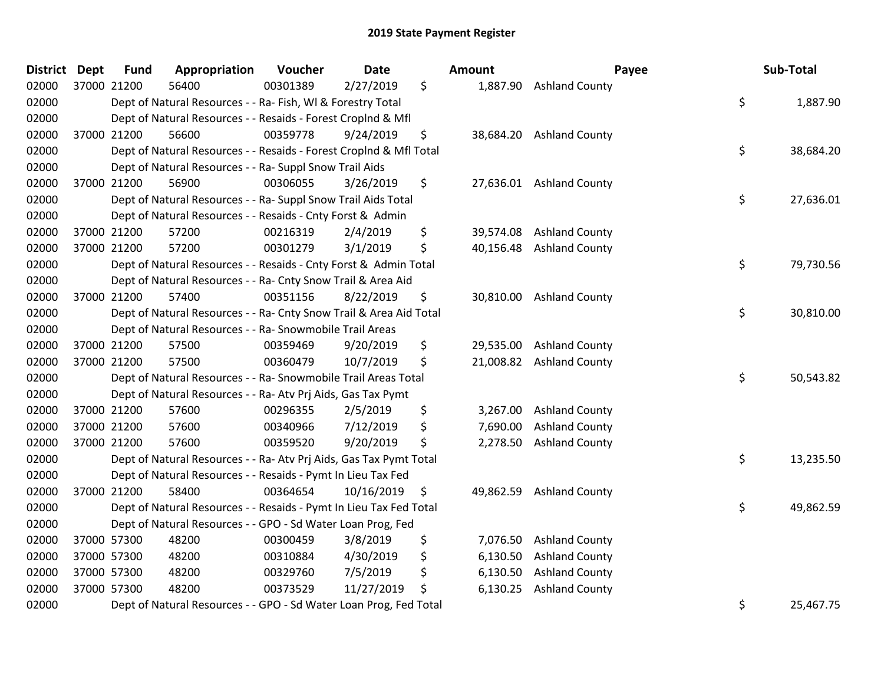| <b>District Dept</b> |             | <b>Fund</b> | Appropriation                                                      | Voucher  | <b>Date</b> | <b>Amount</b>   |                          | Payee | Sub-Total |
|----------------------|-------------|-------------|--------------------------------------------------------------------|----------|-------------|-----------------|--------------------------|-------|-----------|
| 02000                | 37000 21200 |             | 56400                                                              | 00301389 | 2/27/2019   | \$              | 1,887.90 Ashland County  |       |           |
| 02000                |             |             | Dept of Natural Resources - - Ra- Fish, WI & Forestry Total        |          |             |                 |                          | \$    | 1,887.90  |
| 02000                |             |             | Dept of Natural Resources - - Resaids - Forest Croplnd & Mfl       |          |             |                 |                          |       |           |
| 02000                |             | 37000 21200 | 56600                                                              | 00359778 | 9/24/2019   | \$              | 38,684.20 Ashland County |       |           |
| 02000                |             |             | Dept of Natural Resources - - Resaids - Forest CropInd & Mfl Total |          |             |                 |                          | \$    | 38,684.20 |
| 02000                |             |             | Dept of Natural Resources - - Ra- Suppl Snow Trail Aids            |          |             |                 |                          |       |           |
| 02000                |             | 37000 21200 | 56900                                                              | 00306055 | 3/26/2019   | \$              | 27,636.01 Ashland County |       |           |
| 02000                |             |             | Dept of Natural Resources - - Ra- Suppl Snow Trail Aids Total      |          |             |                 |                          | \$    | 27,636.01 |
| 02000                |             |             | Dept of Natural Resources - - Resaids - Cnty Forst & Admin         |          |             |                 |                          |       |           |
| 02000                |             | 37000 21200 | 57200                                                              | 00216319 | 2/4/2019    | \$<br>39,574.08 | <b>Ashland County</b>    |       |           |
| 02000                | 37000 21200 |             | 57200                                                              | 00301279 | 3/1/2019    | \$              | 40,156.48 Ashland County |       |           |
| 02000                |             |             | Dept of Natural Resources - - Resaids - Cnty Forst & Admin Total   |          |             |                 |                          | \$    | 79,730.56 |
| 02000                |             |             | Dept of Natural Resources - - Ra- Cnty Snow Trail & Area Aid       |          |             |                 |                          |       |           |
| 02000                |             | 37000 21200 | 57400                                                              | 00351156 | 8/22/2019   | \$              | 30,810.00 Ashland County |       |           |
| 02000                |             |             | Dept of Natural Resources - - Ra- Cnty Snow Trail & Area Aid Total |          |             |                 |                          | \$    | 30,810.00 |
| 02000                |             |             | Dept of Natural Resources - - Ra- Snowmobile Trail Areas           |          |             |                 |                          |       |           |
| 02000                |             | 37000 21200 | 57500                                                              | 00359469 | 9/20/2019   | \$<br>29,535.00 | <b>Ashland County</b>    |       |           |
| 02000                |             | 37000 21200 | 57500                                                              | 00360479 | 10/7/2019   | \$              | 21,008.82 Ashland County |       |           |
| 02000                |             |             | Dept of Natural Resources - - Ra- Snowmobile Trail Areas Total     |          |             |                 |                          | \$    | 50,543.82 |
| 02000                |             |             | Dept of Natural Resources - - Ra- Atv Prj Aids, Gas Tax Pymt       |          |             |                 |                          |       |           |
| 02000                |             | 37000 21200 | 57600                                                              | 00296355 | 2/5/2019    | \$<br>3,267.00  | <b>Ashland County</b>    |       |           |
| 02000                |             | 37000 21200 | 57600                                                              | 00340966 | 7/12/2019   | \$<br>7,690.00  | <b>Ashland County</b>    |       |           |
| 02000                | 37000 21200 |             | 57600                                                              | 00359520 | 9/20/2019   | \$<br>2,278.50  | <b>Ashland County</b>    |       |           |
| 02000                |             |             | Dept of Natural Resources - - Ra- Atv Prj Aids, Gas Tax Pymt Total |          |             |                 |                          | \$    | 13,235.50 |
| 02000                |             |             | Dept of Natural Resources - - Resaids - Pymt In Lieu Tax Fed       |          |             |                 |                          |       |           |
| 02000                |             | 37000 21200 | 58400                                                              | 00364654 | 10/16/2019  | \$<br>49,862.59 | <b>Ashland County</b>    |       |           |
| 02000                |             |             | Dept of Natural Resources - - Resaids - Pymt In Lieu Tax Fed Total |          |             |                 |                          | \$    | 49,862.59 |
| 02000                |             |             | Dept of Natural Resources - - GPO - Sd Water Loan Prog, Fed        |          |             |                 |                          |       |           |
| 02000                |             | 37000 57300 | 48200                                                              | 00300459 | 3/8/2019    | \$<br>7,076.50  | <b>Ashland County</b>    |       |           |
| 02000                | 37000 57300 |             | 48200                                                              | 00310884 | 4/30/2019   | \$<br>6,130.50  | <b>Ashland County</b>    |       |           |
| 02000                | 37000 57300 |             | 48200                                                              | 00329760 | 7/5/2019    | \$<br>6,130.50  | <b>Ashland County</b>    |       |           |
| 02000                | 37000 57300 |             | 48200                                                              | 00373529 | 11/27/2019  | \$<br>6,130.25  | <b>Ashland County</b>    |       |           |
| 02000                |             |             | Dept of Natural Resources - - GPO - Sd Water Loan Prog, Fed Total  |          |             |                 |                          | \$    | 25,467.75 |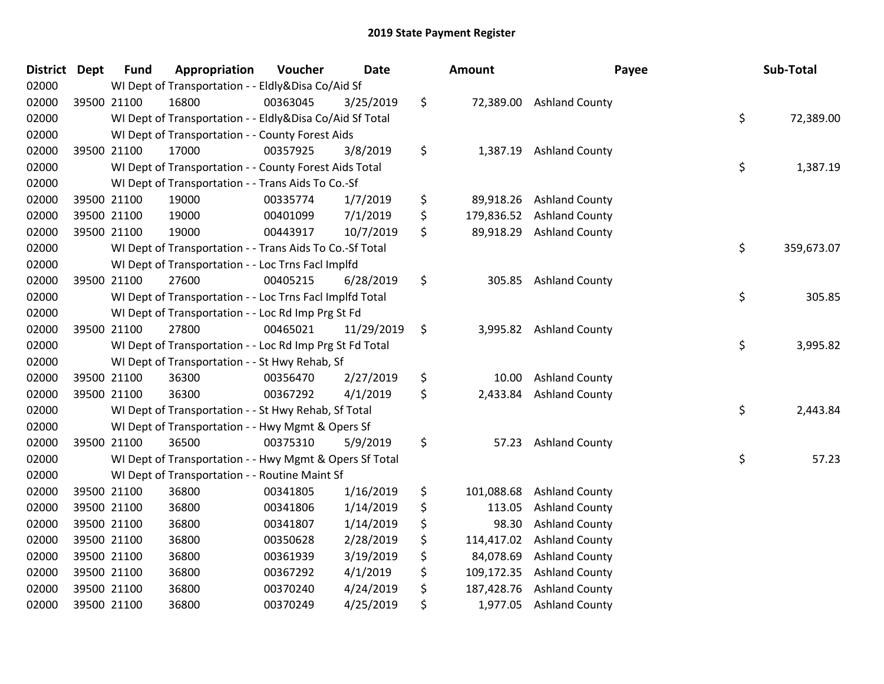| District Dept |             | <b>Fund</b> | Appropriation                                            | Voucher  | <b>Date</b> | <b>Amount</b>    | Payee                    | Sub-Total        |
|---------------|-------------|-------------|----------------------------------------------------------|----------|-------------|------------------|--------------------------|------------------|
| 02000         |             |             | WI Dept of Transportation - - Eldly&Disa Co/Aid Sf       |          |             |                  |                          |                  |
| 02000         | 39500 21100 |             | 16800                                                    | 00363045 | 3/25/2019   | \$               | 72,389.00 Ashland County |                  |
| 02000         |             |             | WI Dept of Transportation - - Eldly&Disa Co/Aid Sf Total |          |             |                  |                          | \$<br>72,389.00  |
| 02000         |             |             | WI Dept of Transportation - - County Forest Aids         |          |             |                  |                          |                  |
| 02000         | 39500 21100 |             | 17000                                                    | 00357925 | 3/8/2019    | \$<br>1,387.19   | <b>Ashland County</b>    |                  |
| 02000         |             |             | WI Dept of Transportation - - County Forest Aids Total   |          |             |                  |                          | \$<br>1,387.19   |
| 02000         |             |             | WI Dept of Transportation - - Trans Aids To Co.-Sf       |          |             |                  |                          |                  |
| 02000         | 39500 21100 |             | 19000                                                    | 00335774 | 1/7/2019    | \$<br>89,918.26  | <b>Ashland County</b>    |                  |
| 02000         | 39500 21100 |             | 19000                                                    | 00401099 | 7/1/2019    | \$<br>179,836.52 | <b>Ashland County</b>    |                  |
| 02000         |             | 39500 21100 | 19000                                                    | 00443917 | 10/7/2019   | \$<br>89,918.29  | <b>Ashland County</b>    |                  |
| 02000         |             |             | WI Dept of Transportation - - Trans Aids To Co.-Sf Total |          |             |                  |                          | \$<br>359,673.07 |
| 02000         |             |             | WI Dept of Transportation - - Loc Trns Facl Implfd       |          |             |                  |                          |                  |
| 02000         | 39500 21100 |             | 27600                                                    | 00405215 | 6/28/2019   | \$<br>305.85     | <b>Ashland County</b>    |                  |
| 02000         |             |             | WI Dept of Transportation - - Loc Trns Facl Implfd Total |          |             |                  |                          | \$<br>305.85     |
| 02000         |             |             | WI Dept of Transportation - - Loc Rd Imp Prg St Fd       |          |             |                  |                          |                  |
| 02000         | 39500 21100 |             | 27800                                                    | 00465021 | 11/29/2019  | \$<br>3,995.82   | <b>Ashland County</b>    |                  |
| 02000         |             |             | WI Dept of Transportation - - Loc Rd Imp Prg St Fd Total |          |             |                  |                          | \$<br>3,995.82   |
| 02000         |             |             | WI Dept of Transportation - - St Hwy Rehab, Sf           |          |             |                  |                          |                  |
| 02000         | 39500 21100 |             | 36300                                                    | 00356470 | 2/27/2019   | \$<br>10.00      | <b>Ashland County</b>    |                  |
| 02000         | 39500 21100 |             | 36300                                                    | 00367292 | 4/1/2019    | \$<br>2,433.84   | <b>Ashland County</b>    |                  |
| 02000         |             |             | WI Dept of Transportation - - St Hwy Rehab, Sf Total     |          |             |                  |                          | \$<br>2,443.84   |
| 02000         |             |             | WI Dept of Transportation - - Hwy Mgmt & Opers Sf        |          |             |                  |                          |                  |
| 02000         | 39500 21100 |             | 36500                                                    | 00375310 | 5/9/2019    | \$<br>57.23      | <b>Ashland County</b>    |                  |
| 02000         |             |             | WI Dept of Transportation - - Hwy Mgmt & Opers Sf Total  |          |             |                  |                          | \$<br>57.23      |
| 02000         |             |             | WI Dept of Transportation - - Routine Maint Sf           |          |             |                  |                          |                  |
| 02000         | 39500 21100 |             | 36800                                                    | 00341805 | 1/16/2019   | \$<br>101,088.68 | <b>Ashland County</b>    |                  |
| 02000         | 39500 21100 |             | 36800                                                    | 00341806 | 1/14/2019   | \$<br>113.05     | <b>Ashland County</b>    |                  |
| 02000         | 39500 21100 |             | 36800                                                    | 00341807 | 1/14/2019   | \$<br>98.30      | <b>Ashland County</b>    |                  |
| 02000         | 39500 21100 |             | 36800                                                    | 00350628 | 2/28/2019   | \$<br>114,417.02 | <b>Ashland County</b>    |                  |
| 02000         | 39500 21100 |             | 36800                                                    | 00361939 | 3/19/2019   | \$<br>84,078.69  | <b>Ashland County</b>    |                  |
| 02000         | 39500 21100 |             | 36800                                                    | 00367292 | 4/1/2019    | \$<br>109,172.35 | <b>Ashland County</b>    |                  |
| 02000         |             | 39500 21100 | 36800                                                    | 00370240 | 4/24/2019   | \$<br>187,428.76 | <b>Ashland County</b>    |                  |
| 02000         | 39500 21100 |             | 36800                                                    | 00370249 | 4/25/2019   | \$<br>1,977.05   | <b>Ashland County</b>    |                  |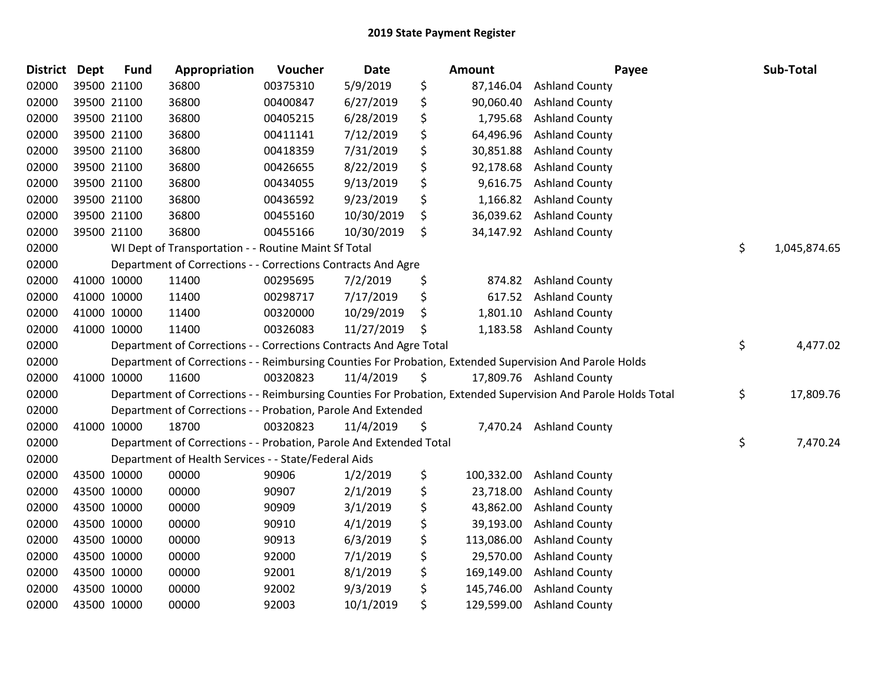| <b>District Dept</b> |             | <b>Fund</b> | Appropriation                                                      | Voucher  | <b>Date</b> | Amount           | Payee                                                                                                         | Sub-Total          |
|----------------------|-------------|-------------|--------------------------------------------------------------------|----------|-------------|------------------|---------------------------------------------------------------------------------------------------------------|--------------------|
| 02000                |             | 39500 21100 | 36800                                                              | 00375310 | 5/9/2019    | \$<br>87,146.04  | <b>Ashland County</b>                                                                                         |                    |
| 02000                | 39500 21100 |             | 36800                                                              | 00400847 | 6/27/2019   | \$<br>90,060.40  | <b>Ashland County</b>                                                                                         |                    |
| 02000                | 39500 21100 |             | 36800                                                              | 00405215 | 6/28/2019   | \$<br>1,795.68   | <b>Ashland County</b>                                                                                         |                    |
| 02000                | 39500 21100 |             | 36800                                                              | 00411141 | 7/12/2019   | \$<br>64,496.96  | <b>Ashland County</b>                                                                                         |                    |
| 02000                | 39500 21100 |             | 36800                                                              | 00418359 | 7/31/2019   | \$<br>30,851.88  | <b>Ashland County</b>                                                                                         |                    |
| 02000                | 39500 21100 |             | 36800                                                              | 00426655 | 8/22/2019   | \$<br>92,178.68  | <b>Ashland County</b>                                                                                         |                    |
| 02000                | 39500 21100 |             | 36800                                                              | 00434055 | 9/13/2019   | \$<br>9,616.75   | <b>Ashland County</b>                                                                                         |                    |
| 02000                | 39500 21100 |             | 36800                                                              | 00436592 | 9/23/2019   | \$<br>1,166.82   | <b>Ashland County</b>                                                                                         |                    |
| 02000                | 39500 21100 |             | 36800                                                              | 00455160 | 10/30/2019  | \$<br>36,039.62  | <b>Ashland County</b>                                                                                         |                    |
| 02000                | 39500 21100 |             | 36800                                                              | 00455166 | 10/30/2019  | \$<br>34,147.92  | <b>Ashland County</b>                                                                                         |                    |
| 02000                |             |             | WI Dept of Transportation - - Routine Maint Sf Total               |          |             |                  |                                                                                                               | \$<br>1,045,874.65 |
| 02000                |             |             | Department of Corrections - - Corrections Contracts And Agre       |          |             |                  |                                                                                                               |                    |
| 02000                |             | 41000 10000 | 11400                                                              | 00295695 | 7/2/2019    | \$<br>874.82     | <b>Ashland County</b>                                                                                         |                    |
| 02000                | 41000 10000 |             | 11400                                                              | 00298717 | 7/17/2019   | \$<br>617.52     | <b>Ashland County</b>                                                                                         |                    |
| 02000                | 41000 10000 |             | 11400                                                              | 00320000 | 10/29/2019  | \$<br>1,801.10   | <b>Ashland County</b>                                                                                         |                    |
| 02000                | 41000 10000 |             | 11400                                                              | 00326083 | 11/27/2019  | \$<br>1,183.58   | <b>Ashland County</b>                                                                                         |                    |
| 02000                |             |             | Department of Corrections - - Corrections Contracts And Agre Total |          |             |                  |                                                                                                               | \$<br>4,477.02     |
| 02000                |             |             |                                                                    |          |             |                  | Department of Corrections - - Reimbursing Counties For Probation, Extended Supervision And Parole Holds       |                    |
| 02000                | 41000 10000 |             | 11600                                                              | 00320823 | 11/4/2019   | \$               | 17,809.76 Ashland County                                                                                      |                    |
| 02000                |             |             |                                                                    |          |             |                  | Department of Corrections - - Reimbursing Counties For Probation, Extended Supervision And Parole Holds Total | \$<br>17,809.76    |
| 02000                |             |             | Department of Corrections - - Probation, Parole And Extended       |          |             |                  |                                                                                                               |                    |
| 02000                |             | 41000 10000 | 18700                                                              | 00320823 | 11/4/2019   | \$               | 7,470.24 Ashland County                                                                                       |                    |
| 02000                |             |             | Department of Corrections - - Probation, Parole And Extended Total |          |             |                  |                                                                                                               | \$<br>7,470.24     |
| 02000                |             |             | Department of Health Services - - State/Federal Aids               |          |             |                  |                                                                                                               |                    |
| 02000                | 43500 10000 |             | 00000                                                              | 90906    | 1/2/2019    | \$<br>100,332.00 | <b>Ashland County</b>                                                                                         |                    |
| 02000                | 43500 10000 |             | 00000                                                              | 90907    | 2/1/2019    | \$<br>23,718.00  | <b>Ashland County</b>                                                                                         |                    |
| 02000                | 43500 10000 |             | 00000                                                              | 90909    | 3/1/2019    | \$<br>43,862.00  | <b>Ashland County</b>                                                                                         |                    |
| 02000                | 43500 10000 |             | 00000                                                              | 90910    | 4/1/2019    | \$<br>39,193.00  | <b>Ashland County</b>                                                                                         |                    |
| 02000                | 43500 10000 |             | 00000                                                              | 90913    | 6/3/2019    | \$<br>113,086.00 | <b>Ashland County</b>                                                                                         |                    |
| 02000                | 43500 10000 |             | 00000                                                              | 92000    | 7/1/2019    | \$<br>29,570.00  | <b>Ashland County</b>                                                                                         |                    |
| 02000                | 43500 10000 |             | 00000                                                              | 92001    | 8/1/2019    | \$<br>169,149.00 | <b>Ashland County</b>                                                                                         |                    |
| 02000                | 43500 10000 |             | 00000                                                              | 92002    | 9/3/2019    | \$<br>145,746.00 | <b>Ashland County</b>                                                                                         |                    |
| 02000                | 43500 10000 |             | 00000                                                              | 92003    | 10/1/2019   | \$<br>129,599.00 | <b>Ashland County</b>                                                                                         |                    |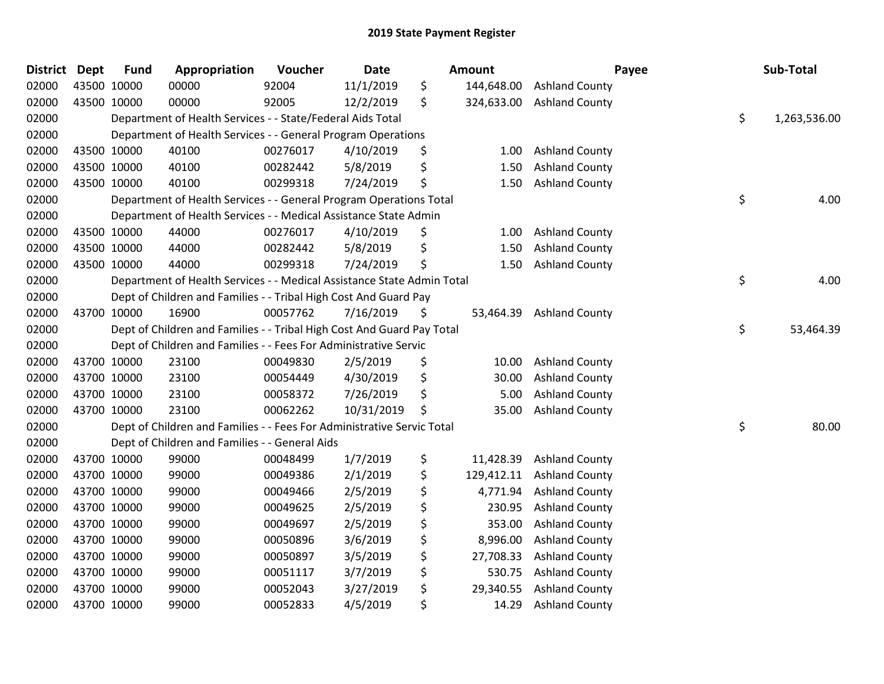| <b>District</b> | <b>Dept</b> | <b>Fund</b> | Appropriation                                                          | Voucher  | Date       | <b>Amount</b>    | Payee                 | Sub-Total          |
|-----------------|-------------|-------------|------------------------------------------------------------------------|----------|------------|------------------|-----------------------|--------------------|
| 02000           |             | 43500 10000 | 00000                                                                  | 92004    | 11/1/2019  | \$<br>144,648.00 | <b>Ashland County</b> |                    |
| 02000           |             | 43500 10000 | 00000                                                                  | 92005    | 12/2/2019  | \$<br>324,633.00 | <b>Ashland County</b> |                    |
| 02000           |             |             | Department of Health Services - - State/Federal Aids Total             |          |            |                  |                       | \$<br>1,263,536.00 |
| 02000           |             |             | Department of Health Services - - General Program Operations           |          |            |                  |                       |                    |
| 02000           |             | 43500 10000 | 40100                                                                  | 00276017 | 4/10/2019  | \$<br>1.00       | <b>Ashland County</b> |                    |
| 02000           |             | 43500 10000 | 40100                                                                  | 00282442 | 5/8/2019   | \$<br>1.50       | <b>Ashland County</b> |                    |
| 02000           |             | 43500 10000 | 40100                                                                  | 00299318 | 7/24/2019  | \$<br>1.50       | <b>Ashland County</b> |                    |
| 02000           |             |             | Department of Health Services - - General Program Operations Total     |          |            |                  |                       | \$<br>4.00         |
| 02000           |             |             | Department of Health Services - - Medical Assistance State Admin       |          |            |                  |                       |                    |
| 02000           |             | 43500 10000 | 44000                                                                  | 00276017 | 4/10/2019  | \$<br>1.00       | <b>Ashland County</b> |                    |
| 02000           |             | 43500 10000 | 44000                                                                  | 00282442 | 5/8/2019   | \$<br>1.50       | <b>Ashland County</b> |                    |
| 02000           |             | 43500 10000 | 44000                                                                  | 00299318 | 7/24/2019  | \$<br>1.50       | <b>Ashland County</b> |                    |
| 02000           |             |             | Department of Health Services - - Medical Assistance State Admin Total |          |            |                  |                       | \$<br>4.00         |
| 02000           |             |             | Dept of Children and Families - - Tribal High Cost And Guard Pay       |          |            |                  |                       |                    |
| 02000           |             | 43700 10000 | 16900                                                                  | 00057762 | 7/16/2019  | \$<br>53,464.39  | <b>Ashland County</b> |                    |
| 02000           |             |             | Dept of Children and Families - - Tribal High Cost And Guard Pay Total |          |            |                  |                       | \$<br>53,464.39    |
| 02000           |             |             | Dept of Children and Families - - Fees For Administrative Servic       |          |            |                  |                       |                    |
| 02000           |             | 43700 10000 | 23100                                                                  | 00049830 | 2/5/2019   | \$<br>10.00      | <b>Ashland County</b> |                    |
| 02000           |             | 43700 10000 | 23100                                                                  | 00054449 | 4/30/2019  | \$<br>30.00      | <b>Ashland County</b> |                    |
| 02000           |             | 43700 10000 | 23100                                                                  | 00058372 | 7/26/2019  | \$<br>5.00       | <b>Ashland County</b> |                    |
| 02000           |             | 43700 10000 | 23100                                                                  | 00062262 | 10/31/2019 | \$<br>35.00      | <b>Ashland County</b> |                    |
| 02000           |             |             | Dept of Children and Families - - Fees For Administrative Servic Total |          |            |                  |                       | \$<br>80.00        |
| 02000           |             |             | Dept of Children and Families - - General Aids                         |          |            |                  |                       |                    |
| 02000           |             | 43700 10000 | 99000                                                                  | 00048499 | 1/7/2019   | \$<br>11,428.39  | <b>Ashland County</b> |                    |
| 02000           |             | 43700 10000 | 99000                                                                  | 00049386 | 2/1/2019   | \$<br>129,412.11 | <b>Ashland County</b> |                    |
| 02000           |             | 43700 10000 | 99000                                                                  | 00049466 | 2/5/2019   | \$<br>4,771.94   | <b>Ashland County</b> |                    |
| 02000           | 43700 10000 |             | 99000                                                                  | 00049625 | 2/5/2019   | \$<br>230.95     | <b>Ashland County</b> |                    |
| 02000           |             | 43700 10000 | 99000                                                                  | 00049697 | 2/5/2019   | \$<br>353.00     | <b>Ashland County</b> |                    |
| 02000           |             | 43700 10000 | 99000                                                                  | 00050896 | 3/6/2019   | \$<br>8,996.00   | <b>Ashland County</b> |                    |
| 02000           |             | 43700 10000 | 99000                                                                  | 00050897 | 3/5/2019   | \$<br>27,708.33  | <b>Ashland County</b> |                    |
| 02000           |             | 43700 10000 | 99000                                                                  | 00051117 | 3/7/2019   | \$<br>530.75     | <b>Ashland County</b> |                    |
| 02000           |             | 43700 10000 | 99000                                                                  | 00052043 | 3/27/2019  | \$<br>29,340.55  | <b>Ashland County</b> |                    |
| 02000           |             | 43700 10000 | 99000                                                                  | 00052833 | 4/5/2019   | \$<br>14.29      | <b>Ashland County</b> |                    |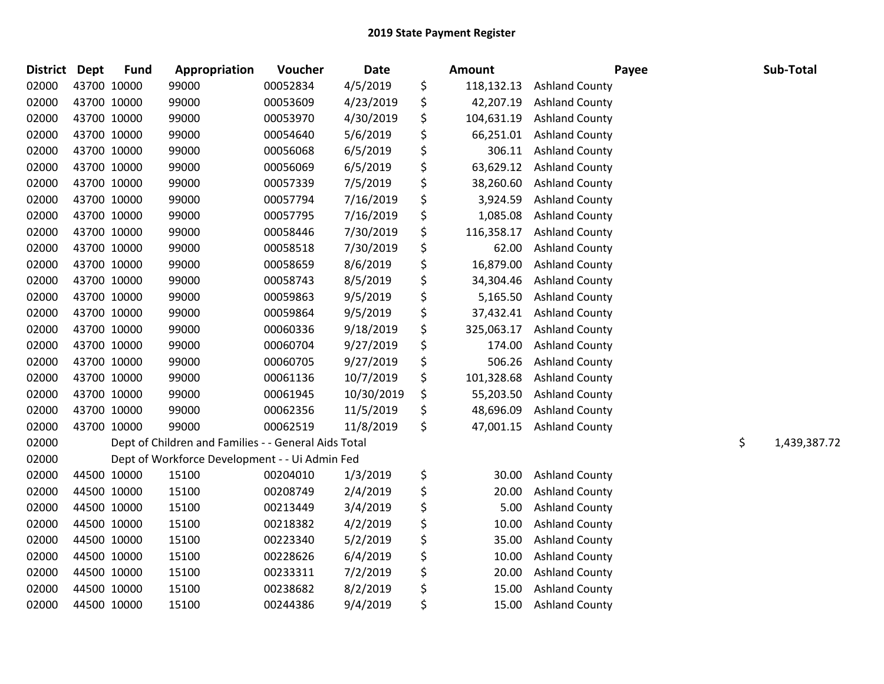| <b>District</b> | <b>Dept</b> | <b>Fund</b> | Appropriation                                        | Voucher  | <b>Date</b> | <b>Amount</b>    | Payee                 | Sub-Total          |
|-----------------|-------------|-------------|------------------------------------------------------|----------|-------------|------------------|-----------------------|--------------------|
| 02000           | 43700 10000 |             | 99000                                                | 00052834 | 4/5/2019    | \$<br>118,132.13 | <b>Ashland County</b> |                    |
| 02000           | 43700 10000 |             | 99000                                                | 00053609 | 4/23/2019   | \$<br>42,207.19  | <b>Ashland County</b> |                    |
| 02000           | 43700 10000 |             | 99000                                                | 00053970 | 4/30/2019   | \$<br>104,631.19 | <b>Ashland County</b> |                    |
| 02000           | 43700 10000 |             | 99000                                                | 00054640 | 5/6/2019    | \$<br>66,251.01  | <b>Ashland County</b> |                    |
| 02000           | 43700 10000 |             | 99000                                                | 00056068 | 6/5/2019    | \$<br>306.11     | <b>Ashland County</b> |                    |
| 02000           | 43700 10000 |             | 99000                                                | 00056069 | 6/5/2019    | \$<br>63,629.12  | <b>Ashland County</b> |                    |
| 02000           | 43700 10000 |             | 99000                                                | 00057339 | 7/5/2019    | \$<br>38,260.60  | <b>Ashland County</b> |                    |
| 02000           | 43700 10000 |             | 99000                                                | 00057794 | 7/16/2019   | \$<br>3,924.59   | <b>Ashland County</b> |                    |
| 02000           | 43700 10000 |             | 99000                                                | 00057795 | 7/16/2019   | \$<br>1,085.08   | <b>Ashland County</b> |                    |
| 02000           | 43700 10000 |             | 99000                                                | 00058446 | 7/30/2019   | \$<br>116,358.17 | <b>Ashland County</b> |                    |
| 02000           | 43700 10000 |             | 99000                                                | 00058518 | 7/30/2019   | \$<br>62.00      | <b>Ashland County</b> |                    |
| 02000           | 43700 10000 |             | 99000                                                | 00058659 | 8/6/2019    | \$<br>16,879.00  | <b>Ashland County</b> |                    |
| 02000           | 43700 10000 |             | 99000                                                | 00058743 | 8/5/2019    | \$<br>34,304.46  | <b>Ashland County</b> |                    |
| 02000           | 43700 10000 |             | 99000                                                | 00059863 | 9/5/2019    | \$<br>5,165.50   | <b>Ashland County</b> |                    |
| 02000           | 43700 10000 |             | 99000                                                | 00059864 | 9/5/2019    | \$<br>37,432.41  | <b>Ashland County</b> |                    |
| 02000           | 43700 10000 |             | 99000                                                | 00060336 | 9/18/2019   | \$<br>325,063.17 | <b>Ashland County</b> |                    |
| 02000           | 43700 10000 |             | 99000                                                | 00060704 | 9/27/2019   | \$<br>174.00     | <b>Ashland County</b> |                    |
| 02000           | 43700 10000 |             | 99000                                                | 00060705 | 9/27/2019   | \$<br>506.26     | <b>Ashland County</b> |                    |
| 02000           | 43700 10000 |             | 99000                                                | 00061136 | 10/7/2019   | \$<br>101,328.68 | <b>Ashland County</b> |                    |
| 02000           | 43700 10000 |             | 99000                                                | 00061945 | 10/30/2019  | \$<br>55,203.50  | <b>Ashland County</b> |                    |
| 02000           | 43700 10000 |             | 99000                                                | 00062356 | 11/5/2019   | \$<br>48,696.09  | <b>Ashland County</b> |                    |
| 02000           | 43700 10000 |             | 99000                                                | 00062519 | 11/8/2019   | \$<br>47,001.15  | <b>Ashland County</b> |                    |
| 02000           |             |             | Dept of Children and Families - - General Aids Total |          |             |                  |                       | \$<br>1,439,387.72 |
| 02000           |             |             | Dept of Workforce Development - - Ui Admin Fed       |          |             |                  |                       |                    |
| 02000           |             | 44500 10000 | 15100                                                | 00204010 | 1/3/2019    | \$<br>30.00      | <b>Ashland County</b> |                    |
| 02000           | 44500 10000 |             | 15100                                                | 00208749 | 2/4/2019    | \$<br>20.00      | <b>Ashland County</b> |                    |
| 02000           | 44500 10000 |             | 15100                                                | 00213449 | 3/4/2019    | \$<br>5.00       | <b>Ashland County</b> |                    |
| 02000           | 44500 10000 |             | 15100                                                | 00218382 | 4/2/2019    | \$<br>10.00      | <b>Ashland County</b> |                    |
| 02000           | 44500 10000 |             | 15100                                                | 00223340 | 5/2/2019    | \$<br>35.00      | <b>Ashland County</b> |                    |
| 02000           | 44500 10000 |             | 15100                                                | 00228626 | 6/4/2019    | \$<br>10.00      | <b>Ashland County</b> |                    |
| 02000           | 44500 10000 |             | 15100                                                | 00233311 | 7/2/2019    | \$<br>20.00      | <b>Ashland County</b> |                    |
| 02000           | 44500 10000 |             | 15100                                                | 00238682 | 8/2/2019    | \$<br>15.00      | <b>Ashland County</b> |                    |
| 02000           | 44500 10000 |             | 15100                                                | 00244386 | 9/4/2019    | \$<br>15.00      | <b>Ashland County</b> |                    |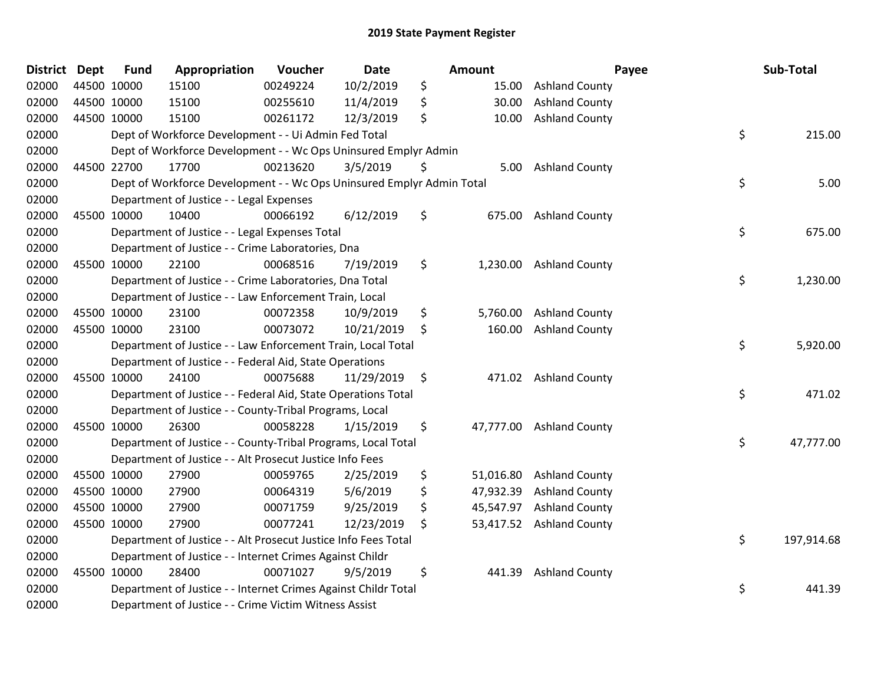| <b>District</b> | <b>Dept</b> | <b>Fund</b> | Appropriation                                                         | Voucher  | <b>Date</b> |     | Amount    | Payee                    | Sub-Total        |
|-----------------|-------------|-------------|-----------------------------------------------------------------------|----------|-------------|-----|-----------|--------------------------|------------------|
| 02000           |             | 44500 10000 | 15100                                                                 | 00249224 | 10/2/2019   | \$  | 15.00     | <b>Ashland County</b>    |                  |
| 02000           |             | 44500 10000 | 15100                                                                 | 00255610 | 11/4/2019   | \$  | 30.00     | <b>Ashland County</b>    |                  |
| 02000           | 44500 10000 |             | 15100                                                                 | 00261172 | 12/3/2019   | \$  | 10.00     | <b>Ashland County</b>    |                  |
| 02000           |             |             | Dept of Workforce Development - - Ui Admin Fed Total                  |          |             |     |           |                          | \$<br>215.00     |
| 02000           |             |             | Dept of Workforce Development - - Wc Ops Uninsured Emplyr Admin       |          |             |     |           |                          |                  |
| 02000           |             | 44500 22700 | 17700                                                                 | 00213620 | 3/5/2019    | \$  | 5.00      | <b>Ashland County</b>    |                  |
| 02000           |             |             | Dept of Workforce Development - - Wc Ops Uninsured Emplyr Admin Total |          |             |     |           |                          | \$<br>5.00       |
| 02000           |             |             | Department of Justice - - Legal Expenses                              |          |             |     |           |                          |                  |
| 02000           |             | 45500 10000 | 10400                                                                 | 00066192 | 6/12/2019   | \$  | 675.00    | <b>Ashland County</b>    |                  |
| 02000           |             |             | Department of Justice - - Legal Expenses Total                        |          |             |     |           |                          | \$<br>675.00     |
| 02000           |             |             | Department of Justice - - Crime Laboratories, Dna                     |          |             |     |           |                          |                  |
| 02000           | 45500 10000 |             | 22100                                                                 | 00068516 | 7/19/2019   | \$  | 1,230.00  | <b>Ashland County</b>    |                  |
| 02000           |             |             | Department of Justice - - Crime Laboratories, Dna Total               |          |             |     |           |                          | \$<br>1,230.00   |
| 02000           |             |             | Department of Justice - - Law Enforcement Train, Local                |          |             |     |           |                          |                  |
| 02000           | 45500 10000 |             | 23100                                                                 | 00072358 | 10/9/2019   | \$  | 5,760.00  | <b>Ashland County</b>    |                  |
| 02000           |             | 45500 10000 | 23100                                                                 | 00073072 | 10/21/2019  | \$  | 160.00    | <b>Ashland County</b>    |                  |
| 02000           |             |             | Department of Justice - - Law Enforcement Train, Local Total          |          |             |     |           |                          | \$<br>5,920.00   |
| 02000           |             |             | Department of Justice - - Federal Aid, State Operations               |          |             |     |           |                          |                  |
| 02000           |             | 45500 10000 | 24100                                                                 | 00075688 | 11/29/2019  | -\$ | 471.02    | <b>Ashland County</b>    |                  |
| 02000           |             |             | Department of Justice - - Federal Aid, State Operations Total         |          |             |     |           |                          | \$<br>471.02     |
| 02000           |             |             | Department of Justice - - County-Tribal Programs, Local               |          |             |     |           |                          |                  |
| 02000           |             | 45500 10000 | 26300                                                                 | 00058228 | 1/15/2019   | \$  |           | 47,777.00 Ashland County |                  |
| 02000           |             |             | Department of Justice - - County-Tribal Programs, Local Total         |          |             |     |           |                          | \$<br>47,777.00  |
| 02000           |             |             | Department of Justice - - Alt Prosecut Justice Info Fees              |          |             |     |           |                          |                  |
| 02000           |             | 45500 10000 | 27900                                                                 | 00059765 | 2/25/2019   | \$  | 51,016.80 | <b>Ashland County</b>    |                  |
| 02000           |             | 45500 10000 | 27900                                                                 | 00064319 | 5/6/2019    | \$  | 47,932.39 | <b>Ashland County</b>    |                  |
| 02000           | 45500 10000 |             | 27900                                                                 | 00071759 | 9/25/2019   | \$  | 45,547.97 | <b>Ashland County</b>    |                  |
| 02000           |             | 45500 10000 | 27900                                                                 | 00077241 | 12/23/2019  | \$  |           | 53,417.52 Ashland County |                  |
| 02000           |             |             | Department of Justice - - Alt Prosecut Justice Info Fees Total        |          |             |     |           |                          | \$<br>197,914.68 |
| 02000           |             |             | Department of Justice - - Internet Crimes Against Childr              |          |             |     |           |                          |                  |
| 02000           |             | 45500 10000 | 28400                                                                 | 00071027 | 9/5/2019    | \$  | 441.39    | <b>Ashland County</b>    |                  |
| 02000           |             |             | Department of Justice - - Internet Crimes Against Childr Total        |          |             |     |           |                          | \$<br>441.39     |
| 02000           |             |             | Department of Justice - - Crime Victim Witness Assist                 |          |             |     |           |                          |                  |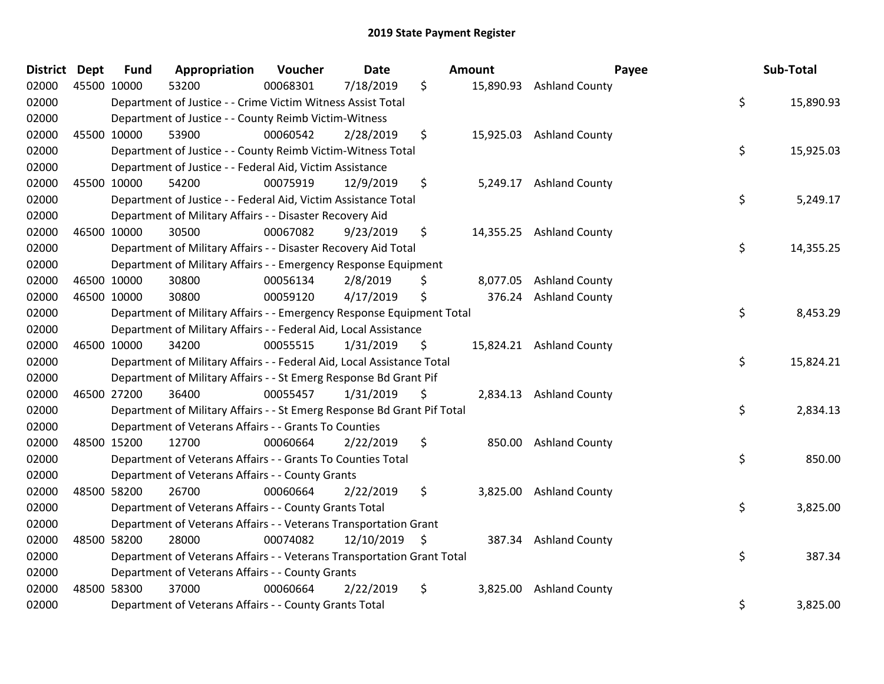| <b>District Dept</b> | <b>Fund</b> | Appropriation                                                           | Voucher  | <b>Date</b>   | Amount         | Payee                    | Sub-Total       |
|----------------------|-------------|-------------------------------------------------------------------------|----------|---------------|----------------|--------------------------|-----------------|
| 02000                | 45500 10000 | 53200                                                                   | 00068301 | 7/18/2019     | \$             | 15,890.93 Ashland County |                 |
| 02000                |             | Department of Justice - - Crime Victim Witness Assist Total             |          |               |                |                          | \$<br>15,890.93 |
| 02000                |             | Department of Justice - - County Reimb Victim-Witness                   |          |               |                |                          |                 |
| 02000                | 45500 10000 | 53900                                                                   | 00060542 | 2/28/2019     | \$             | 15,925.03 Ashland County |                 |
| 02000                |             | Department of Justice - - County Reimb Victim-Witness Total             |          |               |                |                          | \$<br>15,925.03 |
| 02000                |             | Department of Justice - - Federal Aid, Victim Assistance                |          |               |                |                          |                 |
| 02000                | 45500 10000 | 54200                                                                   | 00075919 | 12/9/2019     | \$             | 5,249.17 Ashland County  |                 |
| 02000                |             | Department of Justice - - Federal Aid, Victim Assistance Total          |          |               |                |                          | \$<br>5,249.17  |
| 02000                |             | Department of Military Affairs - - Disaster Recovery Aid                |          |               |                |                          |                 |
| 02000                | 46500 10000 | 30500                                                                   | 00067082 | 9/23/2019     | \$             | 14,355.25 Ashland County |                 |
| 02000                |             | Department of Military Affairs - - Disaster Recovery Aid Total          |          |               |                |                          | \$<br>14,355.25 |
| 02000                |             | Department of Military Affairs - - Emergency Response Equipment         |          |               |                |                          |                 |
| 02000                | 46500 10000 | 30800                                                                   | 00056134 | 2/8/2019      | \$<br>8,077.05 | <b>Ashland County</b>    |                 |
| 02000                | 46500 10000 | 30800                                                                   | 00059120 | 4/17/2019     | \$<br>376.24   | <b>Ashland County</b>    |                 |
| 02000                |             | Department of Military Affairs - - Emergency Response Equipment Total   |          |               |                |                          | \$<br>8,453.29  |
| 02000                |             | Department of Military Affairs - - Federal Aid, Local Assistance        |          |               |                |                          |                 |
| 02000                | 46500 10000 | 34200                                                                   | 00055515 | 1/31/2019     | \$             | 15,824.21 Ashland County |                 |
| 02000                |             | Department of Military Affairs - - Federal Aid, Local Assistance Total  |          |               |                |                          | \$<br>15,824.21 |
| 02000                |             | Department of Military Affairs - - St Emerg Response Bd Grant Pif       |          |               |                |                          |                 |
| 02000                | 46500 27200 | 36400                                                                   | 00055457 | 1/31/2019     | \$             | 2,834.13 Ashland County  |                 |
| 02000                |             | Department of Military Affairs - - St Emerg Response Bd Grant Pif Total |          |               |                |                          | \$<br>2,834.13  |
| 02000                |             | Department of Veterans Affairs - - Grants To Counties                   |          |               |                |                          |                 |
| 02000                | 48500 15200 | 12700                                                                   | 00060664 | 2/22/2019     | \$<br>850.00   | <b>Ashland County</b>    |                 |
| 02000                |             | Department of Veterans Affairs - - Grants To Counties Total             |          |               |                |                          | \$<br>850.00    |
| 02000                |             | Department of Veterans Affairs - - County Grants                        |          |               |                |                          |                 |
| 02000                | 48500 58200 | 26700                                                                   | 00060664 | 2/22/2019     | \$<br>3,825.00 | <b>Ashland County</b>    |                 |
| 02000                |             | Department of Veterans Affairs - - County Grants Total                  |          |               |                |                          | \$<br>3,825.00  |
| 02000                |             | Department of Veterans Affairs - - Veterans Transportation Grant        |          |               |                |                          |                 |
| 02000                | 48500 58200 | 28000                                                                   | 00074082 | 12/10/2019 \$ |                | 387.34 Ashland County    |                 |
| 02000                |             | Department of Veterans Affairs - - Veterans Transportation Grant Total  |          |               |                |                          | \$<br>387.34    |
| 02000                |             | Department of Veterans Affairs - - County Grants                        |          |               |                |                          |                 |
| 02000                | 48500 58300 | 37000                                                                   | 00060664 | 2/22/2019     | \$<br>3,825.00 | <b>Ashland County</b>    |                 |
| 02000                |             | Department of Veterans Affairs - - County Grants Total                  |          |               |                |                          | \$<br>3,825.00  |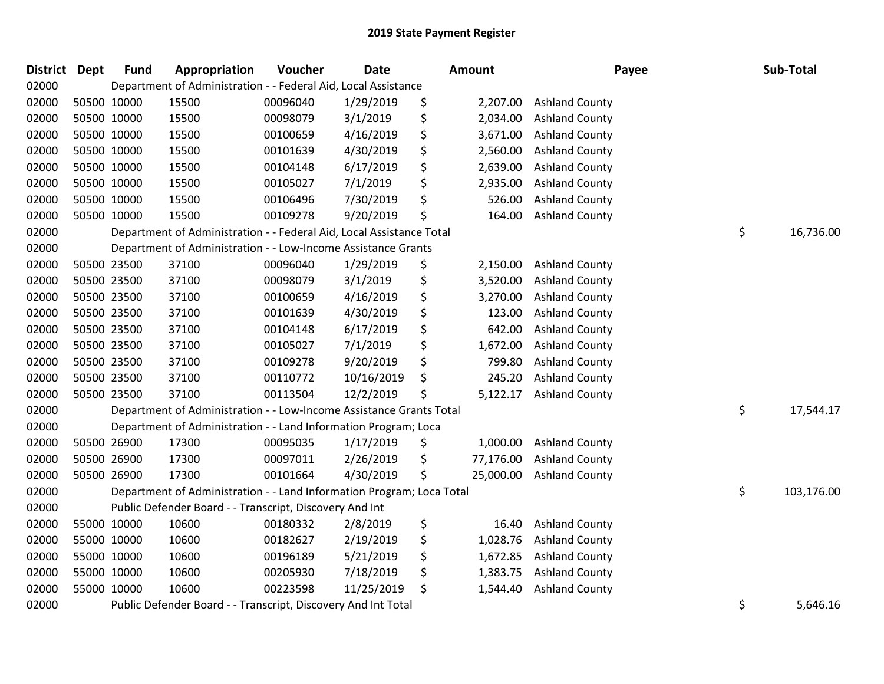| District Dept |             | <b>Fund</b> | Appropriation                                                         | Voucher  | <b>Date</b> | Amount          | Payee                 | Sub-Total        |
|---------------|-------------|-------------|-----------------------------------------------------------------------|----------|-------------|-----------------|-----------------------|------------------|
| 02000         |             |             | Department of Administration - - Federal Aid, Local Assistance        |          |             |                 |                       |                  |
| 02000         | 50500 10000 |             | 15500                                                                 | 00096040 | 1/29/2019   | \$<br>2,207.00  | <b>Ashland County</b> |                  |
| 02000         | 50500 10000 |             | 15500                                                                 | 00098079 | 3/1/2019    | \$<br>2,034.00  | <b>Ashland County</b> |                  |
| 02000         | 50500 10000 |             | 15500                                                                 | 00100659 | 4/16/2019   | \$<br>3,671.00  | <b>Ashland County</b> |                  |
| 02000         | 50500 10000 |             | 15500                                                                 | 00101639 | 4/30/2019   | \$<br>2,560.00  | <b>Ashland County</b> |                  |
| 02000         | 50500 10000 |             | 15500                                                                 | 00104148 | 6/17/2019   | \$<br>2,639.00  | <b>Ashland County</b> |                  |
| 02000         | 50500 10000 |             | 15500                                                                 | 00105027 | 7/1/2019    | \$<br>2,935.00  | <b>Ashland County</b> |                  |
| 02000         | 50500 10000 |             | 15500                                                                 | 00106496 | 7/30/2019   | \$<br>526.00    | <b>Ashland County</b> |                  |
| 02000         | 50500 10000 |             | 15500                                                                 | 00109278 | 9/20/2019   | \$<br>164.00    | <b>Ashland County</b> |                  |
| 02000         |             |             | Department of Administration - - Federal Aid, Local Assistance Total  |          |             |                 |                       | \$<br>16,736.00  |
| 02000         |             |             | Department of Administration - - Low-Income Assistance Grants         |          |             |                 |                       |                  |
| 02000         | 50500 23500 |             | 37100                                                                 | 00096040 | 1/29/2019   | \$<br>2,150.00  | <b>Ashland County</b> |                  |
| 02000         | 50500 23500 |             | 37100                                                                 | 00098079 | 3/1/2019    | \$<br>3,520.00  | <b>Ashland County</b> |                  |
| 02000         | 50500 23500 |             | 37100                                                                 | 00100659 | 4/16/2019   | \$<br>3,270.00  | <b>Ashland County</b> |                  |
| 02000         | 50500 23500 |             | 37100                                                                 | 00101639 | 4/30/2019   | \$<br>123.00    | <b>Ashland County</b> |                  |
| 02000         | 50500 23500 |             | 37100                                                                 | 00104148 | 6/17/2019   | \$<br>642.00    | <b>Ashland County</b> |                  |
| 02000         | 50500 23500 |             | 37100                                                                 | 00105027 | 7/1/2019    | \$<br>1,672.00  | <b>Ashland County</b> |                  |
| 02000         | 50500 23500 |             | 37100                                                                 | 00109278 | 9/20/2019   | \$<br>799.80    | <b>Ashland County</b> |                  |
| 02000         | 50500 23500 |             | 37100                                                                 | 00110772 | 10/16/2019  | \$<br>245.20    | <b>Ashland County</b> |                  |
| 02000         | 50500 23500 |             | 37100                                                                 | 00113504 | 12/2/2019   | \$<br>5,122.17  | <b>Ashland County</b> |                  |
| 02000         |             |             | Department of Administration - - Low-Income Assistance Grants Total   |          |             |                 |                       | \$<br>17,544.17  |
| 02000         |             |             | Department of Administration - - Land Information Program; Loca       |          |             |                 |                       |                  |
| 02000         | 50500 26900 |             | 17300                                                                 | 00095035 | 1/17/2019   | \$<br>1,000.00  | <b>Ashland County</b> |                  |
| 02000         | 50500 26900 |             | 17300                                                                 | 00097011 | 2/26/2019   | \$<br>77,176.00 | <b>Ashland County</b> |                  |
| 02000         | 50500 26900 |             | 17300                                                                 | 00101664 | 4/30/2019   | \$<br>25,000.00 | <b>Ashland County</b> |                  |
| 02000         |             |             | Department of Administration - - Land Information Program; Loca Total |          |             |                 |                       | \$<br>103,176.00 |
| 02000         |             |             | Public Defender Board - - Transcript, Discovery And Int               |          |             |                 |                       |                  |
| 02000         | 55000 10000 |             | 10600                                                                 | 00180332 | 2/8/2019    | \$<br>16.40     | <b>Ashland County</b> |                  |
| 02000         | 55000 10000 |             | 10600                                                                 | 00182627 | 2/19/2019   | \$<br>1,028.76  | <b>Ashland County</b> |                  |
| 02000         | 55000 10000 |             | 10600                                                                 | 00196189 | 5/21/2019   | \$<br>1,672.85  | <b>Ashland County</b> |                  |
| 02000         | 55000 10000 |             | 10600                                                                 | 00205930 | 7/18/2019   | \$<br>1,383.75  | <b>Ashland County</b> |                  |
| 02000         | 55000 10000 |             | 10600                                                                 | 00223598 | 11/25/2019  | \$<br>1,544.40  | <b>Ashland County</b> |                  |
| 02000         |             |             | Public Defender Board - - Transcript, Discovery And Int Total         |          |             |                 |                       | \$<br>5,646.16   |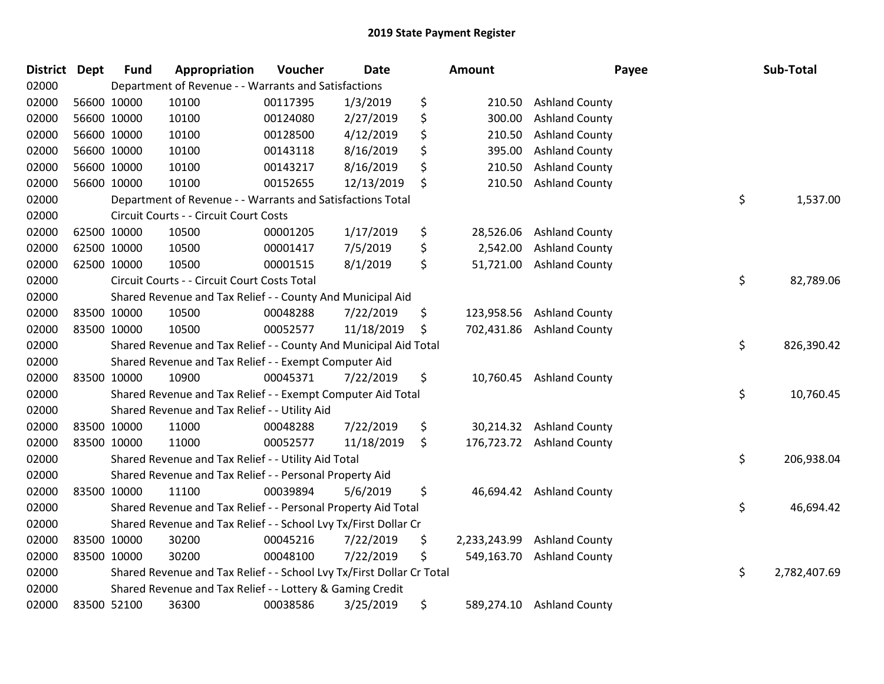| <b>District</b> | <b>Dept</b> | <b>Fund</b> | Appropriation                                                         | Voucher  | Date       | Amount             | Payee                     | Sub-Total          |
|-----------------|-------------|-------------|-----------------------------------------------------------------------|----------|------------|--------------------|---------------------------|--------------------|
| 02000           |             |             | Department of Revenue - - Warrants and Satisfactions                  |          |            |                    |                           |                    |
| 02000           |             | 56600 10000 | 10100                                                                 | 00117395 | 1/3/2019   | \$<br>210.50       | <b>Ashland County</b>     |                    |
| 02000           |             | 56600 10000 | 10100                                                                 | 00124080 | 2/27/2019  | \$<br>300.00       | <b>Ashland County</b>     |                    |
| 02000           |             | 56600 10000 | 10100                                                                 | 00128500 | 4/12/2019  | \$<br>210.50       | <b>Ashland County</b>     |                    |
| 02000           |             | 56600 10000 | 10100                                                                 | 00143118 | 8/16/2019  | \$<br>395.00       | <b>Ashland County</b>     |                    |
| 02000           |             | 56600 10000 | 10100                                                                 | 00143217 | 8/16/2019  | \$<br>210.50       | <b>Ashland County</b>     |                    |
| 02000           |             | 56600 10000 | 10100                                                                 | 00152655 | 12/13/2019 | \$<br>210.50       | <b>Ashland County</b>     |                    |
| 02000           |             |             | Department of Revenue - - Warrants and Satisfactions Total            |          |            |                    |                           | \$<br>1,537.00     |
| 02000           |             |             | Circuit Courts - - Circuit Court Costs                                |          |            |                    |                           |                    |
| 02000           |             | 62500 10000 | 10500                                                                 | 00001205 | 1/17/2019  | \$<br>28,526.06    | <b>Ashland County</b>     |                    |
| 02000           |             | 62500 10000 | 10500                                                                 | 00001417 | 7/5/2019   | \$<br>2,542.00     | <b>Ashland County</b>     |                    |
| 02000           |             | 62500 10000 | 10500                                                                 | 00001515 | 8/1/2019   | \$<br>51,721.00    | <b>Ashland County</b>     |                    |
| 02000           |             |             | Circuit Courts - - Circuit Court Costs Total                          |          |            |                    |                           | \$<br>82,789.06    |
| 02000           |             |             | Shared Revenue and Tax Relief - - County And Municipal Aid            |          |            |                    |                           |                    |
| 02000           |             | 83500 10000 | 10500                                                                 | 00048288 | 7/22/2019  | \$<br>123,958.56   | <b>Ashland County</b>     |                    |
| 02000           |             | 83500 10000 | 10500                                                                 | 00052577 | 11/18/2019 | \$<br>702,431.86   | <b>Ashland County</b>     |                    |
| 02000           |             |             | Shared Revenue and Tax Relief - - County And Municipal Aid Total      |          |            |                    |                           | \$<br>826,390.42   |
| 02000           |             |             | Shared Revenue and Tax Relief - - Exempt Computer Aid                 |          |            |                    |                           |                    |
| 02000           |             | 83500 10000 | 10900                                                                 | 00045371 | 7/22/2019  | \$<br>10,760.45    | <b>Ashland County</b>     |                    |
| 02000           |             |             | Shared Revenue and Tax Relief - - Exempt Computer Aid Total           |          |            |                    |                           | \$<br>10,760.45    |
| 02000           |             |             | Shared Revenue and Tax Relief - - Utility Aid                         |          |            |                    |                           |                    |
| 02000           |             | 83500 10000 | 11000                                                                 | 00048288 | 7/22/2019  | \$<br>30,214.32    | <b>Ashland County</b>     |                    |
| 02000           |             | 83500 10000 | 11000                                                                 | 00052577 | 11/18/2019 | \$                 | 176,723.72 Ashland County |                    |
| 02000           |             |             | Shared Revenue and Tax Relief - - Utility Aid Total                   |          |            |                    |                           | \$<br>206,938.04   |
| 02000           |             |             | Shared Revenue and Tax Relief - - Personal Property Aid               |          |            |                    |                           |                    |
| 02000           |             | 83500 10000 | 11100                                                                 | 00039894 | 5/6/2019   | \$<br>46,694.42    | <b>Ashland County</b>     |                    |
| 02000           |             |             | Shared Revenue and Tax Relief - - Personal Property Aid Total         |          |            |                    |                           | \$<br>46,694.42    |
| 02000           |             |             | Shared Revenue and Tax Relief - - School Lvy Tx/First Dollar Cr       |          |            |                    |                           |                    |
| 02000           |             | 83500 10000 | 30200                                                                 | 00045216 | 7/22/2019  | \$<br>2,233,243.99 | <b>Ashland County</b>     |                    |
| 02000           |             | 83500 10000 | 30200                                                                 | 00048100 | 7/22/2019  | \$<br>549,163.70   | <b>Ashland County</b>     |                    |
| 02000           |             |             | Shared Revenue and Tax Relief - - School Lvy Tx/First Dollar Cr Total |          |            |                    |                           | \$<br>2,782,407.69 |
| 02000           |             |             | Shared Revenue and Tax Relief - - Lottery & Gaming Credit             |          |            |                    |                           |                    |
| 02000           |             | 83500 52100 | 36300                                                                 | 00038586 | 3/25/2019  | \$<br>589,274.10   | <b>Ashland County</b>     |                    |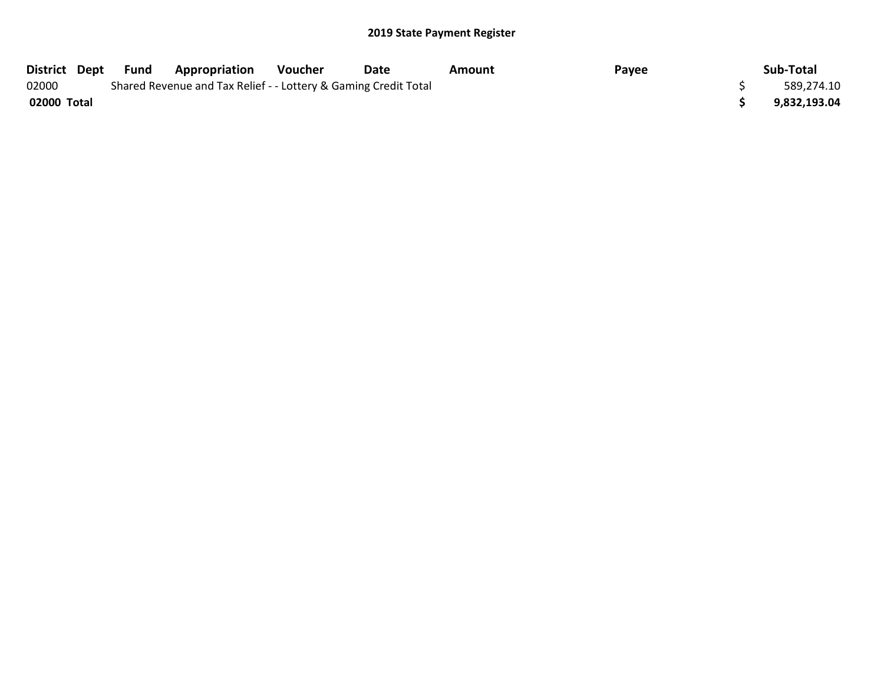| District Dept | Fund | <b>Appropriation</b>                                            | Voucher | <b>Date</b> | Amount | Payee | Sub-Total    |
|---------------|------|-----------------------------------------------------------------|---------|-------------|--------|-------|--------------|
| 02000         |      | Shared Revenue and Tax Relief - - Lottery & Gaming Credit Total |         |             |        |       | 589,274.10   |
| 02000 Total   |      |                                                                 |         |             |        |       | 9,832,193.04 |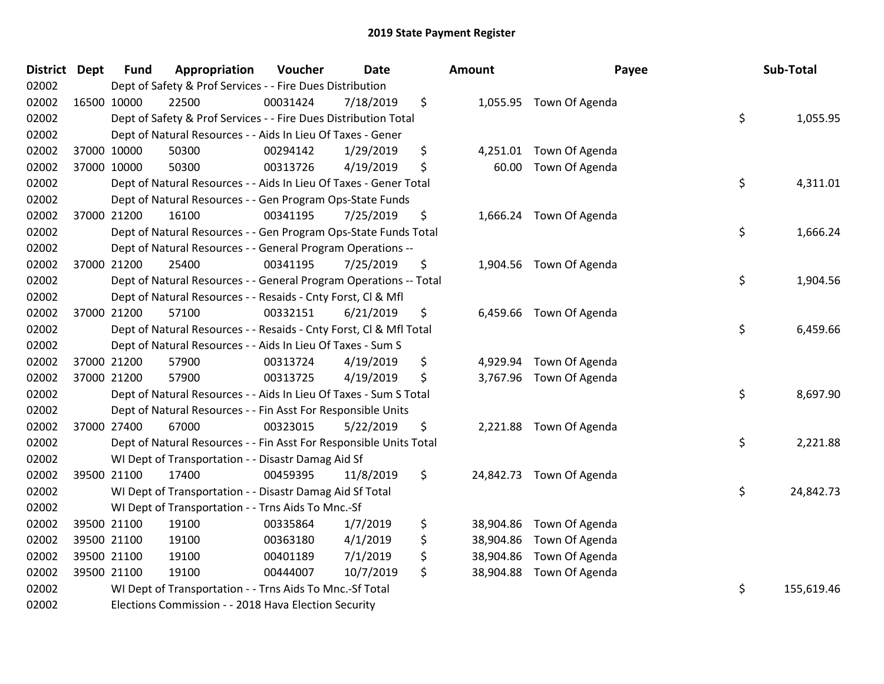| <b>District Dept</b> | <b>Fund</b> | Appropriation                                                      | Voucher  | <b>Date</b> | Amount          | Payee                    | Sub-Total        |
|----------------------|-------------|--------------------------------------------------------------------|----------|-------------|-----------------|--------------------------|------------------|
| 02002                |             | Dept of Safety & Prof Services - - Fire Dues Distribution          |          |             |                 |                          |                  |
| 02002                | 16500 10000 | 22500                                                              | 00031424 | 7/18/2019   | \$              | 1,055.95 Town Of Agenda  |                  |
| 02002                |             | Dept of Safety & Prof Services - - Fire Dues Distribution Total    |          |             |                 |                          | \$<br>1,055.95   |
| 02002                |             | Dept of Natural Resources - - Aids In Lieu Of Taxes - Gener        |          |             |                 |                          |                  |
| 02002                | 37000 10000 | 50300                                                              | 00294142 | 1/29/2019   | \$<br>4,251.01  | Town Of Agenda           |                  |
| 02002                | 37000 10000 | 50300                                                              | 00313726 | 4/19/2019   | \$<br>60.00     | Town Of Agenda           |                  |
| 02002                |             | Dept of Natural Resources - - Aids In Lieu Of Taxes - Gener Total  |          |             |                 |                          | \$<br>4,311.01   |
| 02002                |             | Dept of Natural Resources - - Gen Program Ops-State Funds          |          |             |                 |                          |                  |
| 02002                | 37000 21200 | 16100                                                              | 00341195 | 7/25/2019   | \$              | 1,666.24 Town Of Agenda  |                  |
| 02002                |             | Dept of Natural Resources - - Gen Program Ops-State Funds Total    |          |             |                 |                          | \$<br>1,666.24   |
| 02002                |             | Dept of Natural Resources - - General Program Operations --        |          |             |                 |                          |                  |
| 02002                | 37000 21200 | 25400                                                              | 00341195 | 7/25/2019   | \$              | 1,904.56 Town Of Agenda  |                  |
| 02002                |             | Dept of Natural Resources - - General Program Operations -- Total  |          |             |                 |                          | \$<br>1,904.56   |
| 02002                |             | Dept of Natural Resources - - Resaids - Cnty Forst, Cl & Mfl       |          |             |                 |                          |                  |
| 02002                | 37000 21200 | 57100                                                              | 00332151 | 6/21/2019   | \$              | 6,459.66 Town Of Agenda  |                  |
| 02002                |             | Dept of Natural Resources - - Resaids - Cnty Forst, CI & Mfl Total |          |             |                 |                          | \$<br>6,459.66   |
| 02002                |             | Dept of Natural Resources - - Aids In Lieu Of Taxes - Sum S        |          |             |                 |                          |                  |
| 02002                | 37000 21200 | 57900                                                              | 00313724 | 4/19/2019   | \$              | 4,929.94 Town Of Agenda  |                  |
| 02002                | 37000 21200 | 57900                                                              | 00313725 | 4/19/2019   | \$              | 3,767.96 Town Of Agenda  |                  |
| 02002                |             | Dept of Natural Resources - - Aids In Lieu Of Taxes - Sum S Total  |          |             |                 |                          | \$<br>8,697.90   |
| 02002                |             | Dept of Natural Resources - - Fin Asst For Responsible Units       |          |             |                 |                          |                  |
| 02002                | 37000 27400 | 67000                                                              | 00323015 | 5/22/2019   | \$              | 2,221.88 Town Of Agenda  |                  |
| 02002                |             | Dept of Natural Resources - - Fin Asst For Responsible Units Total |          |             |                 |                          | \$<br>2,221.88   |
| 02002                |             | WI Dept of Transportation - - Disastr Damag Aid Sf                 |          |             |                 |                          |                  |
| 02002                | 39500 21100 | 17400                                                              | 00459395 | 11/8/2019   | \$              | 24,842.73 Town Of Agenda |                  |
| 02002                |             | WI Dept of Transportation - - Disastr Damag Aid Sf Total           |          |             |                 |                          | \$<br>24,842.73  |
| 02002                |             | WI Dept of Transportation - - Trns Aids To Mnc.-Sf                 |          |             |                 |                          |                  |
| 02002                | 39500 21100 | 19100                                                              | 00335864 | 1/7/2019    | \$              | 38,904.86 Town Of Agenda |                  |
| 02002                | 39500 21100 | 19100                                                              | 00363180 | 4/1/2019    | \$<br>38,904.86 | Town Of Agenda           |                  |
| 02002                | 39500 21100 | 19100                                                              | 00401189 | 7/1/2019    | \$<br>38,904.86 | Town Of Agenda           |                  |
| 02002                | 39500 21100 | 19100                                                              | 00444007 | 10/7/2019   | \$<br>38,904.88 | Town Of Agenda           |                  |
| 02002                |             | WI Dept of Transportation - - Trns Aids To Mnc.-Sf Total           |          |             |                 |                          | \$<br>155,619.46 |
| 02002                |             | Elections Commission - - 2018 Hava Election Security               |          |             |                 |                          |                  |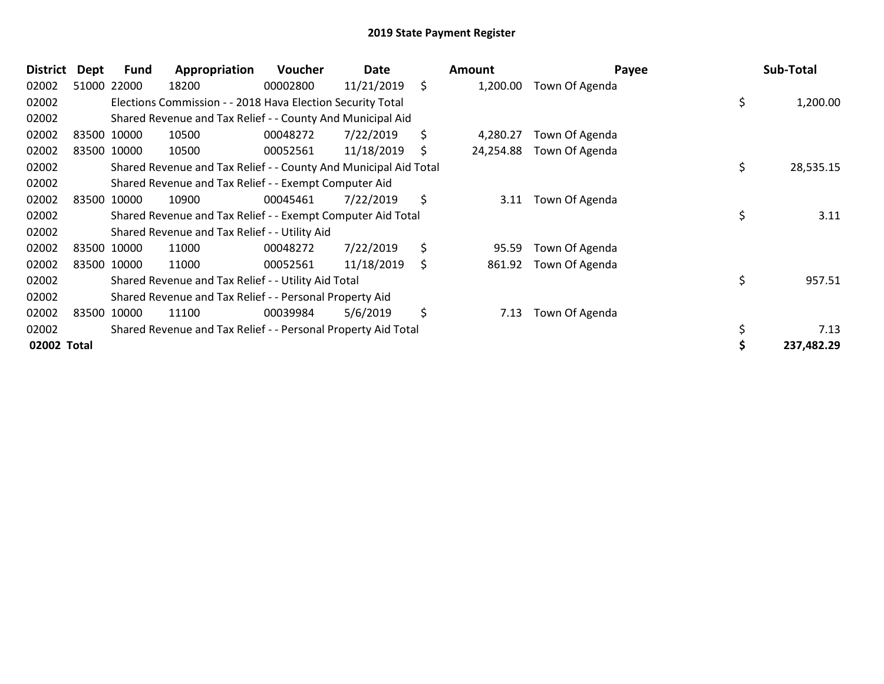| <b>District</b> | Dept | <b>Fund</b> | Appropriation                                                    | <b>Voucher</b> | Date       |    | Amount    | Payee          | Sub-Total       |
|-----------------|------|-------------|------------------------------------------------------------------|----------------|------------|----|-----------|----------------|-----------------|
| 02002           |      | 51000 22000 | 18200                                                            | 00002800       | 11/21/2019 | \$ | 1,200.00  | Town Of Agenda |                 |
| 02002           |      |             | Elections Commission - - 2018 Hava Election Security Total       |                |            |    |           |                | \$<br>1,200.00  |
| 02002           |      |             | Shared Revenue and Tax Relief - - County And Municipal Aid       |                |            |    |           |                |                 |
| 02002           |      | 83500 10000 | 10500                                                            | 00048272       | 7/22/2019  | \$ | 4,280.27  | Town Of Agenda |                 |
| 02002           |      | 83500 10000 | 10500                                                            | 00052561       | 11/18/2019 | S  | 24,254.88 | Town Of Agenda |                 |
| 02002           |      |             | Shared Revenue and Tax Relief - - County And Municipal Aid Total |                |            |    |           |                | \$<br>28,535.15 |
| 02002           |      |             | Shared Revenue and Tax Relief - - Exempt Computer Aid            |                |            |    |           |                |                 |
| 02002           |      | 83500 10000 | 10900                                                            | 00045461       | 7/22/2019  | \$ | 3.11      | Town Of Agenda |                 |
| 02002           |      |             | Shared Revenue and Tax Relief - - Exempt Computer Aid Total      |                |            |    |           |                | \$<br>3.11      |
| 02002           |      |             | Shared Revenue and Tax Relief - - Utility Aid                    |                |            |    |           |                |                 |
| 02002           |      | 83500 10000 | 11000                                                            | 00048272       | 7/22/2019  | \$ | 95.59     | Town Of Agenda |                 |
| 02002           |      | 83500 10000 | 11000                                                            | 00052561       | 11/18/2019 | \$ | 861.92    | Town Of Agenda |                 |
| 02002           |      |             | Shared Revenue and Tax Relief - - Utility Aid Total              |                |            |    |           |                | \$<br>957.51    |
| 02002           |      |             | Shared Revenue and Tax Relief - - Personal Property Aid          |                |            |    |           |                |                 |
| 02002           |      | 83500 10000 | 11100                                                            | 00039984       | 5/6/2019   | \$ | 7.13      | Town Of Agenda |                 |
| 02002           |      |             | Shared Revenue and Tax Relief - - Personal Property Aid Total    |                |            |    |           |                | \$<br>7.13      |
| 02002 Total     |      |             |                                                                  |                |            |    |           |                | 237,482.29      |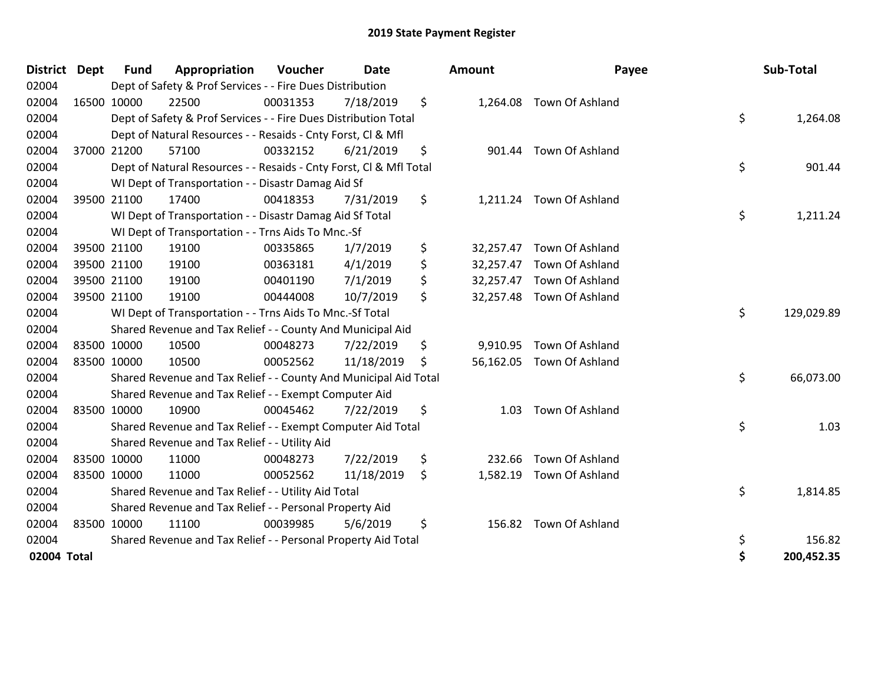| <b>District</b> | <b>Dept</b> | Fund        | Appropriation                                                      | <b>Voucher</b> | Date       | <b>Amount</b>   | Payee                     | Sub-Total        |
|-----------------|-------------|-------------|--------------------------------------------------------------------|----------------|------------|-----------------|---------------------------|------------------|
| 02004           |             |             | Dept of Safety & Prof Services - - Fire Dues Distribution          |                |            |                 |                           |                  |
| 02004           |             | 16500 10000 | 22500                                                              | 00031353       | 7/18/2019  | \$              | 1,264.08 Town Of Ashland  |                  |
| 02004           |             |             | Dept of Safety & Prof Services - - Fire Dues Distribution Total    |                |            |                 |                           | \$<br>1,264.08   |
| 02004           |             |             | Dept of Natural Resources - - Resaids - Cnty Forst, CI & Mfl       |                |            |                 |                           |                  |
| 02004           |             | 37000 21200 | 57100                                                              | 00332152       | 6/21/2019  | \$              | 901.44 Town Of Ashland    |                  |
| 02004           |             |             | Dept of Natural Resources - - Resaids - Cnty Forst, Cl & Mfl Total |                |            |                 |                           | \$<br>901.44     |
| 02004           |             |             | WI Dept of Transportation - - Disastr Damag Aid Sf                 |                |            |                 |                           |                  |
| 02004           |             | 39500 21100 | 17400                                                              | 00418353       | 7/31/2019  | \$              | 1,211.24 Town Of Ashland  |                  |
| 02004           |             |             | WI Dept of Transportation - - Disastr Damag Aid Sf Total           |                |            |                 |                           | \$<br>1,211.24   |
| 02004           |             |             | WI Dept of Transportation - - Trns Aids To Mnc.-Sf                 |                |            |                 |                           |                  |
| 02004           |             | 39500 21100 | 19100                                                              | 00335865       | 1/7/2019   | \$<br>32,257.47 | Town Of Ashland           |                  |
| 02004           |             | 39500 21100 | 19100                                                              | 00363181       | 4/1/2019   | \$<br>32,257.47 | Town Of Ashland           |                  |
| 02004           |             | 39500 21100 | 19100                                                              | 00401190       | 7/1/2019   | \$              | 32,257.47 Town Of Ashland |                  |
| 02004           |             | 39500 21100 | 19100                                                              | 00444008       | 10/7/2019  | \$              | 32,257.48 Town Of Ashland |                  |
| 02004           |             |             | WI Dept of Transportation - - Trns Aids To Mnc.-Sf Total           |                |            |                 |                           | \$<br>129,029.89 |
| 02004           |             |             | Shared Revenue and Tax Relief - - County And Municipal Aid         |                |            |                 |                           |                  |
| 02004           | 83500 10000 |             | 10500                                                              | 00048273       | 7/22/2019  | \$<br>9,910.95  | Town Of Ashland           |                  |
| 02004           |             | 83500 10000 | 10500                                                              | 00052562       | 11/18/2019 | \$<br>56,162.05 | Town Of Ashland           |                  |
| 02004           |             |             | Shared Revenue and Tax Relief - - County And Municipal Aid Total   |                |            |                 |                           | \$<br>66,073.00  |
| 02004           |             |             | Shared Revenue and Tax Relief - - Exempt Computer Aid              |                |            |                 |                           |                  |
| 02004           |             | 83500 10000 | 10900                                                              | 00045462       | 7/22/2019  | \$<br>1.03      | Town Of Ashland           |                  |
| 02004           |             |             | Shared Revenue and Tax Relief - - Exempt Computer Aid Total        |                |            |                 |                           | \$<br>1.03       |
| 02004           |             |             | Shared Revenue and Tax Relief - - Utility Aid                      |                |            |                 |                           |                  |
| 02004           | 83500 10000 |             | 11000                                                              | 00048273       | 7/22/2019  | \$<br>232.66    | Town Of Ashland           |                  |
| 02004           |             | 83500 10000 | 11000                                                              | 00052562       | 11/18/2019 | \$<br>1,582.19  | Town Of Ashland           |                  |
| 02004           |             |             | Shared Revenue and Tax Relief - - Utility Aid Total                |                |            |                 |                           | \$<br>1,814.85   |
| 02004           |             |             | Shared Revenue and Tax Relief - - Personal Property Aid            |                |            |                 |                           |                  |
| 02004           |             | 83500 10000 | 11100                                                              | 00039985       | 5/6/2019   | \$<br>156.82    | Town Of Ashland           |                  |
| 02004           |             |             | Shared Revenue and Tax Relief - - Personal Property Aid Total      |                |            |                 |                           | \$<br>156.82     |
| 02004 Total     |             |             |                                                                    |                |            |                 |                           | \$<br>200,452.35 |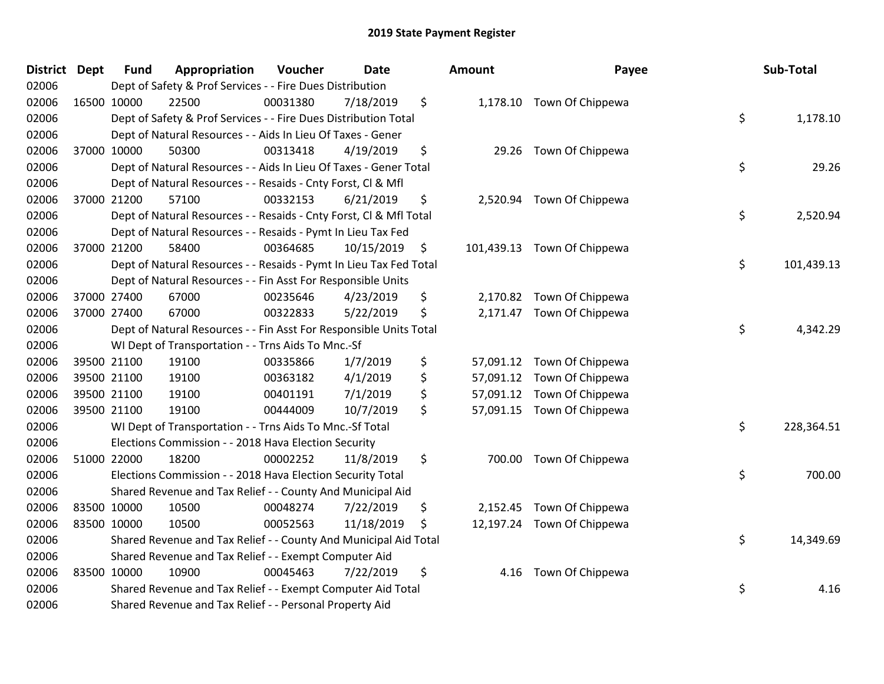| <b>District</b> | Dept | <b>Fund</b> | Appropriation                                                      | Voucher  | <b>Date</b> | Amount          | Payee                       | Sub-Total        |
|-----------------|------|-------------|--------------------------------------------------------------------|----------|-------------|-----------------|-----------------------------|------------------|
| 02006           |      |             | Dept of Safety & Prof Services - - Fire Dues Distribution          |          |             |                 |                             |                  |
| 02006           |      | 16500 10000 | 22500                                                              | 00031380 | 7/18/2019   | \$              | 1,178.10 Town Of Chippewa   |                  |
| 02006           |      |             | Dept of Safety & Prof Services - - Fire Dues Distribution Total    |          |             |                 |                             | \$<br>1,178.10   |
| 02006           |      |             | Dept of Natural Resources - - Aids In Lieu Of Taxes - Gener        |          |             |                 |                             |                  |
| 02006           |      | 37000 10000 | 50300                                                              | 00313418 | 4/19/2019   | \$              | 29.26 Town Of Chippewa      |                  |
| 02006           |      |             | Dept of Natural Resources - - Aids In Lieu Of Taxes - Gener Total  |          |             |                 |                             | \$<br>29.26      |
| 02006           |      |             | Dept of Natural Resources - - Resaids - Cnty Forst, Cl & Mfl       |          |             |                 |                             |                  |
| 02006           |      | 37000 21200 | 57100                                                              | 00332153 | 6/21/2019   | \$<br>2,520.94  | Town Of Chippewa            |                  |
| 02006           |      |             | Dept of Natural Resources - - Resaids - Cnty Forst, Cl & Mfl Total |          |             |                 |                             | \$<br>2,520.94   |
| 02006           |      |             | Dept of Natural Resources - - Resaids - Pymt In Lieu Tax Fed       |          |             |                 |                             |                  |
| 02006           |      | 37000 21200 | 58400                                                              | 00364685 | 10/15/2019  | \$              | 101,439.13 Town Of Chippewa |                  |
| 02006           |      |             | Dept of Natural Resources - - Resaids - Pymt In Lieu Tax Fed Total |          |             |                 |                             | \$<br>101,439.13 |
| 02006           |      |             | Dept of Natural Resources - - Fin Asst For Responsible Units       |          |             |                 |                             |                  |
| 02006           |      | 37000 27400 | 67000                                                              | 00235646 | 4/23/2019   | \$              | 2,170.82 Town Of Chippewa   |                  |
| 02006           |      | 37000 27400 | 67000                                                              | 00322833 | 5/22/2019   | \$<br>2,171.47  | Town Of Chippewa            |                  |
| 02006           |      |             | Dept of Natural Resources - - Fin Asst For Responsible Units Total |          |             |                 |                             | \$<br>4,342.29   |
| 02006           |      |             | WI Dept of Transportation - - Trns Aids To Mnc.-Sf                 |          |             |                 |                             |                  |
| 02006           |      | 39500 21100 | 19100                                                              | 00335866 | 1/7/2019    | \$              | 57,091.12 Town Of Chippewa  |                  |
| 02006           |      | 39500 21100 | 19100                                                              | 00363182 | 4/1/2019    | \$<br>57,091.12 | Town Of Chippewa            |                  |
| 02006           |      | 39500 21100 | 19100                                                              | 00401191 | 7/1/2019    | \$<br>57,091.12 | Town Of Chippewa            |                  |
| 02006           |      | 39500 21100 | 19100                                                              | 00444009 | 10/7/2019   | \$<br>57,091.15 | Town Of Chippewa            |                  |
| 02006           |      |             | WI Dept of Transportation - - Trns Aids To Mnc.-Sf Total           |          |             |                 |                             | \$<br>228,364.51 |
| 02006           |      |             | Elections Commission - - 2018 Hava Election Security               |          |             |                 |                             |                  |
| 02006           |      | 51000 22000 | 18200                                                              | 00002252 | 11/8/2019   | \$<br>700.00    | Town Of Chippewa            |                  |
| 02006           |      |             | Elections Commission - - 2018 Hava Election Security Total         |          |             |                 |                             | \$<br>700.00     |
| 02006           |      |             | Shared Revenue and Tax Relief - - County And Municipal Aid         |          |             |                 |                             |                  |
| 02006           |      | 83500 10000 | 10500                                                              | 00048274 | 7/22/2019   | \$<br>2,152.45  | Town Of Chippewa            |                  |
| 02006           |      | 83500 10000 | 10500                                                              | 00052563 | 11/18/2019  | \$              | 12,197.24 Town Of Chippewa  |                  |
| 02006           |      |             | Shared Revenue and Tax Relief - - County And Municipal Aid Total   |          |             |                 |                             | \$<br>14,349.69  |
| 02006           |      |             | Shared Revenue and Tax Relief - - Exempt Computer Aid              |          |             |                 |                             |                  |
| 02006           |      | 83500 10000 | 10900                                                              | 00045463 | 7/22/2019   | \$<br>4.16      | Town Of Chippewa            |                  |
| 02006           |      |             | Shared Revenue and Tax Relief - - Exempt Computer Aid Total        |          |             |                 |                             | \$<br>4.16       |
| 02006           |      |             | Shared Revenue and Tax Relief - - Personal Property Aid            |          |             |                 |                             |                  |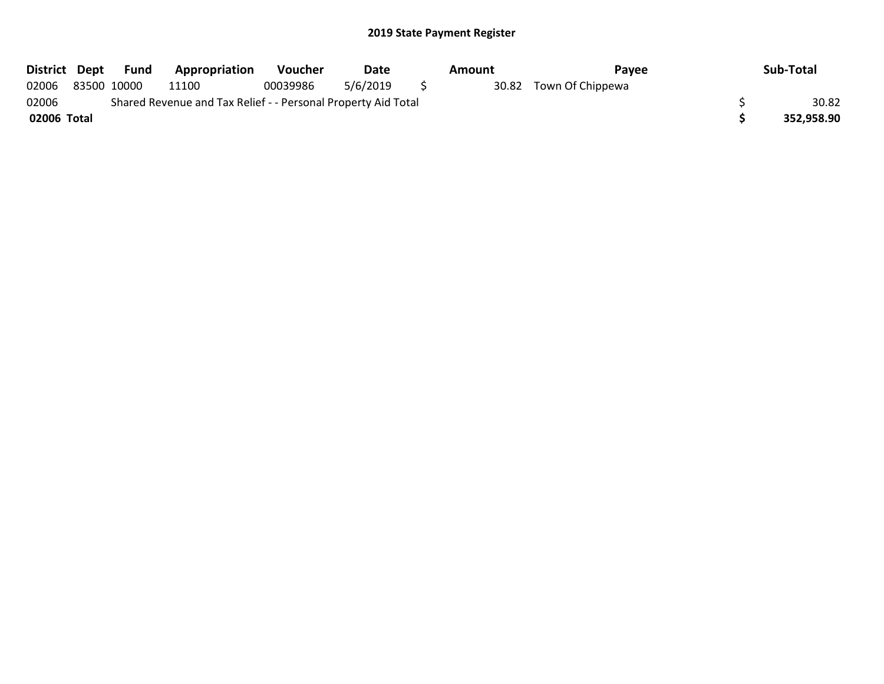| District Dept | Fund        | Appropriation                                                 | <b>Voucher</b> | Date     | Amount | Pavee            | Sub-Total  |
|---------------|-------------|---------------------------------------------------------------|----------------|----------|--------|------------------|------------|
| 02006         | 83500 10000 | 11100                                                         | 00039986       | 5/6/2019 | 30.82  | Town Of Chippewa |            |
| 02006         |             | Shared Revenue and Tax Relief - - Personal Property Aid Total |                |          |        |                  | 30.82      |
| 02006 Total   |             |                                                               |                |          |        |                  | 352.958.90 |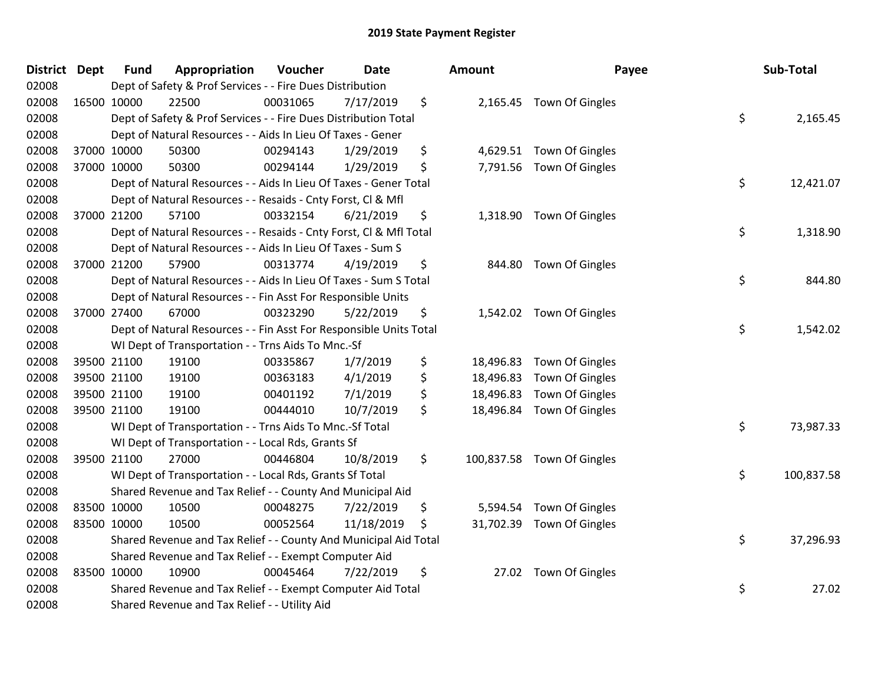| <b>District Dept</b> |             | <b>Fund</b> | Appropriation                                                      | Voucher  | <b>Date</b> | <b>Amount</b>   | Payee                      | Sub-Total        |
|----------------------|-------------|-------------|--------------------------------------------------------------------|----------|-------------|-----------------|----------------------------|------------------|
| 02008                |             |             | Dept of Safety & Prof Services - - Fire Dues Distribution          |          |             |                 |                            |                  |
| 02008                |             | 16500 10000 | 22500                                                              | 00031065 | 7/17/2019   | \$              | 2,165.45 Town Of Gingles   |                  |
| 02008                |             |             | Dept of Safety & Prof Services - - Fire Dues Distribution Total    |          |             |                 |                            | \$<br>2,165.45   |
| 02008                |             |             | Dept of Natural Resources - - Aids In Lieu Of Taxes - Gener        |          |             |                 |                            |                  |
| 02008                |             | 37000 10000 | 50300                                                              | 00294143 | 1/29/2019   | \$              | 4,629.51 Town Of Gingles   |                  |
| 02008                |             | 37000 10000 | 50300                                                              | 00294144 | 1/29/2019   | \$              | 7,791.56 Town Of Gingles   |                  |
| 02008                |             |             | Dept of Natural Resources - - Aids In Lieu Of Taxes - Gener Total  |          |             |                 |                            | \$<br>12,421.07  |
| 02008                |             |             | Dept of Natural Resources - - Resaids - Cnty Forst, Cl & Mfl       |          |             |                 |                            |                  |
| 02008                |             | 37000 21200 | 57100                                                              | 00332154 | 6/21/2019   | \$              | 1,318.90 Town Of Gingles   |                  |
| 02008                |             |             | Dept of Natural Resources - - Resaids - Cnty Forst, CI & Mfl Total |          |             |                 |                            | \$<br>1,318.90   |
| 02008                |             |             | Dept of Natural Resources - - Aids In Lieu Of Taxes - Sum S        |          |             |                 |                            |                  |
| 02008                |             | 37000 21200 | 57900                                                              | 00313774 | 4/19/2019   | \$              | 844.80 Town Of Gingles     |                  |
| 02008                |             |             | Dept of Natural Resources - - Aids In Lieu Of Taxes - Sum S Total  |          |             |                 |                            | \$<br>844.80     |
| 02008                |             |             | Dept of Natural Resources - - Fin Asst For Responsible Units       |          |             |                 |                            |                  |
| 02008                |             | 37000 27400 | 67000                                                              | 00323290 | 5/22/2019   | \$              | 1,542.02 Town Of Gingles   |                  |
| 02008                |             |             | Dept of Natural Resources - - Fin Asst For Responsible Units Total |          |             |                 |                            | \$<br>1,542.02   |
| 02008                |             |             | WI Dept of Transportation - - Trns Aids To Mnc.-Sf                 |          |             |                 |                            |                  |
| 02008                |             | 39500 21100 | 19100                                                              | 00335867 | 1/7/2019    | \$              | 18,496.83 Town Of Gingles  |                  |
| 02008                |             | 39500 21100 | 19100                                                              | 00363183 | 4/1/2019    | \$<br>18,496.83 | <b>Town Of Gingles</b>     |                  |
| 02008                |             | 39500 21100 | 19100                                                              | 00401192 | 7/1/2019    | \$<br>18,496.83 | Town Of Gingles            |                  |
| 02008                |             | 39500 21100 | 19100                                                              | 00444010 | 10/7/2019   | \$              | 18,496.84 Town Of Gingles  |                  |
| 02008                |             |             | WI Dept of Transportation - - Trns Aids To Mnc.-Sf Total           |          |             |                 |                            | \$<br>73,987.33  |
| 02008                |             |             | WI Dept of Transportation - - Local Rds, Grants Sf                 |          |             |                 |                            |                  |
| 02008                |             | 39500 21100 | 27000                                                              | 00446804 | 10/8/2019   | \$              | 100,837.58 Town Of Gingles |                  |
| 02008                |             |             | WI Dept of Transportation - - Local Rds, Grants Sf Total           |          |             |                 |                            | \$<br>100,837.58 |
| 02008                |             |             | Shared Revenue and Tax Relief - - County And Municipal Aid         |          |             |                 |                            |                  |
| 02008                | 83500 10000 |             | 10500                                                              | 00048275 | 7/22/2019   | \$<br>5,594.54  | Town Of Gingles            |                  |
| 02008                |             | 83500 10000 | 10500                                                              | 00052564 | 11/18/2019  | \$              | 31,702.39 Town Of Gingles  |                  |
| 02008                |             |             | Shared Revenue and Tax Relief - - County And Municipal Aid Total   |          |             |                 |                            | \$<br>37,296.93  |
| 02008                |             |             | Shared Revenue and Tax Relief - - Exempt Computer Aid              |          |             |                 |                            |                  |
| 02008                |             | 83500 10000 | 10900                                                              | 00045464 | 7/22/2019   | \$              | 27.02 Town Of Gingles      |                  |
| 02008                |             |             | Shared Revenue and Tax Relief - - Exempt Computer Aid Total        |          |             |                 |                            | \$<br>27.02      |
| 02008                |             |             | Shared Revenue and Tax Relief - - Utility Aid                      |          |             |                 |                            |                  |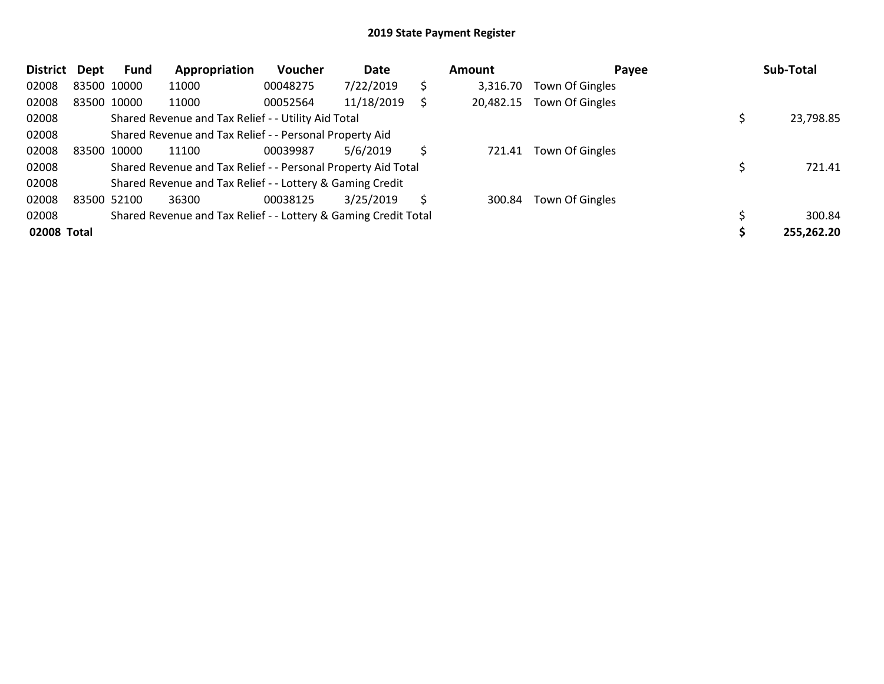| <b>District</b> | Dept        | Fund        | Appropriation                                                   | <b>Voucher</b> | Date       |    | Amount    | Payee           | Sub-Total  |
|-----------------|-------------|-------------|-----------------------------------------------------------------|----------------|------------|----|-----------|-----------------|------------|
| 02008           |             | 83500 10000 | 11000                                                           | 00048275       | 7/22/2019  | \$ | 3,316.70  | Town Of Gingles |            |
| 02008           |             | 83500 10000 | 11000                                                           | 00052564       | 11/18/2019 |    | 20,482.15 | Town Of Gingles |            |
| 02008           |             |             | Shared Revenue and Tax Relief - - Utility Aid Total             |                |            |    |           |                 | 23,798.85  |
| 02008           |             |             | Shared Revenue and Tax Relief - - Personal Property Aid         |                |            |    |           |                 |            |
| 02008           | 83500 10000 |             | 11100                                                           | 00039987       | 5/6/2019   | Ś. | 721.41    | Town Of Gingles |            |
| 02008           |             |             | Shared Revenue and Tax Relief - - Personal Property Aid Total   |                |            |    |           |                 | 721.41     |
| 02008           |             |             | Shared Revenue and Tax Relief - - Lottery & Gaming Credit       |                |            |    |           |                 |            |
| 02008           |             | 83500 52100 | 36300                                                           | 00038125       | 3/25/2019  | S  | 300.84    | Town Of Gingles |            |
| 02008           |             |             | Shared Revenue and Tax Relief - - Lottery & Gaming Credit Total |                |            |    |           |                 | 300.84     |
| 02008 Total     |             |             |                                                                 |                |            |    |           |                 | 255,262.20 |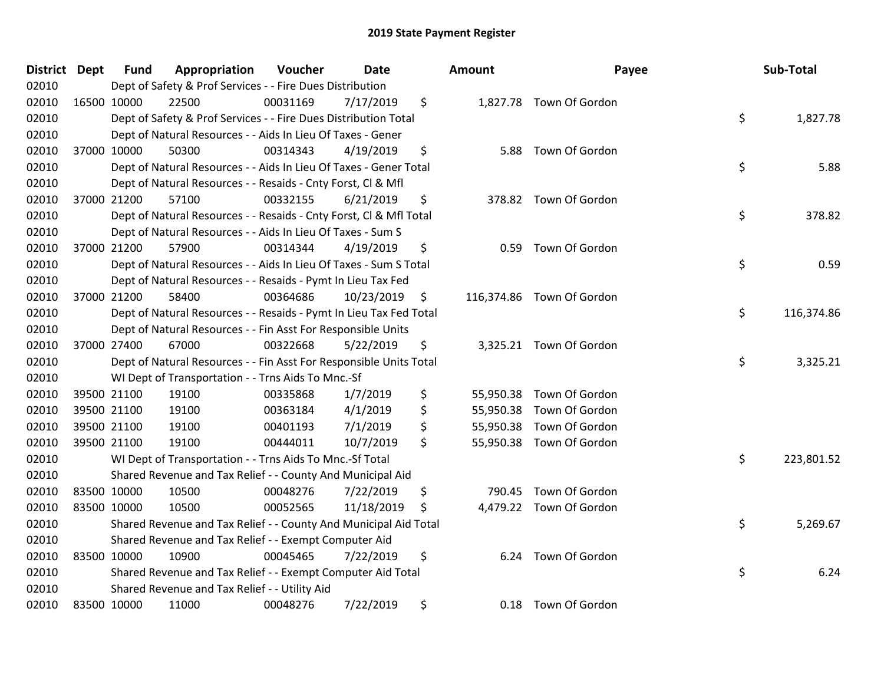| <b>District</b> | <b>Dept</b> | <b>Fund</b> | Appropriation                                                      | Voucher  | Date       | <b>Amount</b>   | Payee                     | Sub-Total        |
|-----------------|-------------|-------------|--------------------------------------------------------------------|----------|------------|-----------------|---------------------------|------------------|
| 02010           |             |             | Dept of Safety & Prof Services - - Fire Dues Distribution          |          |            |                 |                           |                  |
| 02010           |             | 16500 10000 | 22500                                                              | 00031169 | 7/17/2019  | \$              | 1,827.78 Town Of Gordon   |                  |
| 02010           |             |             | Dept of Safety & Prof Services - - Fire Dues Distribution Total    |          |            |                 |                           | \$<br>1,827.78   |
| 02010           |             |             | Dept of Natural Resources - - Aids In Lieu Of Taxes - Gener        |          |            |                 |                           |                  |
| 02010           |             | 37000 10000 | 50300                                                              | 00314343 | 4/19/2019  | \$<br>5.88      | Town Of Gordon            |                  |
| 02010           |             |             | Dept of Natural Resources - - Aids In Lieu Of Taxes - Gener Total  |          |            |                 |                           | \$<br>5.88       |
| 02010           |             |             | Dept of Natural Resources - - Resaids - Cnty Forst, Cl & Mfl       |          |            |                 |                           |                  |
| 02010           |             | 37000 21200 | 57100                                                              | 00332155 | 6/21/2019  | \$              | 378.82 Town Of Gordon     |                  |
| 02010           |             |             | Dept of Natural Resources - - Resaids - Cnty Forst, Cl & Mfl Total |          |            |                 |                           | \$<br>378.82     |
| 02010           |             |             | Dept of Natural Resources - - Aids In Lieu Of Taxes - Sum S        |          |            |                 |                           |                  |
| 02010           |             | 37000 21200 | 57900                                                              | 00314344 | 4/19/2019  | \$<br>0.59      | Town Of Gordon            |                  |
| 02010           |             |             | Dept of Natural Resources - - Aids In Lieu Of Taxes - Sum S Total  |          |            |                 |                           | \$<br>0.59       |
| 02010           |             |             | Dept of Natural Resources - - Resaids - Pymt In Lieu Tax Fed       |          |            |                 |                           |                  |
| 02010           |             | 37000 21200 | 58400                                                              | 00364686 | 10/23/2019 | \$              | 116,374.86 Town Of Gordon |                  |
| 02010           |             |             | Dept of Natural Resources - - Resaids - Pymt In Lieu Tax Fed Total |          |            |                 |                           | \$<br>116,374.86 |
| 02010           |             |             | Dept of Natural Resources - - Fin Asst For Responsible Units       |          |            |                 |                           |                  |
| 02010           |             | 37000 27400 | 67000                                                              | 00322668 | 5/22/2019  | \$              | 3,325.21 Town Of Gordon   |                  |
| 02010           |             |             | Dept of Natural Resources - - Fin Asst For Responsible Units Total |          |            |                 |                           | \$<br>3,325.21   |
| 02010           |             |             | WI Dept of Transportation - - Trns Aids To Mnc.-Sf                 |          |            |                 |                           |                  |
| 02010           |             | 39500 21100 | 19100                                                              | 00335868 | 1/7/2019   | \$<br>55,950.38 | Town Of Gordon            |                  |
| 02010           |             | 39500 21100 | 19100                                                              | 00363184 | 4/1/2019   | \$<br>55,950.38 | Town Of Gordon            |                  |
| 02010           |             | 39500 21100 | 19100                                                              | 00401193 | 7/1/2019   | \$<br>55,950.38 | Town Of Gordon            |                  |
| 02010           |             | 39500 21100 | 19100                                                              | 00444011 | 10/7/2019  | \$              | 55,950.38 Town Of Gordon  |                  |
| 02010           |             |             | WI Dept of Transportation - - Trns Aids To Mnc.-Sf Total           |          |            |                 |                           | \$<br>223,801.52 |
| 02010           |             |             | Shared Revenue and Tax Relief - - County And Municipal Aid         |          |            |                 |                           |                  |
| 02010           |             | 83500 10000 | 10500                                                              | 00048276 | 7/22/2019  | \$<br>790.45    | Town Of Gordon            |                  |
| 02010           |             | 83500 10000 | 10500                                                              | 00052565 | 11/18/2019 | \$              | 4,479.22 Town Of Gordon   |                  |
| 02010           |             |             | Shared Revenue and Tax Relief - - County And Municipal Aid Total   |          |            |                 |                           | \$<br>5,269.67   |
| 02010           |             |             | Shared Revenue and Tax Relief - - Exempt Computer Aid              |          |            |                 |                           |                  |
| 02010           |             | 83500 10000 | 10900                                                              | 00045465 | 7/22/2019  | \$<br>6.24      | Town Of Gordon            |                  |
| 02010           |             |             | Shared Revenue and Tax Relief - - Exempt Computer Aid Total        |          |            |                 |                           | \$<br>6.24       |
| 02010           |             |             | Shared Revenue and Tax Relief - - Utility Aid                      |          |            |                 |                           |                  |
| 02010           |             | 83500 10000 | 11000                                                              | 00048276 | 7/22/2019  | \$<br>0.18      | Town Of Gordon            |                  |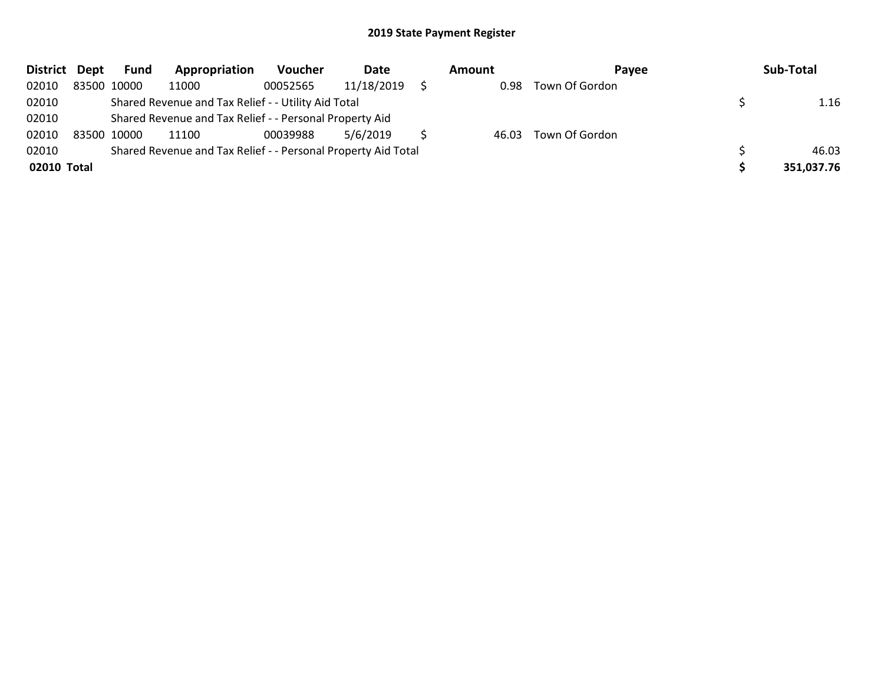| District Dept |             | Fund | Appropriation                                                 | Voucher  | Date       | Amount | <b>Pavee</b>   | Sub-Total  |
|---------------|-------------|------|---------------------------------------------------------------|----------|------------|--------|----------------|------------|
| 02010         | 83500 10000 |      | 11000                                                         | 00052565 | 11/18/2019 | 0.98   | Town Of Gordon |            |
| 02010         |             |      | Shared Revenue and Tax Relief - - Utility Aid Total           |          |            |        |                | 1.16       |
| 02010         |             |      | Shared Revenue and Tax Relief - - Personal Property Aid       |          |            |        |                |            |
| 02010         | 83500 10000 |      | 11100                                                         | 00039988 | 5/6/2019   | 46.03  | Town Of Gordon |            |
| 02010         |             |      | Shared Revenue and Tax Relief - - Personal Property Aid Total |          |            |        |                | 46.03      |
| 02010 Total   |             |      |                                                               |          |            |        |                | 351,037.76 |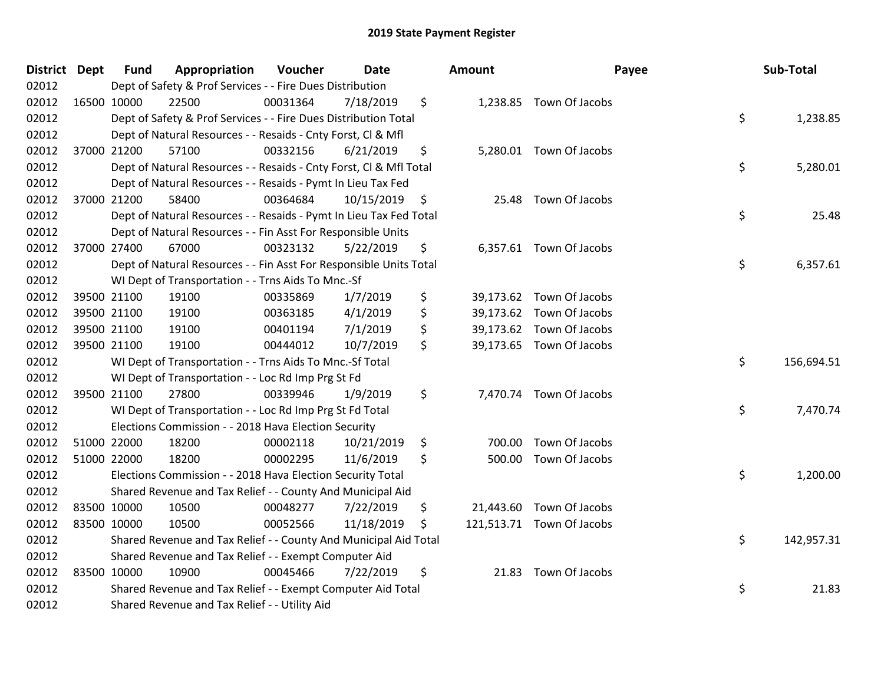| <b>District Dept</b> | <b>Fund</b> | Appropriation                                                      | Voucher  | <b>Date</b> |                     | <b>Amount</b> |                           | Payee | Sub-Total  |
|----------------------|-------------|--------------------------------------------------------------------|----------|-------------|---------------------|---------------|---------------------------|-------|------------|
| 02012                |             | Dept of Safety & Prof Services - - Fire Dues Distribution          |          |             |                     |               |                           |       |            |
| 02012                | 16500 10000 | 22500                                                              | 00031364 | 7/18/2019   | \$                  |               | 1,238.85 Town Of Jacobs   |       |            |
| 02012                |             | Dept of Safety & Prof Services - - Fire Dues Distribution Total    |          |             |                     |               |                           | \$    | 1,238.85   |
| 02012                |             | Dept of Natural Resources - - Resaids - Cnty Forst, Cl & Mfl       |          |             |                     |               |                           |       |            |
| 02012                | 37000 21200 | 57100                                                              | 00332156 | 6/21/2019   | \$                  |               | 5,280.01 Town Of Jacobs   |       |            |
| 02012                |             | Dept of Natural Resources - - Resaids - Cnty Forst, Cl & Mfl Total |          |             |                     |               |                           | \$    | 5,280.01   |
| 02012                |             | Dept of Natural Resources - - Resaids - Pymt In Lieu Tax Fed       |          |             |                     |               |                           |       |            |
| 02012                | 37000 21200 | 58400                                                              | 00364684 | 10/15/2019  | $\ddot{\mathsf{s}}$ |               | 25.48 Town Of Jacobs      |       |            |
| 02012                |             | Dept of Natural Resources - - Resaids - Pymt In Lieu Tax Fed Total |          |             |                     |               |                           | \$    | 25.48      |
| 02012                |             | Dept of Natural Resources - - Fin Asst For Responsible Units       |          |             |                     |               |                           |       |            |
| 02012                | 37000 27400 | 67000                                                              | 00323132 | 5/22/2019   | \$                  |               | 6,357.61 Town Of Jacobs   |       |            |
| 02012                |             | Dept of Natural Resources - - Fin Asst For Responsible Units Total |          |             |                     |               |                           | \$    | 6,357.61   |
| 02012                |             | WI Dept of Transportation - - Trns Aids To Mnc.-Sf                 |          |             |                     |               |                           |       |            |
| 02012                | 39500 21100 | 19100                                                              | 00335869 | 1/7/2019    | \$                  |               | 39,173.62 Town Of Jacobs  |       |            |
| 02012                | 39500 21100 | 19100                                                              | 00363185 | 4/1/2019    | \$                  |               | 39,173.62 Town Of Jacobs  |       |            |
| 02012                | 39500 21100 | 19100                                                              | 00401194 | 7/1/2019    | \$                  |               | 39,173.62 Town Of Jacobs  |       |            |
| 02012                | 39500 21100 | 19100                                                              | 00444012 | 10/7/2019   | \$                  |               | 39,173.65 Town Of Jacobs  |       |            |
| 02012                |             | WI Dept of Transportation - - Trns Aids To Mnc.-Sf Total           |          |             |                     |               |                           | \$    | 156,694.51 |
| 02012                |             | WI Dept of Transportation - - Loc Rd Imp Prg St Fd                 |          |             |                     |               |                           |       |            |
| 02012                | 39500 21100 | 27800                                                              | 00339946 | 1/9/2019    | \$                  |               | 7,470.74 Town Of Jacobs   |       |            |
| 02012                |             | WI Dept of Transportation - - Loc Rd Imp Prg St Fd Total           |          |             |                     |               |                           | \$    | 7,470.74   |
| 02012                |             | Elections Commission - - 2018 Hava Election Security               |          |             |                     |               |                           |       |            |
| 02012                | 51000 22000 | 18200                                                              | 00002118 | 10/21/2019  | \$                  |               | 700.00 Town Of Jacobs     |       |            |
| 02012                | 51000 22000 | 18200                                                              | 00002295 | 11/6/2019   | \$                  |               | 500.00 Town Of Jacobs     |       |            |
| 02012                |             | Elections Commission - - 2018 Hava Election Security Total         |          |             |                     |               |                           | \$    | 1,200.00   |
| 02012                |             | Shared Revenue and Tax Relief - - County And Municipal Aid         |          |             |                     |               |                           |       |            |
| 02012                | 83500 10000 | 10500                                                              | 00048277 | 7/22/2019   | \$                  |               | 21,443.60 Town Of Jacobs  |       |            |
| 02012                | 83500 10000 | 10500                                                              | 00052566 | 11/18/2019  | \$                  |               | 121,513.71 Town Of Jacobs |       |            |
| 02012                |             | Shared Revenue and Tax Relief - - County And Municipal Aid Total   |          |             |                     |               |                           | \$    | 142,957.31 |
| 02012                |             | Shared Revenue and Tax Relief - - Exempt Computer Aid              |          |             |                     |               |                           |       |            |
| 02012                | 83500 10000 | 10900                                                              | 00045466 | 7/22/2019   | \$                  | 21.83         | Town Of Jacobs            |       |            |
| 02012                |             | Shared Revenue and Tax Relief - - Exempt Computer Aid Total        |          |             |                     |               |                           | \$    | 21.83      |
| 02012                |             | Shared Revenue and Tax Relief - - Utility Aid                      |          |             |                     |               |                           |       |            |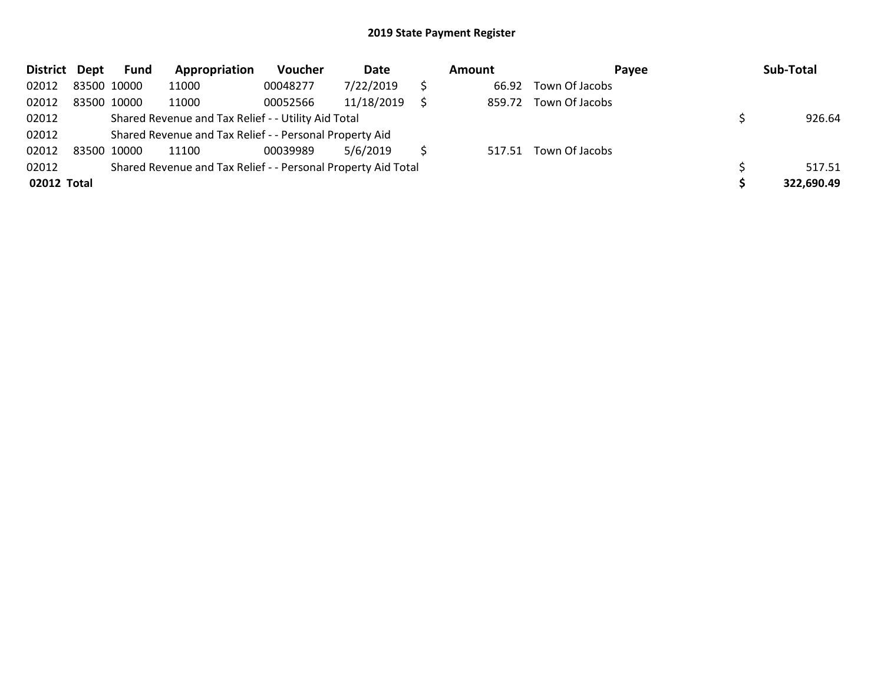| District Dept |             | <b>Fund</b> | Appropriation                                                 | Voucher  | Date       | Amount | Payee                 | Sub-Total  |
|---------------|-------------|-------------|---------------------------------------------------------------|----------|------------|--------|-----------------------|------------|
| 02012         | 83500 10000 |             | 11000                                                         | 00048277 | 7/22/2019  | 66.92  | Town Of Jacobs        |            |
| 02012         | 83500 10000 |             | 11000                                                         | 00052566 | 11/18/2019 | 859.72 | Town Of Jacobs        |            |
| 02012         |             |             | Shared Revenue and Tax Relief - - Utility Aid Total           |          |            |        |                       | 926.64     |
| 02012         |             |             | Shared Revenue and Tax Relief - - Personal Property Aid       |          |            |        |                       |            |
| 02012         | 83500 10000 |             | 11100                                                         | 00039989 | 5/6/2019   |        | 517.51 Town Of Jacobs |            |
| 02012         |             |             | Shared Revenue and Tax Relief - - Personal Property Aid Total |          |            |        |                       | 517.51     |
| 02012 Total   |             |             |                                                               |          |            |        |                       | 322,690.49 |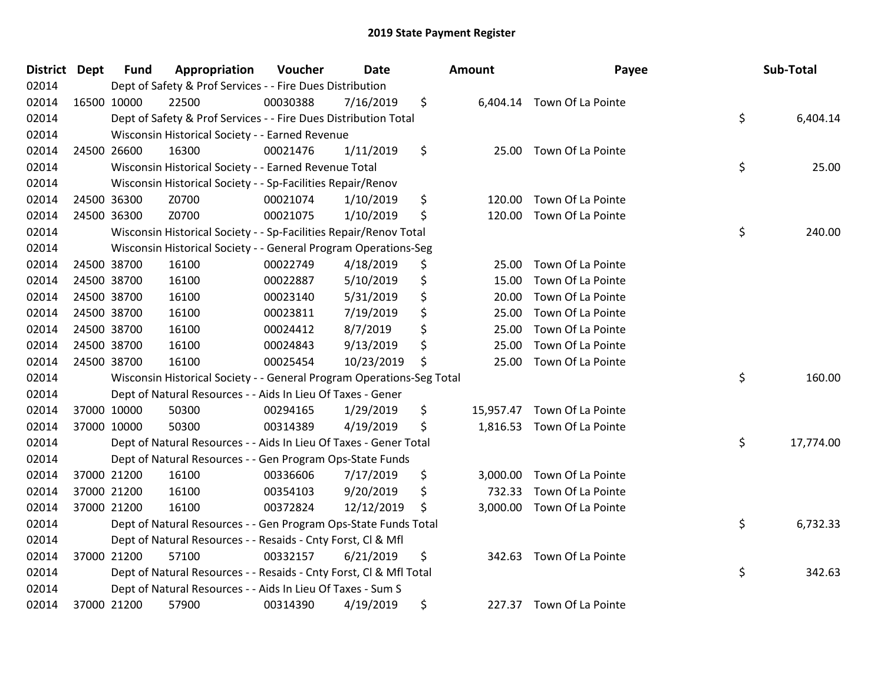| <b>District Dept</b> | <b>Fund</b> | Appropriation                                                         | Voucher  | <b>Date</b> | <b>Amount</b>   | Payee                      | Sub-Total       |
|----------------------|-------------|-----------------------------------------------------------------------|----------|-------------|-----------------|----------------------------|-----------------|
| 02014                |             | Dept of Safety & Prof Services - - Fire Dues Distribution             |          |             |                 |                            |                 |
| 02014                | 16500 10000 | 22500                                                                 | 00030388 | 7/16/2019   | \$              | 6,404.14 Town Of La Pointe |                 |
| 02014                |             | Dept of Safety & Prof Services - - Fire Dues Distribution Total       |          |             |                 |                            | \$<br>6,404.14  |
| 02014                |             | Wisconsin Historical Society - - Earned Revenue                       |          |             |                 |                            |                 |
| 02014                | 24500 26600 | 16300                                                                 | 00021476 | 1/11/2019   | \$<br>25.00     | Town Of La Pointe          |                 |
| 02014                |             | Wisconsin Historical Society - - Earned Revenue Total                 |          |             |                 |                            | \$<br>25.00     |
| 02014                |             | Wisconsin Historical Society - - Sp-Facilities Repair/Renov           |          |             |                 |                            |                 |
| 02014                | 24500 36300 | Z0700                                                                 | 00021074 | 1/10/2019   | \$<br>120.00    | Town Of La Pointe          |                 |
| 02014                | 24500 36300 | Z0700                                                                 | 00021075 | 1/10/2019   | \$<br>120.00    | Town Of La Pointe          |                 |
| 02014                |             | Wisconsin Historical Society - - Sp-Facilities Repair/Renov Total     |          |             |                 |                            | \$<br>240.00    |
| 02014                |             | Wisconsin Historical Society - - General Program Operations-Seg       |          |             |                 |                            |                 |
| 02014                | 24500 38700 | 16100                                                                 | 00022749 | 4/18/2019   | \$<br>25.00     | Town Of La Pointe          |                 |
| 02014                | 24500 38700 | 16100                                                                 | 00022887 | 5/10/2019   | \$<br>15.00     | Town Of La Pointe          |                 |
| 02014                | 24500 38700 | 16100                                                                 | 00023140 | 5/31/2019   | \$<br>20.00     | Town Of La Pointe          |                 |
| 02014                | 24500 38700 | 16100                                                                 | 00023811 | 7/19/2019   | \$<br>25.00     | Town Of La Pointe          |                 |
| 02014                | 24500 38700 | 16100                                                                 | 00024412 | 8/7/2019    | \$<br>25.00     | Town Of La Pointe          |                 |
| 02014                | 24500 38700 | 16100                                                                 | 00024843 | 9/13/2019   | \$<br>25.00     | Town Of La Pointe          |                 |
| 02014                | 24500 38700 | 16100                                                                 | 00025454 | 10/23/2019  | \$<br>25.00     | Town Of La Pointe          |                 |
| 02014                |             | Wisconsin Historical Society - - General Program Operations-Seg Total |          |             |                 |                            | \$<br>160.00    |
| 02014                |             | Dept of Natural Resources - - Aids In Lieu Of Taxes - Gener           |          |             |                 |                            |                 |
| 02014                | 37000 10000 | 50300                                                                 | 00294165 | 1/29/2019   | \$<br>15,957.47 | Town Of La Pointe          |                 |
| 02014                | 37000 10000 | 50300                                                                 | 00314389 | 4/19/2019   | \$<br>1,816.53  | Town Of La Pointe          |                 |
| 02014                |             | Dept of Natural Resources - - Aids In Lieu Of Taxes - Gener Total     |          |             |                 |                            | \$<br>17,774.00 |
| 02014                |             | Dept of Natural Resources - - Gen Program Ops-State Funds             |          |             |                 |                            |                 |
| 02014                | 37000 21200 | 16100                                                                 | 00336606 | 7/17/2019   | \$<br>3,000.00  | Town Of La Pointe          |                 |
| 02014                | 37000 21200 | 16100                                                                 | 00354103 | 9/20/2019   | \$<br>732.33    | Town Of La Pointe          |                 |
| 02014                | 37000 21200 | 16100                                                                 | 00372824 | 12/12/2019  | \$              | 3,000.00 Town Of La Pointe |                 |
| 02014                |             | Dept of Natural Resources - - Gen Program Ops-State Funds Total       |          |             |                 |                            | \$<br>6,732.33  |
| 02014                |             | Dept of Natural Resources - - Resaids - Cnty Forst, Cl & Mfl          |          |             |                 |                            |                 |
| 02014                | 37000 21200 | 57100                                                                 | 00332157 | 6/21/2019   | \$<br>342.63    | Town Of La Pointe          |                 |
| 02014                |             | Dept of Natural Resources - - Resaids - Cnty Forst, CI & Mfl Total    |          |             |                 |                            | \$<br>342.63    |
| 02014                |             | Dept of Natural Resources - - Aids In Lieu Of Taxes - Sum S           |          |             |                 |                            |                 |
| 02014                | 37000 21200 | 57900                                                                 | 00314390 | 4/19/2019   | \$<br>227.37    | Town Of La Pointe          |                 |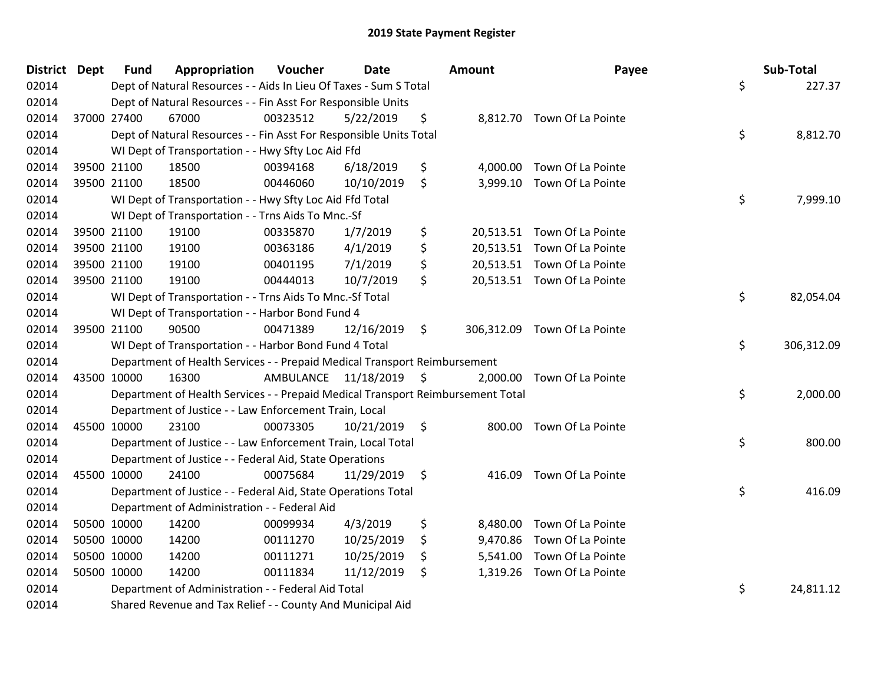| District Dept |             | <b>Fund</b> | Appropriation                                                                   | Voucher                 | <b>Date</b>     | <b>Amount</b>    | Payee                       | Sub-Total        |
|---------------|-------------|-------------|---------------------------------------------------------------------------------|-------------------------|-----------------|------------------|-----------------------------|------------------|
| 02014         |             |             | Dept of Natural Resources - - Aids In Lieu Of Taxes - Sum S Total               |                         |                 |                  |                             | \$<br>227.37     |
| 02014         |             |             | Dept of Natural Resources - - Fin Asst For Responsible Units                    |                         |                 |                  |                             |                  |
| 02014         |             | 37000 27400 | 67000                                                                           | 00323512                | 5/22/2019       | \$               | 8,812.70 Town Of La Pointe  |                  |
| 02014         |             |             | Dept of Natural Resources - - Fin Asst For Responsible Units Total              |                         |                 |                  |                             | \$<br>8,812.70   |
| 02014         |             |             | WI Dept of Transportation - - Hwy Sfty Loc Aid Ffd                              |                         |                 |                  |                             |                  |
| 02014         | 39500 21100 |             | 18500                                                                           | 00394168                | 6/18/2019       | \$               | 4,000.00 Town Of La Pointe  |                  |
| 02014         | 39500 21100 |             | 18500                                                                           | 00446060                | 10/10/2019      | \$               | 3,999.10 Town Of La Pointe  |                  |
| 02014         |             |             | WI Dept of Transportation - - Hwy Sfty Loc Aid Ffd Total                        |                         |                 |                  |                             | \$<br>7,999.10   |
| 02014         |             |             | WI Dept of Transportation - - Trns Aids To Mnc.-Sf                              |                         |                 |                  |                             |                  |
| 02014         |             | 39500 21100 | 19100                                                                           | 00335870                | 1/7/2019        | \$               | 20,513.51 Town Of La Pointe |                  |
| 02014         |             | 39500 21100 | 19100                                                                           | 00363186                | 4/1/2019        | \$               | 20,513.51 Town Of La Pointe |                  |
| 02014         | 39500 21100 |             | 19100                                                                           | 00401195                | 7/1/2019        | \$               | 20,513.51 Town Of La Pointe |                  |
| 02014         | 39500 21100 |             | 19100                                                                           | 00444013                | 10/7/2019       | \$               | 20,513.51 Town Of La Pointe |                  |
| 02014         |             |             | WI Dept of Transportation - - Trns Aids To Mnc.-Sf Total                        |                         |                 |                  |                             | \$<br>82,054.04  |
| 02014         |             |             | WI Dept of Transportation - - Harbor Bond Fund 4                                |                         |                 |                  |                             |                  |
| 02014         | 39500 21100 |             | 90500                                                                           | 00471389                | 12/16/2019      | \$<br>306,312.09 | Town Of La Pointe           |                  |
| 02014         |             |             | WI Dept of Transportation - - Harbor Bond Fund 4 Total                          |                         |                 |                  |                             | \$<br>306,312.09 |
| 02014         |             |             | Department of Health Services - - Prepaid Medical Transport Reimbursement       |                         |                 |                  |                             |                  |
| 02014         | 43500 10000 |             | 16300                                                                           | AMBULANCE 11/18/2019 \$ |                 |                  | 2,000.00 Town Of La Pointe  |                  |
| 02014         |             |             | Department of Health Services - - Prepaid Medical Transport Reimbursement Total |                         |                 |                  |                             | \$<br>2,000.00   |
| 02014         |             |             | Department of Justice - - Law Enforcement Train, Local                          |                         |                 |                  |                             |                  |
| 02014         | 45500 10000 |             | 23100                                                                           | 00073305                | $10/21/2019$ \$ |                  | 800.00 Town Of La Pointe    |                  |
| 02014         |             |             | Department of Justice - - Law Enforcement Train, Local Total                    |                         |                 |                  |                             | \$<br>800.00     |
| 02014         |             |             | Department of Justice - - Federal Aid, State Operations                         |                         |                 |                  |                             |                  |
| 02014         | 45500 10000 |             | 24100                                                                           | 00075684                | 11/29/2019      | \$<br>416.09     | Town Of La Pointe           |                  |
| 02014         |             |             | Department of Justice - - Federal Aid, State Operations Total                   |                         |                 |                  |                             | \$<br>416.09     |
| 02014         |             |             | Department of Administration - - Federal Aid                                    |                         |                 |                  |                             |                  |
| 02014         |             | 50500 10000 | 14200                                                                           | 00099934                | 4/3/2019        | \$               | 8,480.00 Town Of La Pointe  |                  |
| 02014         |             | 50500 10000 | 14200                                                                           | 00111270                | 10/25/2019      | \$               | 9,470.86 Town Of La Pointe  |                  |
| 02014         |             | 50500 10000 | 14200                                                                           | 00111271                | 10/25/2019      | \$               | 5,541.00 Town Of La Pointe  |                  |
| 02014         | 50500 10000 |             | 14200                                                                           | 00111834                | 11/12/2019      | \$               | 1,319.26 Town Of La Pointe  |                  |
| 02014         |             |             | Department of Administration - - Federal Aid Total                              |                         |                 |                  |                             | \$<br>24,811.12  |
| 02014         |             |             | Shared Revenue and Tax Relief - - County And Municipal Aid                      |                         |                 |                  |                             |                  |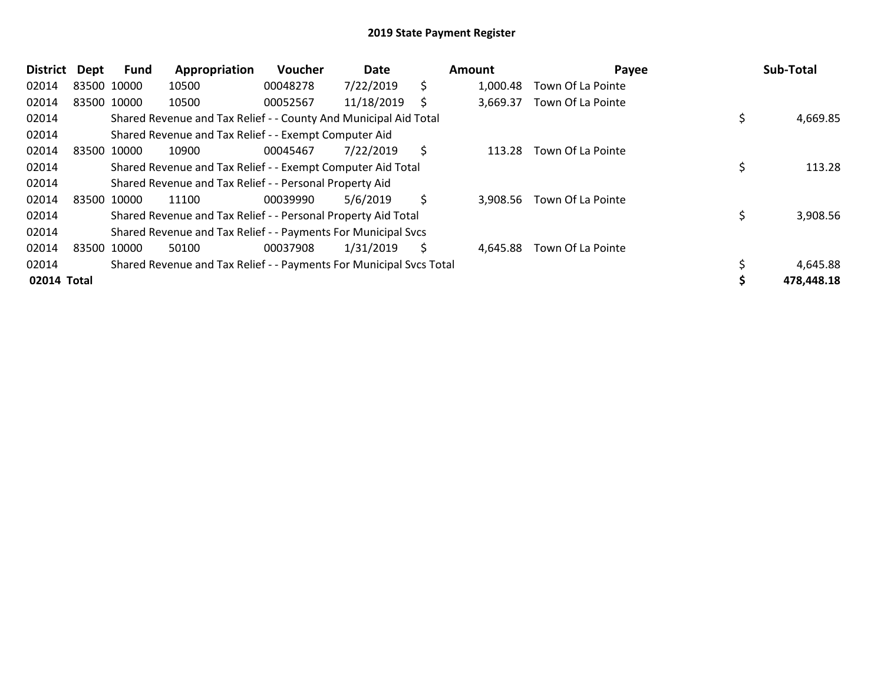| <b>District</b> | <b>Dept</b> | Fund        | Appropriation                                                       | Voucher  | Date       |    | Amount   | Payee             | Sub-Total      |
|-----------------|-------------|-------------|---------------------------------------------------------------------|----------|------------|----|----------|-------------------|----------------|
| 02014           |             | 83500 10000 | 10500                                                               | 00048278 | 7/22/2019  | \$ | 1.000.48 | Town Of La Pointe |                |
| 02014           |             | 83500 10000 | 10500                                                               | 00052567 | 11/18/2019 | S  | 3,669.37 | Town Of La Pointe |                |
| 02014           |             |             | Shared Revenue and Tax Relief - - County And Municipal Aid Total    |          |            |    |          |                   | \$<br>4,669.85 |
| 02014           |             |             | Shared Revenue and Tax Relief - - Exempt Computer Aid               |          |            |    |          |                   |                |
| 02014           |             | 83500 10000 | 10900                                                               | 00045467 | 7/22/2019  | \$ | 113.28   | Town Of La Pointe |                |
| 02014           |             |             | Shared Revenue and Tax Relief - - Exempt Computer Aid Total         |          |            |    |          |                   | 113.28         |
| 02014           |             |             | Shared Revenue and Tax Relief - - Personal Property Aid             |          |            |    |          |                   |                |
| 02014           |             | 83500 10000 | 11100                                                               | 00039990 | 5/6/2019   | \$ | 3,908.56 | Town Of La Pointe |                |
| 02014           |             |             | Shared Revenue and Tax Relief - - Personal Property Aid Total       |          |            |    |          |                   | 3,908.56       |
| 02014           |             |             | Shared Revenue and Tax Relief - - Payments For Municipal Svcs       |          |            |    |          |                   |                |
| 02014           |             | 83500 10000 | 50100                                                               | 00037908 | 1/31/2019  | S  | 4,645.88 | Town Of La Pointe |                |
| 02014           |             |             | Shared Revenue and Tax Relief - - Payments For Municipal Svcs Total |          |            |    |          |                   | 4,645.88       |
| 02014 Total     |             |             |                                                                     |          |            |    |          |                   | 478,448.18     |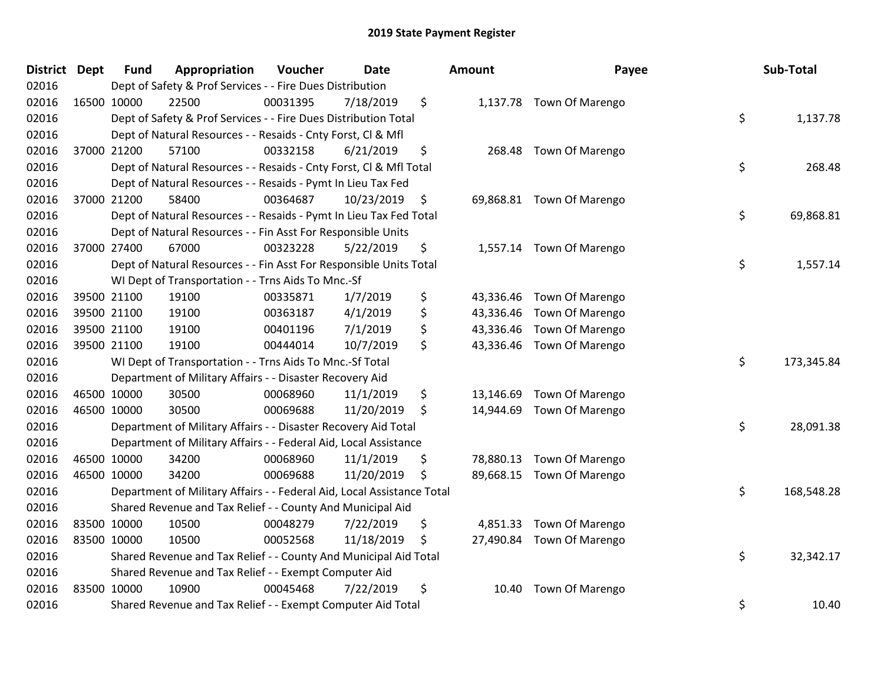| <b>District Dept</b> |             | <b>Fund</b> | Appropriation                                                          | Voucher  | <b>Date</b> |    | Amount    | Payee                     | Sub-Total        |
|----------------------|-------------|-------------|------------------------------------------------------------------------|----------|-------------|----|-----------|---------------------------|------------------|
| 02016                |             |             | Dept of Safety & Prof Services - - Fire Dues Distribution              |          |             |    |           |                           |                  |
| 02016                |             | 16500 10000 | 22500                                                                  | 00031395 | 7/18/2019   | \$ |           | 1,137.78 Town Of Marengo  |                  |
| 02016                |             |             | Dept of Safety & Prof Services - - Fire Dues Distribution Total        |          |             |    |           |                           | \$<br>1,137.78   |
| 02016                |             |             | Dept of Natural Resources - - Resaids - Cnty Forst, CI & Mfl           |          |             |    |           |                           |                  |
| 02016                |             | 37000 21200 | 57100                                                                  | 00332158 | 6/21/2019   | \$ |           | 268.48 Town Of Marengo    |                  |
| 02016                |             |             | Dept of Natural Resources - - Resaids - Cnty Forst, Cl & Mfl Total     |          |             |    |           |                           | \$<br>268.48     |
| 02016                |             |             | Dept of Natural Resources - - Resaids - Pymt In Lieu Tax Fed           |          |             |    |           |                           |                  |
| 02016                |             | 37000 21200 | 58400                                                                  | 00364687 | 10/23/2019  | \$ |           | 69,868.81 Town Of Marengo |                  |
| 02016                |             |             | Dept of Natural Resources - - Resaids - Pymt In Lieu Tax Fed Total     |          |             |    |           |                           | \$<br>69,868.81  |
| 02016                |             |             | Dept of Natural Resources - - Fin Asst For Responsible Units           |          |             |    |           |                           |                  |
| 02016                |             | 37000 27400 | 67000                                                                  | 00323228 | 5/22/2019   | \$ |           | 1,557.14 Town Of Marengo  |                  |
| 02016                |             |             | Dept of Natural Resources - - Fin Asst For Responsible Units Total     |          |             |    |           |                           | \$<br>1,557.14   |
| 02016                |             |             | WI Dept of Transportation - - Trns Aids To Mnc.-Sf                     |          |             |    |           |                           |                  |
| 02016                |             | 39500 21100 | 19100                                                                  | 00335871 | 1/7/2019    | \$ |           | 43,336.46 Town Of Marengo |                  |
| 02016                |             | 39500 21100 | 19100                                                                  | 00363187 | 4/1/2019    | \$ | 43,336.46 | Town Of Marengo           |                  |
| 02016                |             | 39500 21100 | 19100                                                                  | 00401196 | 7/1/2019    | \$ | 43,336.46 | Town Of Marengo           |                  |
| 02016                |             | 39500 21100 | 19100                                                                  | 00444014 | 10/7/2019   | \$ | 43,336.46 | Town Of Marengo           |                  |
| 02016                |             |             | WI Dept of Transportation - - Trns Aids To Mnc.-Sf Total               |          |             |    |           |                           | \$<br>173,345.84 |
| 02016                |             |             | Department of Military Affairs - - Disaster Recovery Aid               |          |             |    |           |                           |                  |
| 02016                |             | 46500 10000 | 30500                                                                  | 00068960 | 11/1/2019   | \$ | 13,146.69 | Town Of Marengo           |                  |
| 02016                |             | 46500 10000 | 30500                                                                  | 00069688 | 11/20/2019  | \$ | 14,944.69 | Town Of Marengo           |                  |
| 02016                |             |             | Department of Military Affairs - - Disaster Recovery Aid Total         |          |             |    |           |                           | \$<br>28,091.38  |
| 02016                |             |             | Department of Military Affairs - - Federal Aid, Local Assistance       |          |             |    |           |                           |                  |
| 02016                |             | 46500 10000 | 34200                                                                  | 00068960 | 11/1/2019   | \$ |           | 78,880.13 Town Of Marengo |                  |
| 02016                |             | 46500 10000 | 34200                                                                  | 00069688 | 11/20/2019  | -Ş |           | 89,668.15 Town Of Marengo |                  |
| 02016                |             |             | Department of Military Affairs - - Federal Aid, Local Assistance Total |          |             |    |           |                           | \$<br>168,548.28 |
| 02016                |             |             | Shared Revenue and Tax Relief - - County And Municipal Aid             |          |             |    |           |                           |                  |
| 02016                | 83500 10000 |             | 10500                                                                  | 00048279 | 7/22/2019   | \$ | 4,851.33  | Town Of Marengo           |                  |
| 02016                |             | 83500 10000 | 10500                                                                  | 00052568 | 11/18/2019  | \$ |           | 27,490.84 Town Of Marengo |                  |
| 02016                |             |             | Shared Revenue and Tax Relief - - County And Municipal Aid Total       |          |             |    |           |                           | \$<br>32,342.17  |
| 02016                |             |             | Shared Revenue and Tax Relief - - Exempt Computer Aid                  |          |             |    |           |                           |                  |
| 02016                |             | 83500 10000 | 10900                                                                  | 00045468 | 7/22/2019   | \$ | 10.40     | Town Of Marengo           |                  |
| 02016                |             |             | Shared Revenue and Tax Relief - - Exempt Computer Aid Total            |          |             |    |           |                           | \$<br>10.40      |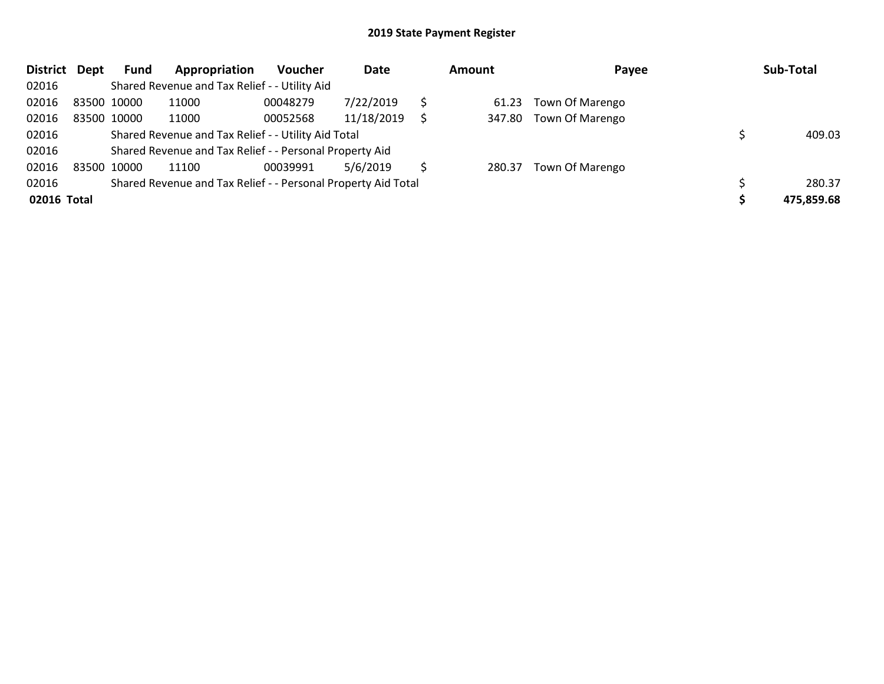| <b>District</b> | Dept | Fund        | Appropriation                                                 | <b>Voucher</b> | Date       |   | <b>Amount</b> | Payee           | Sub-Total  |
|-----------------|------|-------------|---------------------------------------------------------------|----------------|------------|---|---------------|-----------------|------------|
| 02016           |      |             | Shared Revenue and Tax Relief - - Utility Aid                 |                |            |   |               |                 |            |
| 02016           |      | 83500 10000 | 11000                                                         | 00048279       | 7/22/2019  |   | 61.23         | Town Of Marengo |            |
| 02016           |      | 83500 10000 | 11000                                                         | 00052568       | 11/18/2019 | S | 347.80        | Town Of Marengo |            |
| 02016           |      |             | Shared Revenue and Tax Relief - - Utility Aid Total           |                |            |   |               |                 | 409.03     |
| 02016           |      |             | Shared Revenue and Tax Relief - - Personal Property Aid       |                |            |   |               |                 |            |
| 02016           |      | 83500 10000 | 11100                                                         | 00039991       | 5/6/2019   |   | 280.37        | Town Of Marengo |            |
| 02016           |      |             | Shared Revenue and Tax Relief - - Personal Property Aid Total |                |            |   |               |                 | 280.37     |
| 02016 Total     |      |             |                                                               |                |            |   |               |                 | 475,859.68 |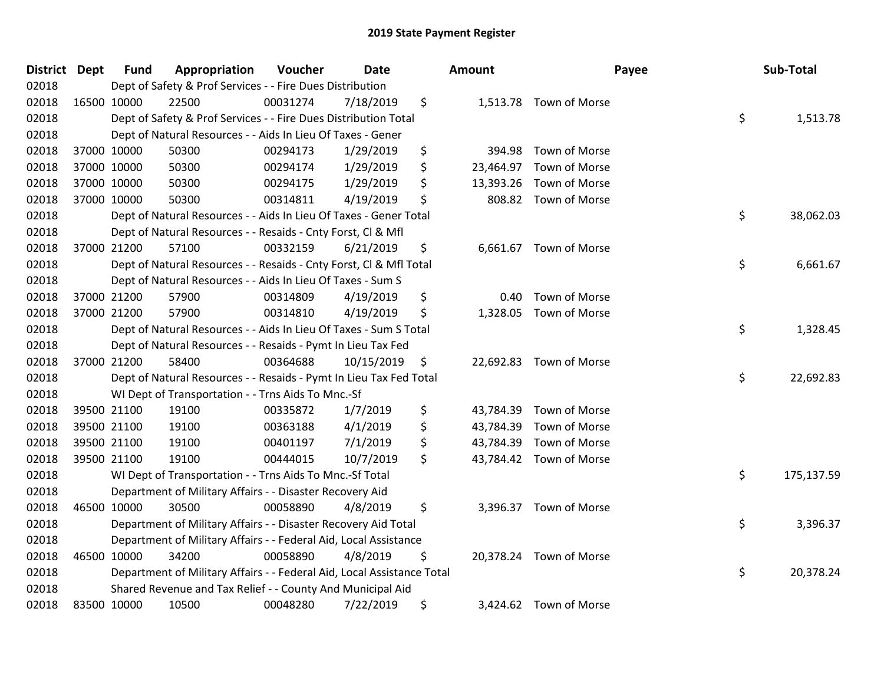| <b>District Dept</b> | <b>Fund</b> | Appropriation                                                          | Voucher  | Date       | <b>Amount</b>   |                         | Payee | Sub-Total  |
|----------------------|-------------|------------------------------------------------------------------------|----------|------------|-----------------|-------------------------|-------|------------|
| 02018                |             | Dept of Safety & Prof Services - - Fire Dues Distribution              |          |            |                 |                         |       |            |
| 02018                | 16500 10000 | 22500                                                                  | 00031274 | 7/18/2019  | \$              | 1,513.78 Town of Morse  |       |            |
| 02018                |             | Dept of Safety & Prof Services - - Fire Dues Distribution Total        |          |            |                 |                         | \$    | 1,513.78   |
| 02018                |             | Dept of Natural Resources - - Aids In Lieu Of Taxes - Gener            |          |            |                 |                         |       |            |
| 02018                | 37000 10000 | 50300                                                                  | 00294173 | 1/29/2019  | \$<br>394.98    | Town of Morse           |       |            |
| 02018                | 37000 10000 | 50300                                                                  | 00294174 | 1/29/2019  | \$<br>23,464.97 | Town of Morse           |       |            |
| 02018                | 37000 10000 | 50300                                                                  | 00294175 | 1/29/2019  | \$<br>13,393.26 | Town of Morse           |       |            |
| 02018                | 37000 10000 | 50300                                                                  | 00314811 | 4/19/2019  | \$<br>808.82    | Town of Morse           |       |            |
| 02018                |             | Dept of Natural Resources - - Aids In Lieu Of Taxes - Gener Total      |          |            |                 |                         | \$    | 38,062.03  |
| 02018                |             | Dept of Natural Resources - - Resaids - Cnty Forst, Cl & Mfl           |          |            |                 |                         |       |            |
| 02018                | 37000 21200 | 57100                                                                  | 00332159 | 6/21/2019  | \$              | 6,661.67 Town of Morse  |       |            |
| 02018                |             | Dept of Natural Resources - - Resaids - Cnty Forst, Cl & Mfl Total     |          |            |                 |                         | \$    | 6,661.67   |
| 02018                |             | Dept of Natural Resources - - Aids In Lieu Of Taxes - Sum S            |          |            |                 |                         |       |            |
| 02018                | 37000 21200 | 57900                                                                  | 00314809 | 4/19/2019  | \$<br>0.40      | Town of Morse           |       |            |
| 02018                | 37000 21200 | 57900                                                                  | 00314810 | 4/19/2019  | \$<br>1,328.05  | Town of Morse           |       |            |
| 02018                |             | Dept of Natural Resources - - Aids In Lieu Of Taxes - Sum S Total      |          |            |                 |                         | \$    | 1,328.45   |
| 02018                |             | Dept of Natural Resources - - Resaids - Pymt In Lieu Tax Fed           |          |            |                 |                         |       |            |
| 02018                | 37000 21200 | 58400                                                                  | 00364688 | 10/15/2019 | \$              | 22,692.83 Town of Morse |       |            |
| 02018                |             | Dept of Natural Resources - - Resaids - Pymt In Lieu Tax Fed Total     |          |            |                 |                         | \$    | 22,692.83  |
| 02018                |             | WI Dept of Transportation - - Trns Aids To Mnc.-Sf                     |          |            |                 |                         |       |            |
| 02018                | 39500 21100 | 19100                                                                  | 00335872 | 1/7/2019   | \$<br>43,784.39 | Town of Morse           |       |            |
| 02018                | 39500 21100 | 19100                                                                  | 00363188 | 4/1/2019   | \$<br>43,784.39 | Town of Morse           |       |            |
| 02018                | 39500 21100 | 19100                                                                  | 00401197 | 7/1/2019   | \$              | 43,784.39 Town of Morse |       |            |
| 02018                | 39500 21100 | 19100                                                                  | 00444015 | 10/7/2019  | \$              | 43,784.42 Town of Morse |       |            |
| 02018                |             | WI Dept of Transportation - - Trns Aids To Mnc.-Sf Total               |          |            |                 |                         | \$    | 175,137.59 |
| 02018                |             | Department of Military Affairs - - Disaster Recovery Aid               |          |            |                 |                         |       |            |
| 02018                | 46500 10000 | 30500                                                                  | 00058890 | 4/8/2019   | \$              | 3,396.37 Town of Morse  |       |            |
| 02018                |             | Department of Military Affairs - - Disaster Recovery Aid Total         |          |            |                 |                         | \$    | 3,396.37   |
| 02018                |             | Department of Military Affairs - - Federal Aid, Local Assistance       |          |            |                 |                         |       |            |
| 02018                | 46500 10000 | 34200                                                                  | 00058890 | 4/8/2019   | \$              | 20,378.24 Town of Morse |       |            |
| 02018                |             | Department of Military Affairs - - Federal Aid, Local Assistance Total |          |            |                 |                         | \$    | 20,378.24  |
| 02018                |             | Shared Revenue and Tax Relief - - County And Municipal Aid             |          |            |                 |                         |       |            |
| 02018                | 83500 10000 | 10500                                                                  | 00048280 | 7/22/2019  | \$              | 3,424.62 Town of Morse  |       |            |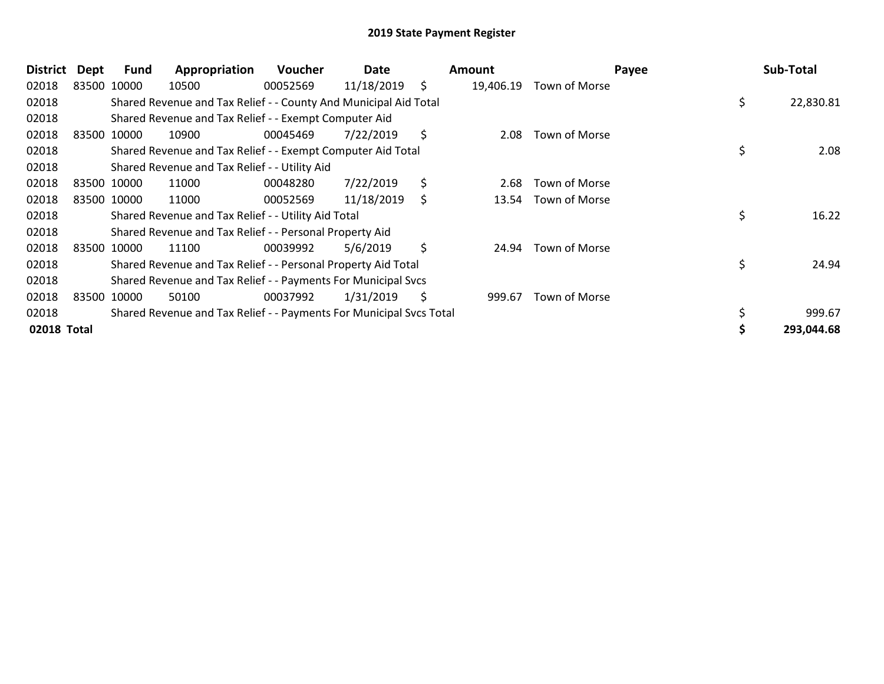| <b>District</b> | Dept        | <b>Fund</b> | Appropriation                                                       | <b>Voucher</b> | Date       | Amount          |               | Payee | Sub-Total  |
|-----------------|-------------|-------------|---------------------------------------------------------------------|----------------|------------|-----------------|---------------|-------|------------|
| 02018           | 83500 10000 |             | 10500                                                               | 00052569       | 11/18/2019 | \$<br>19,406.19 | Town of Morse |       |            |
| 02018           |             |             | Shared Revenue and Tax Relief - - County And Municipal Aid Total    |                |            |                 |               | \$    | 22,830.81  |
| 02018           |             |             | Shared Revenue and Tax Relief - - Exempt Computer Aid               |                |            |                 |               |       |            |
| 02018           | 83500 10000 |             | 10900                                                               | 00045469       | 7/22/2019  | \$<br>2.08      | Town of Morse |       |            |
| 02018           |             |             | Shared Revenue and Tax Relief - - Exempt Computer Aid Total         |                |            |                 |               | \$    | 2.08       |
| 02018           |             |             | Shared Revenue and Tax Relief - - Utility Aid                       |                |            |                 |               |       |            |
| 02018           |             | 83500 10000 | 11000                                                               | 00048280       | 7/22/2019  | \$<br>2.68      | Town of Morse |       |            |
| 02018           |             | 83500 10000 | 11000                                                               | 00052569       | 11/18/2019 | \$<br>13.54     | Town of Morse |       |            |
| 02018           |             |             | Shared Revenue and Tax Relief - - Utility Aid Total                 |                |            |                 |               | \$    | 16.22      |
| 02018           |             |             | Shared Revenue and Tax Relief - - Personal Property Aid             |                |            |                 |               |       |            |
| 02018           | 83500 10000 |             | 11100                                                               | 00039992       | 5/6/2019   | \$<br>24.94     | Town of Morse |       |            |
| 02018           |             |             | Shared Revenue and Tax Relief - - Personal Property Aid Total       |                |            |                 |               | \$    | 24.94      |
| 02018           |             |             | Shared Revenue and Tax Relief - - Payments For Municipal Svcs       |                |            |                 |               |       |            |
| 02018           | 83500 10000 |             | 50100                                                               | 00037992       | 1/31/2019  | \$<br>999.67    | Town of Morse |       |            |
| 02018           |             |             | Shared Revenue and Tax Relief - - Payments For Municipal Svcs Total |                |            |                 |               |       | 999.67     |
| 02018 Total     |             |             |                                                                     |                |            |                 |               |       | 293,044.68 |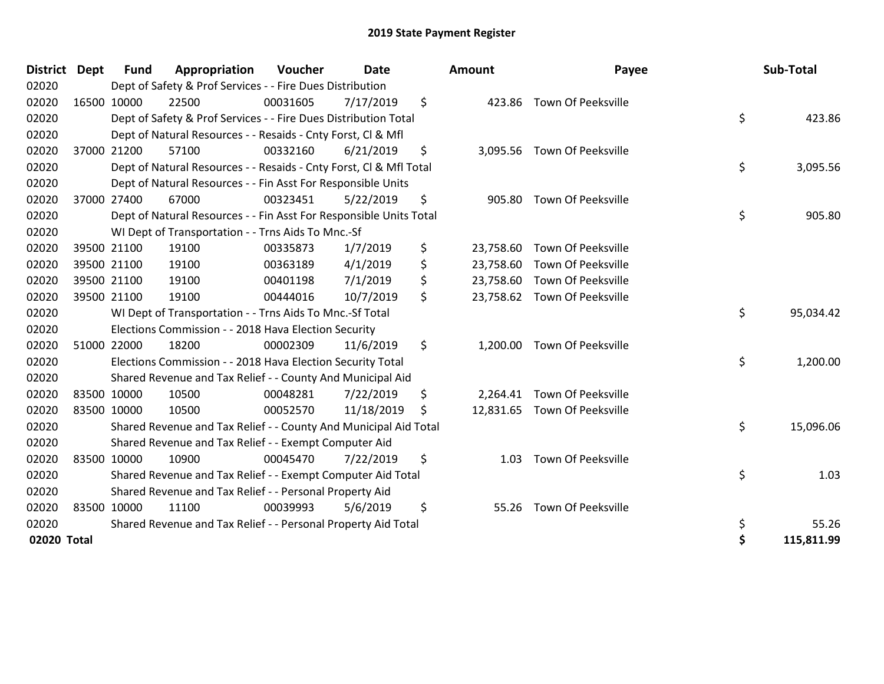| <b>District</b> | <b>Dept</b> | <b>Fund</b> | Appropriation                                                      | Voucher  | <b>Date</b> | Amount          | Payee                        | Sub-Total        |
|-----------------|-------------|-------------|--------------------------------------------------------------------|----------|-------------|-----------------|------------------------------|------------------|
| 02020           |             |             | Dept of Safety & Prof Services - - Fire Dues Distribution          |          |             |                 |                              |                  |
| 02020           | 16500 10000 |             | 22500                                                              | 00031605 | 7/17/2019   | \$              | 423.86 Town Of Peeksville    |                  |
| 02020           |             |             | Dept of Safety & Prof Services - - Fire Dues Distribution Total    |          |             |                 |                              | \$<br>423.86     |
| 02020           |             |             | Dept of Natural Resources - - Resaids - Cnty Forst, Cl & Mfl       |          |             |                 |                              |                  |
| 02020           |             | 37000 21200 | 57100                                                              | 00332160 | 6/21/2019   | \$              | 3,095.56 Town Of Peeksville  |                  |
| 02020           |             |             | Dept of Natural Resources - - Resaids - Cnty Forst, Cl & Mfl Total |          |             |                 |                              | \$<br>3,095.56   |
| 02020           |             |             | Dept of Natural Resources - - Fin Asst For Responsible Units       |          |             |                 |                              |                  |
| 02020           |             | 37000 27400 | 67000                                                              | 00323451 | 5/22/2019   | \$<br>905.80    | Town Of Peeksville           |                  |
| 02020           |             |             | Dept of Natural Resources - - Fin Asst For Responsible Units Total |          |             |                 |                              | \$<br>905.80     |
| 02020           |             |             | WI Dept of Transportation - - Trns Aids To Mnc.-Sf                 |          |             |                 |                              |                  |
| 02020           |             | 39500 21100 | 19100                                                              | 00335873 | 1/7/2019    | \$<br>23,758.60 | <b>Town Of Peeksville</b>    |                  |
| 02020           |             | 39500 21100 | 19100                                                              | 00363189 | 4/1/2019    | \$<br>23,758.60 | Town Of Peeksville           |                  |
| 02020           |             | 39500 21100 | 19100                                                              | 00401198 | 7/1/2019    | \$<br>23,758.60 | Town Of Peeksville           |                  |
| 02020           |             | 39500 21100 | 19100                                                              | 00444016 | 10/7/2019   | \$              | 23,758.62 Town Of Peeksville |                  |
| 02020           |             |             | WI Dept of Transportation - - Trns Aids To Mnc.-Sf Total           |          |             |                 |                              | \$<br>95,034.42  |
| 02020           |             |             | Elections Commission - - 2018 Hava Election Security               |          |             |                 |                              |                  |
| 02020           |             | 51000 22000 | 18200                                                              | 00002309 | 11/6/2019   | \$<br>1,200.00  | <b>Town Of Peeksville</b>    |                  |
| 02020           |             |             | Elections Commission - - 2018 Hava Election Security Total         |          |             |                 |                              | \$<br>1,200.00   |
| 02020           |             |             | Shared Revenue and Tax Relief - - County And Municipal Aid         |          |             |                 |                              |                  |
| 02020           |             | 83500 10000 | 10500                                                              | 00048281 | 7/22/2019   | \$              | 2,264.41 Town Of Peeksville  |                  |
| 02020           |             | 83500 10000 | 10500                                                              | 00052570 | 11/18/2019  | \$              | 12,831.65 Town Of Peeksville |                  |
| 02020           |             |             | Shared Revenue and Tax Relief - - County And Municipal Aid Total   |          |             |                 |                              | \$<br>15,096.06  |
| 02020           |             |             | Shared Revenue and Tax Relief - - Exempt Computer Aid              |          |             |                 |                              |                  |
| 02020           |             | 83500 10000 | 10900                                                              | 00045470 | 7/22/2019   | \$<br>1.03      | Town Of Peeksville           |                  |
| 02020           |             |             | Shared Revenue and Tax Relief - - Exempt Computer Aid Total        |          |             |                 |                              | \$<br>1.03       |
| 02020           |             |             | Shared Revenue and Tax Relief - - Personal Property Aid            |          |             |                 |                              |                  |
| 02020           |             | 83500 10000 | 11100                                                              | 00039993 | 5/6/2019    | \$<br>55.26     | Town Of Peeksville           |                  |
| 02020           |             |             | Shared Revenue and Tax Relief - - Personal Property Aid Total      |          |             |                 |                              | \$<br>55.26      |
| 02020 Total     |             |             |                                                                    |          |             |                 |                              | \$<br>115,811.99 |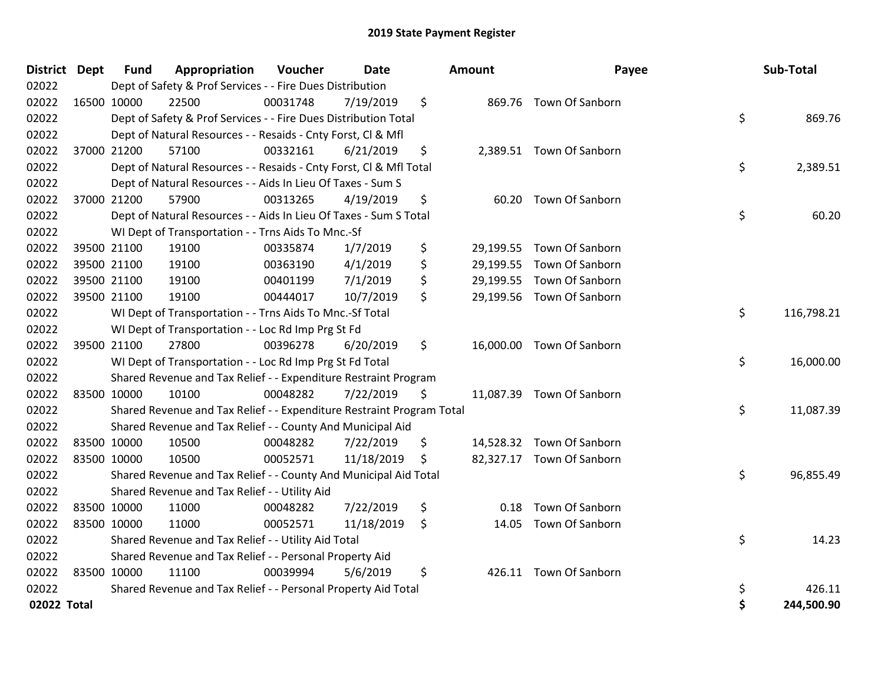| District Dept |             | <b>Fund</b> | Appropriation                                                         | Voucher  | <b>Date</b> | Amount      | Payee                     | Sub-Total        |
|---------------|-------------|-------------|-----------------------------------------------------------------------|----------|-------------|-------------|---------------------------|------------------|
| 02022         |             |             | Dept of Safety & Prof Services - - Fire Dues Distribution             |          |             |             |                           |                  |
| 02022         |             | 16500 10000 | 22500                                                                 | 00031748 | 7/19/2019   | \$          | 869.76 Town Of Sanborn    |                  |
| 02022         |             |             | Dept of Safety & Prof Services - - Fire Dues Distribution Total       |          |             |             |                           | \$<br>869.76     |
| 02022         |             |             | Dept of Natural Resources - - Resaids - Cnty Forst, CI & Mfl          |          |             |             |                           |                  |
| 02022         |             | 37000 21200 | 57100                                                                 | 00332161 | 6/21/2019   | \$          | 2,389.51 Town Of Sanborn  |                  |
| 02022         |             |             | Dept of Natural Resources - - Resaids - Cnty Forst, Cl & Mfl Total    |          |             |             |                           | \$<br>2,389.51   |
| 02022         |             |             | Dept of Natural Resources - - Aids In Lieu Of Taxes - Sum S           |          |             |             |                           |                  |
| 02022         |             | 37000 21200 | 57900                                                                 | 00313265 | 4/19/2019   | \$<br>60.20 | Town Of Sanborn           |                  |
| 02022         |             |             | Dept of Natural Resources - - Aids In Lieu Of Taxes - Sum S Total     |          |             |             |                           | \$<br>60.20      |
| 02022         |             |             | WI Dept of Transportation - - Trns Aids To Mnc.-Sf                    |          |             |             |                           |                  |
| 02022         |             | 39500 21100 | 19100                                                                 | 00335874 | 1/7/2019    | \$          | 29,199.55 Town Of Sanborn |                  |
| 02022         |             | 39500 21100 | 19100                                                                 | 00363190 | 4/1/2019    | \$          | 29,199.55 Town Of Sanborn |                  |
| 02022         |             | 39500 21100 | 19100                                                                 | 00401199 | 7/1/2019    | \$          | 29,199.55 Town Of Sanborn |                  |
| 02022         |             | 39500 21100 | 19100                                                                 | 00444017 | 10/7/2019   | \$          | 29,199.56 Town Of Sanborn |                  |
| 02022         |             |             | WI Dept of Transportation - - Trns Aids To Mnc.-Sf Total              |          |             |             |                           | \$<br>116,798.21 |
| 02022         |             |             | WI Dept of Transportation - - Loc Rd Imp Prg St Fd                    |          |             |             |                           |                  |
| 02022         |             | 39500 21100 | 27800                                                                 | 00396278 | 6/20/2019   | \$          | 16,000.00 Town Of Sanborn |                  |
| 02022         |             |             | WI Dept of Transportation - - Loc Rd Imp Prg St Fd Total              |          |             |             |                           | \$<br>16,000.00  |
| 02022         |             |             | Shared Revenue and Tax Relief - - Expenditure Restraint Program       |          |             |             |                           |                  |
| 02022         | 83500 10000 |             | 10100                                                                 | 00048282 | 7/22/2019   | \$          | 11,087.39 Town Of Sanborn |                  |
| 02022         |             |             | Shared Revenue and Tax Relief - - Expenditure Restraint Program Total |          |             |             |                           | \$<br>11,087.39  |
| 02022         |             |             | Shared Revenue and Tax Relief - - County And Municipal Aid            |          |             |             |                           |                  |
| 02022         |             | 83500 10000 | 10500                                                                 | 00048282 | 7/22/2019   | \$          | 14,528.32 Town Of Sanborn |                  |
| 02022         |             | 83500 10000 | 10500                                                                 | 00052571 | 11/18/2019  | \$          | 82,327.17 Town Of Sanborn |                  |
| 02022         |             |             | Shared Revenue and Tax Relief - - County And Municipal Aid Total      |          |             |             |                           | \$<br>96,855.49  |
| 02022         |             |             | Shared Revenue and Tax Relief - - Utility Aid                         |          |             |             |                           |                  |
| 02022         |             | 83500 10000 | 11000                                                                 | 00048282 | 7/22/2019   | \$<br>0.18  | Town Of Sanborn           |                  |
| 02022         | 83500 10000 |             | 11000                                                                 | 00052571 | 11/18/2019  | \$          | 14.05 Town Of Sanborn     |                  |
| 02022         |             |             | Shared Revenue and Tax Relief - - Utility Aid Total                   |          |             |             |                           | \$<br>14.23      |
| 02022         |             |             | Shared Revenue and Tax Relief - - Personal Property Aid               |          |             |             |                           |                  |
| 02022         | 83500 10000 |             | 11100                                                                 | 00039994 | 5/6/2019    | \$          | 426.11 Town Of Sanborn    |                  |
| 02022         |             |             | Shared Revenue and Tax Relief - - Personal Property Aid Total         |          |             |             |                           | \$<br>426.11     |
| 02022 Total   |             |             |                                                                       |          |             |             |                           | \$<br>244,500.90 |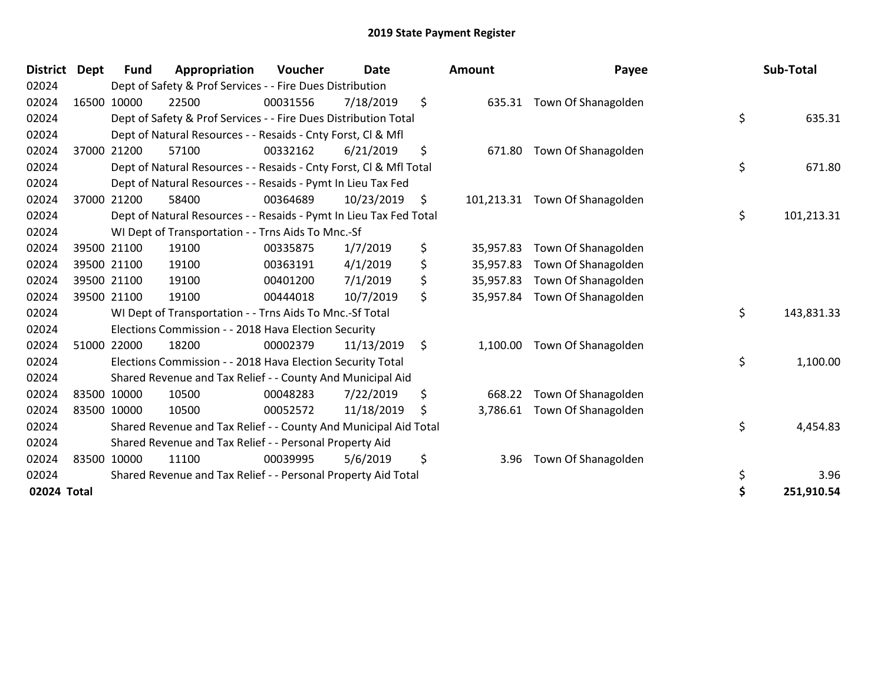| <b>District</b> | Dept  | Fund        | Appropriation                                                      | Voucher  | <b>Date</b> | <b>Amount</b>    | Payee                      | Sub-Total        |
|-----------------|-------|-------------|--------------------------------------------------------------------|----------|-------------|------------------|----------------------------|------------------|
| 02024           |       |             | Dept of Safety & Prof Services - - Fire Dues Distribution          |          |             |                  |                            |                  |
| 02024           |       | 16500 10000 | 22500                                                              | 00031556 | 7/18/2019   | \$               | 635.31 Town Of Shanagolden |                  |
| 02024           |       |             | Dept of Safety & Prof Services - - Fire Dues Distribution Total    |          |             |                  |                            | \$<br>635.31     |
| 02024           |       |             | Dept of Natural Resources - - Resaids - Cnty Forst, CI & Mfl       |          |             |                  |                            |                  |
| 02024           | 37000 | 21200       | 57100                                                              | 00332162 | 6/21/2019   | \$<br>671.80     | Town Of Shanagolden        |                  |
| 02024           |       |             | Dept of Natural Resources - - Resaids - Cnty Forst, CI & Mfl Total |          |             |                  |                            | \$<br>671.80     |
| 02024           |       |             | Dept of Natural Resources - - Resaids - Pymt In Lieu Tax Fed       |          |             |                  |                            |                  |
| 02024           |       | 37000 21200 | 58400                                                              | 00364689 | 10/23/2019  | \$<br>101,213.31 | Town Of Shanagolden        |                  |
| 02024           |       |             | Dept of Natural Resources - - Resaids - Pymt In Lieu Tax Fed Total |          |             |                  |                            | \$<br>101,213.31 |
| 02024           |       |             | WI Dept of Transportation - - Trns Aids To Mnc.-Sf                 |          |             |                  |                            |                  |
| 02024           |       | 39500 21100 | 19100                                                              | 00335875 | 1/7/2019    | \$<br>35,957.83  | Town Of Shanagolden        |                  |
| 02024           |       | 39500 21100 | 19100                                                              | 00363191 | 4/1/2019    | \$<br>35,957.83  | Town Of Shanagolden        |                  |
| 02024           |       | 39500 21100 | 19100                                                              | 00401200 | 7/1/2019    | \$<br>35,957.83  | Town Of Shanagolden        |                  |
| 02024           |       | 39500 21100 | 19100                                                              | 00444018 | 10/7/2019   | \$<br>35,957.84  | Town Of Shanagolden        |                  |
| 02024           |       |             | WI Dept of Transportation - - Trns Aids To Mnc.-Sf Total           |          |             |                  |                            | \$<br>143,831.33 |
| 02024           |       |             | Elections Commission - - 2018 Hava Election Security               |          |             |                  |                            |                  |
| 02024           |       | 51000 22000 | 18200                                                              | 00002379 | 11/13/2019  | \$<br>1,100.00   | Town Of Shanagolden        |                  |
| 02024           |       |             | Elections Commission - - 2018 Hava Election Security Total         |          |             |                  |                            | \$<br>1,100.00   |
| 02024           |       |             | Shared Revenue and Tax Relief - - County And Municipal Aid         |          |             |                  |                            |                  |
| 02024           |       | 83500 10000 | 10500                                                              | 00048283 | 7/22/2019   | \$<br>668.22     | Town Of Shanagolden        |                  |
| 02024           |       | 83500 10000 | 10500                                                              | 00052572 | 11/18/2019  | \$<br>3,786.61   | Town Of Shanagolden        |                  |
| 02024           |       |             | Shared Revenue and Tax Relief - - County And Municipal Aid Total   |          |             |                  |                            | \$<br>4,454.83   |
| 02024           |       |             | Shared Revenue and Tax Relief - - Personal Property Aid            |          |             |                  |                            |                  |
| 02024           |       | 83500 10000 | 11100                                                              | 00039995 | 5/6/2019    | \$<br>3.96       | Town Of Shanagolden        |                  |
| 02024           |       |             | Shared Revenue and Tax Relief - - Personal Property Aid Total      |          |             |                  |                            | \$<br>3.96       |
| 02024 Total     |       |             |                                                                    |          |             |                  |                            | 251.910.54       |

| District    | <b>Dept</b> | <b>Fund</b> | Appropriation                                                      | Voucher  | Date       |     | <b>Amount</b> | Payee                          | Sub-Total        |
|-------------|-------------|-------------|--------------------------------------------------------------------|----------|------------|-----|---------------|--------------------------------|------------------|
| 02024       |             |             | Dept of Safety & Prof Services - - Fire Dues Distribution          |          |            |     |               |                                |                  |
| 02024       | 16500 10000 |             | 22500                                                              | 00031556 | 7/18/2019  | \$  | 635.31        | Town Of Shanagolden            |                  |
| 02024       |             |             | Dept of Safety & Prof Services - - Fire Dues Distribution Total    |          |            |     |               |                                | \$<br>635.31     |
| 02024       |             |             | Dept of Natural Resources - - Resaids - Cnty Forst, CI & Mfl       |          |            |     |               |                                |                  |
| 02024       | 37000 21200 |             | 57100                                                              | 00332162 | 6/21/2019  | \$  | 671.80        | Town Of Shanagolden            |                  |
| 02024       |             |             | Dept of Natural Resources - - Resaids - Cnty Forst, Cl & Mfl Total |          |            |     |               |                                | \$<br>671.80     |
| 02024       |             |             | Dept of Natural Resources - - Resaids - Pymt In Lieu Tax Fed       |          |            |     |               |                                |                  |
| 02024       | 37000 21200 |             | 58400                                                              | 00364689 | 10/23/2019 | \$. |               | 101,213.31 Town Of Shanagolden |                  |
| 02024       |             |             | Dept of Natural Resources - - Resaids - Pymt In Lieu Tax Fed Total |          |            |     |               |                                | \$<br>101,213.31 |
| 02024       |             |             | WI Dept of Transportation - - Trns Aids To Mnc.-Sf                 |          |            |     |               |                                |                  |
| 02024       | 39500 21100 |             | 19100                                                              | 00335875 | 1/7/2019   | \$  | 35,957.83     | Town Of Shanagolden            |                  |
| 02024       | 39500 21100 |             | 19100                                                              | 00363191 | 4/1/2019   | \$  | 35,957.83     | Town Of Shanagolden            |                  |
| 02024       | 39500 21100 |             | 19100                                                              | 00401200 | 7/1/2019   | \$  | 35,957.83     | Town Of Shanagolden            |                  |
| 02024       | 39500 21100 |             | 19100                                                              | 00444018 | 10/7/2019  | \$  |               | 35,957.84 Town Of Shanagolden  |                  |
| 02024       |             |             | WI Dept of Transportation - - Trns Aids To Mnc.-Sf Total           |          |            |     |               |                                | \$<br>143,831.33 |
| 02024       |             |             | Elections Commission - - 2018 Hava Election Security               |          |            |     |               |                                |                  |
| 02024       | 51000 22000 |             | 18200                                                              | 00002379 | 11/13/2019 | \$  | 1,100.00      | Town Of Shanagolden            |                  |
| 02024       |             |             | Elections Commission - - 2018 Hava Election Security Total         |          |            |     |               |                                | \$<br>1,100.00   |
| 02024       |             |             | Shared Revenue and Tax Relief - - County And Municipal Aid         |          |            |     |               |                                |                  |
| 02024       | 83500 10000 |             | 10500                                                              | 00048283 | 7/22/2019  | \$  | 668.22        | Town Of Shanagolden            |                  |
| 02024       | 83500 10000 |             | 10500                                                              | 00052572 | 11/18/2019 | \$  | 3,786.61      | Town Of Shanagolden            |                  |
| 02024       |             |             | Shared Revenue and Tax Relief - - County And Municipal Aid Total   |          |            |     |               |                                | \$<br>4,454.83   |
| 02024       |             |             | Shared Revenue and Tax Relief - - Personal Property Aid            |          |            |     |               |                                |                  |
| 02024       | 83500 10000 |             | 11100                                                              | 00039995 | 5/6/2019   | \$  | 3.96          | Town Of Shanagolden            |                  |
| 02024       |             |             | Shared Revenue and Tax Relief - - Personal Property Aid Total      |          |            |     |               |                                | \$<br>3.96       |
| 02024 Total |             |             |                                                                    |          |            |     |               |                                | \$<br>251,910.54 |
|             |             |             |                                                                    |          |            |     |               |                                |                  |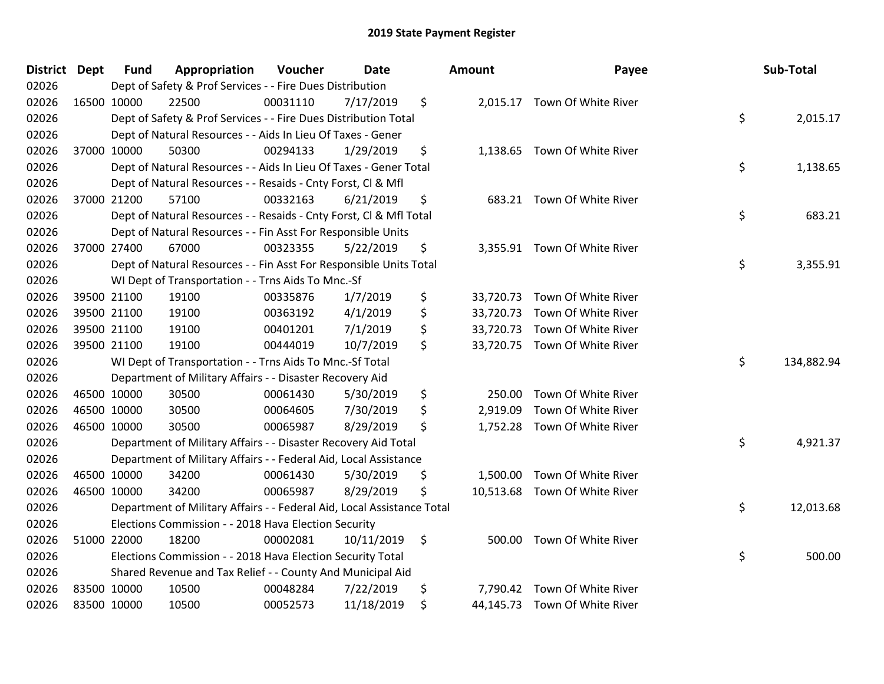| District Dept | <b>Fund</b> | Appropriation                                                          | Voucher  | Date       | Amount          | Payee                         | Sub-Total        |
|---------------|-------------|------------------------------------------------------------------------|----------|------------|-----------------|-------------------------------|------------------|
| 02026         |             | Dept of Safety & Prof Services - - Fire Dues Distribution              |          |            |                 |                               |                  |
| 02026         | 16500 10000 | 22500                                                                  | 00031110 | 7/17/2019  | \$              | 2,015.17 Town Of White River  |                  |
| 02026         |             | Dept of Safety & Prof Services - - Fire Dues Distribution Total        |          |            |                 |                               | \$<br>2,015.17   |
| 02026         |             | Dept of Natural Resources - - Aids In Lieu Of Taxes - Gener            |          |            |                 |                               |                  |
| 02026         | 37000 10000 | 50300                                                                  | 00294133 | 1/29/2019  | \$              | 1,138.65 Town Of White River  |                  |
| 02026         |             | Dept of Natural Resources - - Aids In Lieu Of Taxes - Gener Total      |          |            |                 |                               | \$<br>1,138.65   |
| 02026         |             | Dept of Natural Resources - - Resaids - Cnty Forst, Cl & Mfl           |          |            |                 |                               |                  |
| 02026         | 37000 21200 | 57100                                                                  | 00332163 | 6/21/2019  | \$              | 683.21 Town Of White River    |                  |
| 02026         |             | Dept of Natural Resources - - Resaids - Cnty Forst, Cl & Mfl Total     |          |            |                 |                               | \$<br>683.21     |
| 02026         |             | Dept of Natural Resources - - Fin Asst For Responsible Units           |          |            |                 |                               |                  |
| 02026         | 37000 27400 | 67000                                                                  | 00323355 | 5/22/2019  | \$              | 3,355.91 Town Of White River  |                  |
| 02026         |             | Dept of Natural Resources - - Fin Asst For Responsible Units Total     |          |            |                 |                               | \$<br>3,355.91   |
| 02026         |             | WI Dept of Transportation - - Trns Aids To Mnc.-Sf                     |          |            |                 |                               |                  |
| 02026         | 39500 21100 | 19100                                                                  | 00335876 | 1/7/2019   | \$              | 33,720.73 Town Of White River |                  |
| 02026         | 39500 21100 | 19100                                                                  | 00363192 | 4/1/2019   | \$<br>33,720.73 | Town Of White River           |                  |
| 02026         | 39500 21100 | 19100                                                                  | 00401201 | 7/1/2019   | \$              | 33,720.73 Town Of White River |                  |
| 02026         | 39500 21100 | 19100                                                                  | 00444019 | 10/7/2019  | \$              | 33,720.75 Town Of White River |                  |
| 02026         |             | WI Dept of Transportation - - Trns Aids To Mnc.-Sf Total               |          |            |                 |                               | \$<br>134,882.94 |
| 02026         |             | Department of Military Affairs - - Disaster Recovery Aid               |          |            |                 |                               |                  |
| 02026         | 46500 10000 | 30500                                                                  | 00061430 | 5/30/2019  | \$<br>250.00    | Town Of White River           |                  |
| 02026         | 46500 10000 | 30500                                                                  | 00064605 | 7/30/2019  | \$<br>2,919.09  | Town Of White River           |                  |
| 02026         | 46500 10000 | 30500                                                                  | 00065987 | 8/29/2019  | \$              | 1,752.28 Town Of White River  |                  |
| 02026         |             | Department of Military Affairs - - Disaster Recovery Aid Total         |          |            |                 |                               | \$<br>4,921.37   |
| 02026         |             | Department of Military Affairs - - Federal Aid, Local Assistance       |          |            |                 |                               |                  |
| 02026         | 46500 10000 | 34200                                                                  | 00061430 | 5/30/2019  | \$<br>1,500.00  | Town Of White River           |                  |
| 02026         | 46500 10000 | 34200                                                                  | 00065987 | 8/29/2019  | \$              | 10,513.68 Town Of White River |                  |
| 02026         |             | Department of Military Affairs - - Federal Aid, Local Assistance Total |          |            |                 |                               | \$<br>12,013.68  |
| 02026         |             | Elections Commission - - 2018 Hava Election Security                   |          |            |                 |                               |                  |
| 02026         | 51000 22000 | 18200                                                                  | 00002081 | 10/11/2019 | \$<br>500.00    | Town Of White River           |                  |
| 02026         |             | Elections Commission - - 2018 Hava Election Security Total             |          |            |                 |                               | \$<br>500.00     |
| 02026         |             | Shared Revenue and Tax Relief - - County And Municipal Aid             |          |            |                 |                               |                  |
| 02026         | 83500 10000 | 10500                                                                  | 00048284 | 7/22/2019  | \$<br>7,790.42  | Town Of White River           |                  |
| 02026         | 83500 10000 | 10500                                                                  | 00052573 | 11/18/2019 | \$              | 44,145.73 Town Of White River |                  |

| Payee               |                                                                                                                                                                                 | Sub-Total  |
|---------------------|---------------------------------------------------------------------------------------------------------------------------------------------------------------------------------|------------|
| Town Of White River | \$                                                                                                                                                                              | 2,015.17   |
| Town Of White River | \$                                                                                                                                                                              | 1,138.65   |
| Town Of White River | \$                                                                                                                                                                              | 683.21     |
| Town Of White River | \$                                                                                                                                                                              | 3,355.91   |
|                     |                                                                                                                                                                                 |            |
|                     |                                                                                                                                                                                 |            |
| Town Of White River |                                                                                                                                                                                 |            |
| Town Of White River |                                                                                                                                                                                 |            |
|                     | \$                                                                                                                                                                              | 134,882.94 |
|                     |                                                                                                                                                                                 |            |
| Town Of White River |                                                                                                                                                                                 |            |
| Town Of White River |                                                                                                                                                                                 |            |
|                     | \$                                                                                                                                                                              | 4,921.37   |
|                     |                                                                                                                                                                                 |            |
| Town Of White River |                                                                                                                                                                                 |            |
|                     | \$                                                                                                                                                                              | 12,013.68  |
| Town Of White River | \$                                                                                                                                                                              | 500.00     |
| Town Of White River |                                                                                                                                                                                 |            |
| Town Of White River |                                                                                                                                                                                 |            |
|                     | 33,720.73 Town Of White River<br>33,720.73 Town Of White River<br>33,720.73<br>33,720.75<br>250.00 Town Of White River<br>2,919.09<br>1,500.00 Town Of White River<br>10,513.68 |            |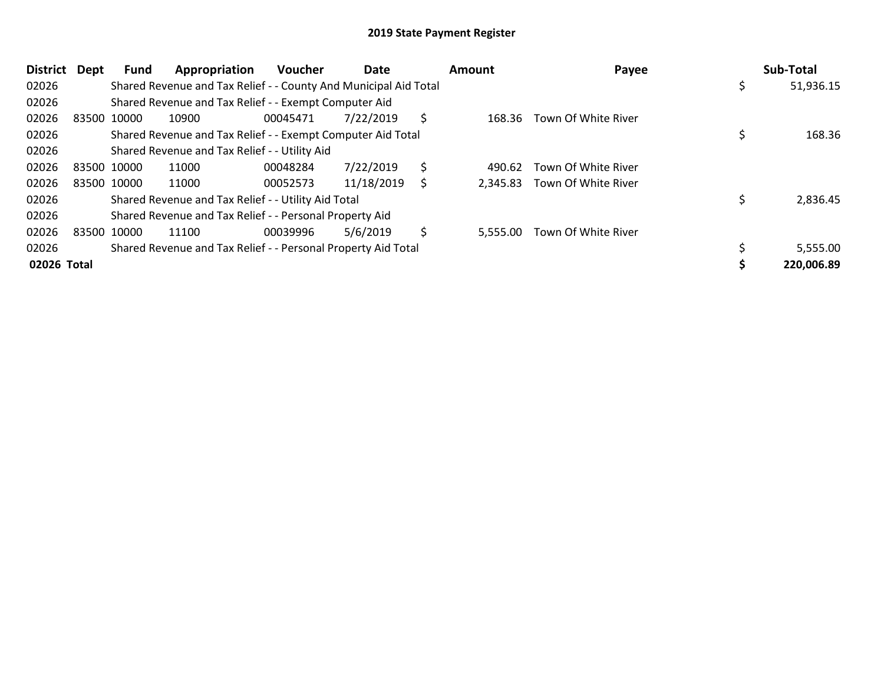| <b>District</b> | Dept        | Fund        | Appropriation                                                    | <b>Voucher</b> | Date       |     | <b>Amount</b> | Payee               | Sub-Total  |
|-----------------|-------------|-------------|------------------------------------------------------------------|----------------|------------|-----|---------------|---------------------|------------|
| 02026           |             |             | Shared Revenue and Tax Relief - - County And Municipal Aid Total |                |            |     |               |                     | 51,936.15  |
| 02026           |             |             | Shared Revenue and Tax Relief - - Exempt Computer Aid            |                |            |     |               |                     |            |
| 02026           | 83500 10000 |             | 10900                                                            | 00045471       | 7/22/2019  | \$. | 168.36        | Town Of White River |            |
| 02026           |             |             | Shared Revenue and Tax Relief - - Exempt Computer Aid Total      |                |            |     |               |                     | 168.36     |
| 02026           |             |             | Shared Revenue and Tax Relief - - Utility Aid                    |                |            |     |               |                     |            |
| 02026           | 83500 10000 |             | 11000                                                            | 00048284       | 7/22/2019  | \$  | 490.62        | Town Of White River |            |
| 02026           |             | 83500 10000 | 11000                                                            | 00052573       | 11/18/2019 | \$  | 2,345.83      | Town Of White River |            |
| 02026           |             |             | Shared Revenue and Tax Relief - - Utility Aid Total              |                |            |     |               |                     | 2,836.45   |
| 02026           |             |             | Shared Revenue and Tax Relief - - Personal Property Aid          |                |            |     |               |                     |            |
| 02026           | 83500 10000 |             | 11100                                                            | 00039996       | 5/6/2019   | \$  | 5,555.00      | Town Of White River |            |
| 02026           |             |             | Shared Revenue and Tax Relief - - Personal Property Aid Total    |                |            |     |               |                     | 5,555.00   |
| 02026 Total     |             |             |                                                                  |                |            |     |               |                     | 220,006.89 |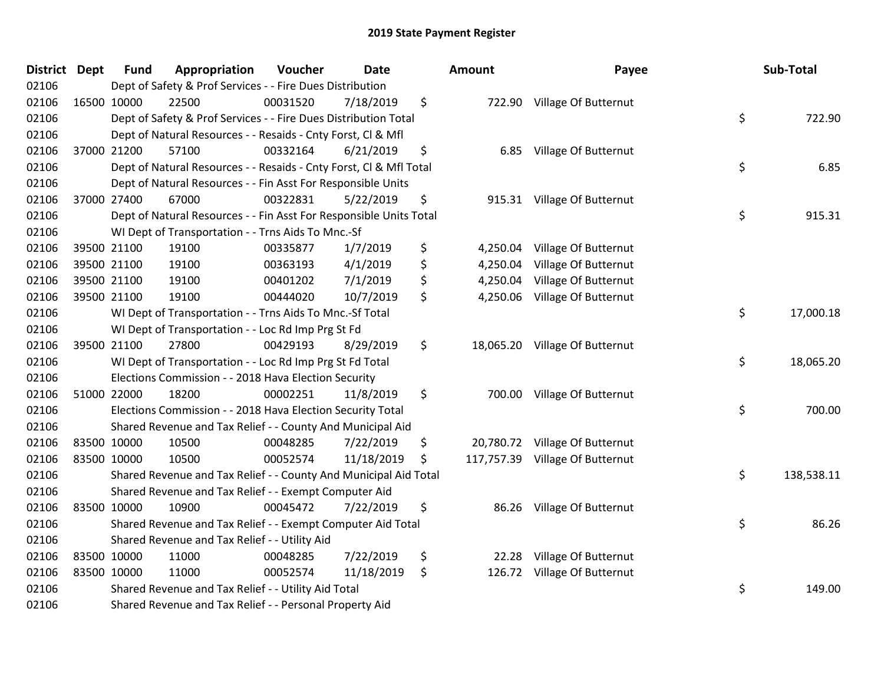| <b>District</b> | <b>Dept</b> | <b>Fund</b> | Appropriation                                                      | Voucher  | <b>Date</b> | <b>Amount</b>  | Payee                           | Sub-Total        |
|-----------------|-------------|-------------|--------------------------------------------------------------------|----------|-------------|----------------|---------------------------------|------------------|
| 02106           |             |             | Dept of Safety & Prof Services - - Fire Dues Distribution          |          |             |                |                                 |                  |
| 02106           |             | 16500 10000 | 22500                                                              | 00031520 | 7/18/2019   | \$             | 722.90 Village Of Butternut     |                  |
| 02106           |             |             | Dept of Safety & Prof Services - - Fire Dues Distribution Total    |          |             |                |                                 | \$<br>722.90     |
| 02106           |             |             | Dept of Natural Resources - - Resaids - Cnty Forst, Cl & Mfl       |          |             |                |                                 |                  |
| 02106           |             | 37000 21200 | 57100                                                              | 00332164 | 6/21/2019   | \$<br>6.85     | Village Of Butternut            |                  |
| 02106           |             |             | Dept of Natural Resources - - Resaids - Cnty Forst, CI & Mfl Total |          |             |                |                                 | \$<br>6.85       |
| 02106           |             |             | Dept of Natural Resources - - Fin Asst For Responsible Units       |          |             |                |                                 |                  |
| 02106           |             | 37000 27400 | 67000                                                              | 00322831 | 5/22/2019   | \$             | 915.31 Village Of Butternut     |                  |
| 02106           |             |             | Dept of Natural Resources - - Fin Asst For Responsible Units Total |          |             |                |                                 | \$<br>915.31     |
| 02106           |             |             | WI Dept of Transportation - - Trns Aids To Mnc.-Sf                 |          |             |                |                                 |                  |
| 02106           |             | 39500 21100 | 19100                                                              | 00335877 | 1/7/2019    | \$<br>4,250.04 | Village Of Butternut            |                  |
| 02106           |             | 39500 21100 | 19100                                                              | 00363193 | 4/1/2019    | \$<br>4,250.04 | Village Of Butternut            |                  |
| 02106           |             | 39500 21100 | 19100                                                              | 00401202 | 7/1/2019    | \$<br>4,250.04 | Village Of Butternut            |                  |
| 02106           |             | 39500 21100 | 19100                                                              | 00444020 | 10/7/2019   | \$             | 4,250.06 Village Of Butternut   |                  |
| 02106           |             |             | WI Dept of Transportation - - Trns Aids To Mnc.-Sf Total           |          |             |                |                                 | \$<br>17,000.18  |
| 02106           |             |             | WI Dept of Transportation - - Loc Rd Imp Prg St Fd                 |          |             |                |                                 |                  |
| 02106           |             | 39500 21100 | 27800                                                              | 00429193 | 8/29/2019   | \$             | 18,065.20 Village Of Butternut  |                  |
| 02106           |             |             | WI Dept of Transportation - - Loc Rd Imp Prg St Fd Total           |          |             |                |                                 | \$<br>18,065.20  |
| 02106           |             |             | Elections Commission - - 2018 Hava Election Security               |          |             |                |                                 |                  |
| 02106           |             | 51000 22000 | 18200                                                              | 00002251 | 11/8/2019   | \$<br>700.00   | Village Of Butternut            |                  |
| 02106           |             |             | Elections Commission - - 2018 Hava Election Security Total         |          |             |                |                                 | \$<br>700.00     |
| 02106           |             |             | Shared Revenue and Tax Relief - - County And Municipal Aid         |          |             |                |                                 |                  |
| 02106           |             | 83500 10000 | 10500                                                              | 00048285 | 7/22/2019   | \$             | 20,780.72 Village Of Butternut  |                  |
| 02106           |             | 83500 10000 | 10500                                                              | 00052574 | 11/18/2019  | \$             | 117,757.39 Village Of Butternut |                  |
| 02106           |             |             | Shared Revenue and Tax Relief - - County And Municipal Aid Total   |          |             |                |                                 | \$<br>138,538.11 |
| 02106           |             |             | Shared Revenue and Tax Relief - - Exempt Computer Aid              |          |             |                |                                 |                  |
| 02106           |             | 83500 10000 | 10900                                                              | 00045472 | 7/22/2019   | \$<br>86.26    | Village Of Butternut            |                  |
| 02106           |             |             | Shared Revenue and Tax Relief - - Exempt Computer Aid Total        |          |             |                |                                 | \$<br>86.26      |
| 02106           |             |             | Shared Revenue and Tax Relief - - Utility Aid                      |          |             |                |                                 |                  |
| 02106           |             | 83500 10000 | 11000                                                              | 00048285 | 7/22/2019   | \$<br>22.28    | Village Of Butternut            |                  |
| 02106           |             | 83500 10000 | 11000                                                              | 00052574 | 11/18/2019  | \$<br>126.72   | Village Of Butternut            |                  |
| 02106           |             |             | Shared Revenue and Tax Relief - - Utility Aid Total                |          |             |                |                                 | \$<br>149.00     |
| 02106           |             |             | Shared Revenue and Tax Relief - - Personal Property Aid            |          |             |                |                                 |                  |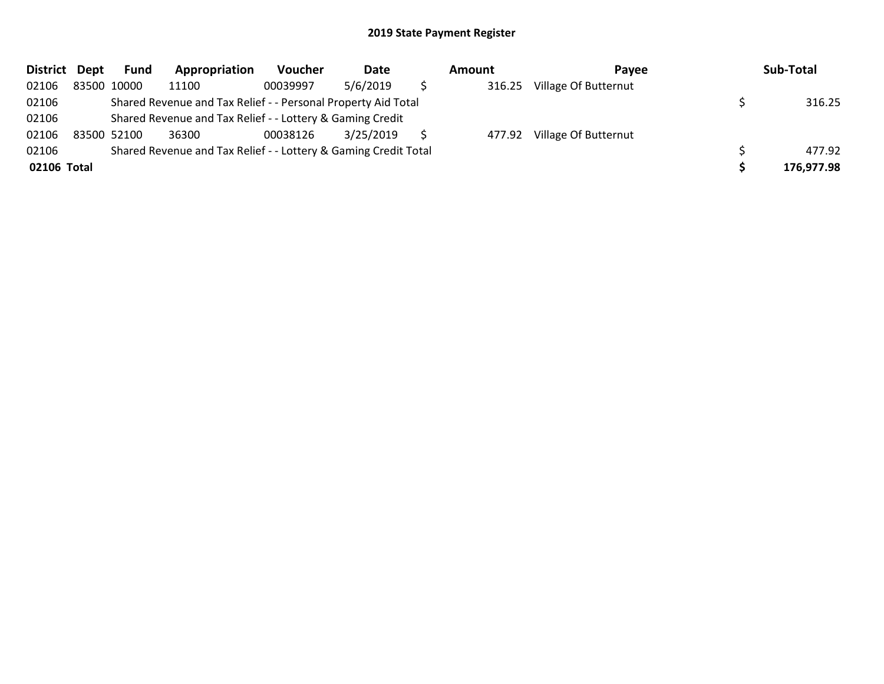| <b>District</b> | Dept        | Fund | Appropriation                                                   | <b>Voucher</b> | Date      | Pavee<br>Amount |                             | Sub-Total |            |
|-----------------|-------------|------|-----------------------------------------------------------------|----------------|-----------|-----------------|-----------------------------|-----------|------------|
| 02106           | 83500 10000 |      | 11100                                                           | 00039997       | 5/6/2019  | 316.25          | Village Of Butternut        |           |            |
| 02106           |             |      | Shared Revenue and Tax Relief - - Personal Property Aid Total   |                |           |                 |                             |           | 316.25     |
| 02106           |             |      | Shared Revenue and Tax Relief - - Lottery & Gaming Credit       |                |           |                 |                             |           |            |
| 02106           | 83500 52100 |      | 36300                                                           | 00038126       | 3/25/2019 |                 | 477.92 Village Of Butternut |           |            |
| 02106           |             |      | Shared Revenue and Tax Relief - - Lottery & Gaming Credit Total |                |           |                 |                             |           | 477.92     |
| 02106 Total     |             |      |                                                                 |                |           |                 |                             |           | 176,977.98 |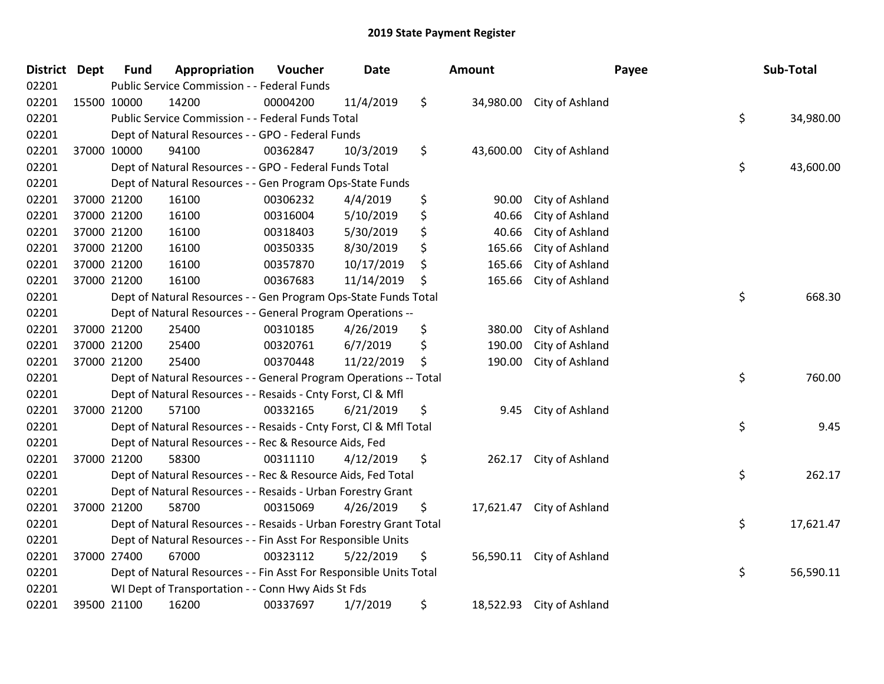| District Dept | <b>Fund</b> | Appropriation                                                      | Voucher  | <b>Date</b> | <b>Amount</b>   |                           | Payee | Sub-Total |
|---------------|-------------|--------------------------------------------------------------------|----------|-------------|-----------------|---------------------------|-------|-----------|
| 02201         |             | Public Service Commission - - Federal Funds                        |          |             |                 |                           |       |           |
| 02201         | 15500 10000 | 14200                                                              | 00004200 | 11/4/2019   | \$              | 34,980.00 City of Ashland |       |           |
| 02201         |             | Public Service Commission - - Federal Funds Total                  |          |             |                 |                           | \$    | 34,980.00 |
| 02201         |             | Dept of Natural Resources - - GPO - Federal Funds                  |          |             |                 |                           |       |           |
| 02201         | 37000 10000 | 94100                                                              | 00362847 | 10/3/2019   | \$<br>43,600.00 | City of Ashland           |       |           |
| 02201         |             | Dept of Natural Resources - - GPO - Federal Funds Total            |          |             |                 |                           | \$    | 43,600.00 |
| 02201         |             | Dept of Natural Resources - - Gen Program Ops-State Funds          |          |             |                 |                           |       |           |
| 02201         | 37000 21200 | 16100                                                              | 00306232 | 4/4/2019    | \$<br>90.00     | City of Ashland           |       |           |
| 02201         | 37000 21200 | 16100                                                              | 00316004 | 5/10/2019   | \$<br>40.66     | City of Ashland           |       |           |
| 02201         | 37000 21200 | 16100                                                              | 00318403 | 5/30/2019   | \$<br>40.66     | City of Ashland           |       |           |
| 02201         | 37000 21200 | 16100                                                              | 00350335 | 8/30/2019   | \$<br>165.66    | City of Ashland           |       |           |
| 02201         | 37000 21200 | 16100                                                              | 00357870 | 10/17/2019  | \$<br>165.66    | City of Ashland           |       |           |
| 02201         | 37000 21200 | 16100                                                              | 00367683 | 11/14/2019  | \$<br>165.66    | City of Ashland           |       |           |
| 02201         |             | Dept of Natural Resources - - Gen Program Ops-State Funds Total    | \$       | 668.30      |                 |                           |       |           |
| 02201         |             | Dept of Natural Resources - - General Program Operations --        |          |             |                 |                           |       |           |
| 02201         | 37000 21200 | 25400                                                              | 00310185 | 4/26/2019   | \$<br>380.00    | City of Ashland           |       |           |
| 02201         | 37000 21200 | 25400                                                              | 00320761 | 6/7/2019    | \$<br>190.00    | City of Ashland           |       |           |
| 02201         | 37000 21200 | 25400                                                              | 00370448 | 11/22/2019  | \$<br>190.00    | City of Ashland           |       |           |
| 02201         |             | Dept of Natural Resources - - General Program Operations -- Total  |          |             |                 |                           | \$    | 760.00    |
| 02201         |             | Dept of Natural Resources - - Resaids - Cnty Forst, Cl & Mfl       |          |             |                 |                           |       |           |
| 02201         | 37000 21200 | 57100                                                              | 00332165 | 6/21/2019   | \$<br>9.45      | City of Ashland           |       |           |
| 02201         |             | Dept of Natural Resources - - Resaids - Cnty Forst, Cl & Mfl Total |          |             |                 |                           | \$    | 9.45      |
| 02201         |             | Dept of Natural Resources - - Rec & Resource Aids, Fed             |          |             |                 |                           |       |           |
| 02201         | 37000 21200 | 58300                                                              | 00311110 | 4/12/2019   | \$<br>262.17    | City of Ashland           |       |           |
| 02201         |             | Dept of Natural Resources - - Rec & Resource Aids, Fed Total       |          |             |                 |                           | \$    | 262.17    |
| 02201         |             | Dept of Natural Resources - - Resaids - Urban Forestry Grant       |          |             |                 |                           |       |           |
| 02201         | 37000 21200 | 58700                                                              | 00315069 | 4/26/2019   | \$              | 17,621.47 City of Ashland |       |           |
| 02201         |             | Dept of Natural Resources - - Resaids - Urban Forestry Grant Total |          |             |                 |                           | \$    | 17,621.47 |
| 02201         |             | Dept of Natural Resources - - Fin Asst For Responsible Units       |          |             |                 |                           |       |           |
| 02201         | 37000 27400 | 67000                                                              | 00323112 | 5/22/2019   | \$              | 56,590.11 City of Ashland |       |           |
| 02201         |             | Dept of Natural Resources - - Fin Asst For Responsible Units Total |          |             |                 |                           | \$    | 56,590.11 |
| 02201         |             | WI Dept of Transportation - - Conn Hwy Aids St Fds                 |          |             |                 |                           |       |           |
| 02201         | 39500 21100 | 16200                                                              | 00337697 | 1/7/2019    | \$              | 18,522.93 City of Ashland |       |           |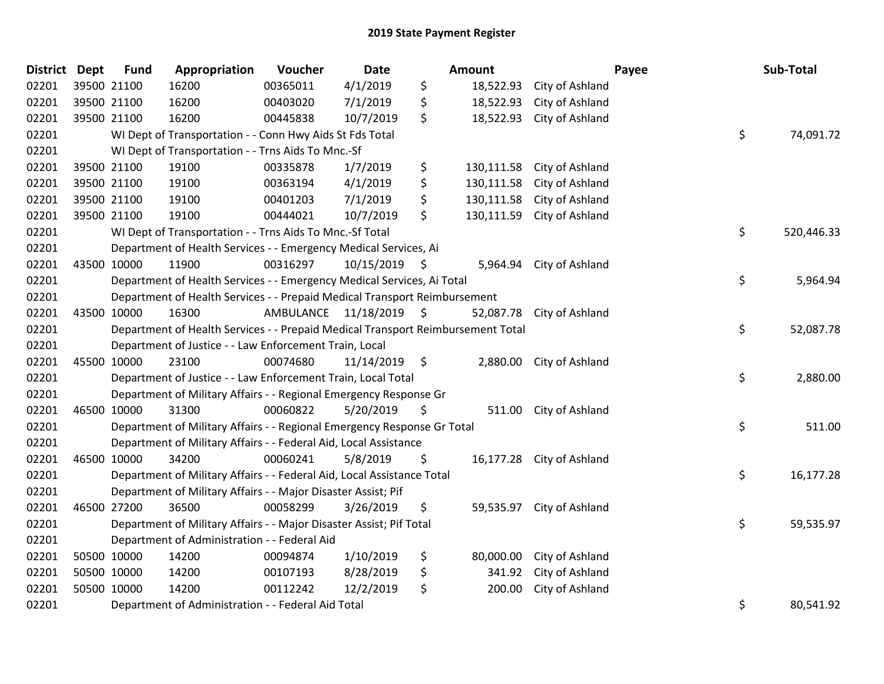| <b>District Dept</b> |             | <b>Fund</b> | Appropriation                                                                   | Voucher   | <b>Date</b>     |    | Amount     |                           | Payee | Sub-Total  |  |  |
|----------------------|-------------|-------------|---------------------------------------------------------------------------------|-----------|-----------------|----|------------|---------------------------|-------|------------|--|--|
| 02201                | 39500 21100 |             | 16200                                                                           | 00365011  | 4/1/2019        | \$ | 18,522.93  | City of Ashland           |       |            |  |  |
| 02201                | 39500 21100 |             | 16200                                                                           | 00403020  | 7/1/2019        | \$ | 18,522.93  | City of Ashland           |       |            |  |  |
| 02201                | 39500 21100 |             | 16200                                                                           | 00445838  | 10/7/2019       | \$ | 18,522.93  | City of Ashland           |       |            |  |  |
| 02201                |             |             | WI Dept of Transportation - - Conn Hwy Aids St Fds Total                        |           |                 |    |            |                           | \$    | 74,091.72  |  |  |
| 02201                |             |             | WI Dept of Transportation - - Trns Aids To Mnc.-Sf                              |           |                 |    |            |                           |       |            |  |  |
| 02201                |             | 39500 21100 | 19100                                                                           | 00335878  | 1/7/2019        | \$ | 130,111.58 | City of Ashland           |       |            |  |  |
| 02201                |             | 39500 21100 | 19100                                                                           | 00363194  | 4/1/2019        | \$ | 130,111.58 | City of Ashland           |       |            |  |  |
| 02201                | 39500 21100 |             | 19100                                                                           | 00401203  | 7/1/2019        | \$ | 130,111.58 | City of Ashland           |       |            |  |  |
| 02201                | 39500 21100 |             | 19100                                                                           | 00444021  | 10/7/2019       | \$ | 130,111.59 | City of Ashland           |       |            |  |  |
| 02201                |             |             | WI Dept of Transportation - - Trns Aids To Mnc.-Sf Total                        |           |                 |    |            |                           | \$    | 520,446.33 |  |  |
| 02201                |             |             | Department of Health Services - - Emergency Medical Services, Ai                |           |                 |    |            |                           |       |            |  |  |
| 02201                |             | 43500 10000 | 11900                                                                           | 00316297  | $10/15/2019$ \$ |    |            | 5,964.94 City of Ashland  |       |            |  |  |
| 02201                |             |             | Department of Health Services - - Emergency Medical Services, Ai Total          |           |                 |    |            |                           | \$    | 5,964.94   |  |  |
| 02201                |             |             | Department of Health Services - - Prepaid Medical Transport Reimbursement       |           |                 |    |            |                           |       |            |  |  |
| 02201                | 43500 10000 |             | 16300                                                                           | AMBULANCE | 11/18/2019 \$   |    | 52,087.78  | City of Ashland           |       |            |  |  |
| 02201                |             |             | Department of Health Services - - Prepaid Medical Transport Reimbursement Total |           |                 |    |            |                           | \$    | 52,087.78  |  |  |
| 02201                |             |             | Department of Justice - - Law Enforcement Train, Local                          |           |                 |    |            |                           |       |            |  |  |
| 02201                | 45500 10000 |             | 23100                                                                           | 00074680  | $11/14/2019$ \$ |    |            | 2,880.00 City of Ashland  |       |            |  |  |
| 02201                |             |             | Department of Justice - - Law Enforcement Train, Local Total                    |           |                 |    |            |                           | \$    | 2,880.00   |  |  |
| 02201                |             |             | Department of Military Affairs - - Regional Emergency Response Gr               |           |                 |    |            |                           |       |            |  |  |
| 02201                | 46500 10000 |             | 31300                                                                           | 00060822  | 5/20/2019       | \$ |            | 511.00 City of Ashland    |       |            |  |  |
| 02201                |             |             | Department of Military Affairs - - Regional Emergency Response Gr Total         |           |                 |    |            |                           | \$    | 511.00     |  |  |
| 02201                |             |             | Department of Military Affairs - - Federal Aid, Local Assistance                |           |                 |    |            |                           |       |            |  |  |
| 02201                | 46500 10000 |             | 34200                                                                           | 00060241  | 5/8/2019        | \$ |            | 16,177.28 City of Ashland |       |            |  |  |
| 02201                |             |             | Department of Military Affairs - - Federal Aid, Local Assistance Total          |           |                 |    |            |                           | \$    | 16,177.28  |  |  |
| 02201                |             |             | Department of Military Affairs - - Major Disaster Assist; Pif                   |           |                 |    |            |                           |       |            |  |  |
| 02201                | 46500 27200 |             | 36500                                                                           | 00058299  | 3/26/2019       | \$ |            | 59,535.97 City of Ashland |       |            |  |  |
| 02201                |             |             | Department of Military Affairs - - Major Disaster Assist; Pif Total             |           |                 |    |            |                           | \$    | 59,535.97  |  |  |
| 02201                |             |             | Department of Administration - - Federal Aid                                    |           |                 |    |            |                           |       |            |  |  |
| 02201                | 50500 10000 |             | 14200                                                                           | 00094874  | 1/10/2019       | \$ | 80,000.00  | City of Ashland           |       |            |  |  |
| 02201                |             | 50500 10000 | 14200                                                                           | 00107193  | 8/28/2019       | \$ | 341.92     | City of Ashland           |       |            |  |  |
| 02201                | 50500 10000 |             | 14200                                                                           | 00112242  | 12/2/2019       | \$ | 200.00     | City of Ashland           |       |            |  |  |
| 02201                |             |             | Department of Administration - - Federal Aid Total                              |           |                 |    |            |                           | \$    | 80,541.92  |  |  |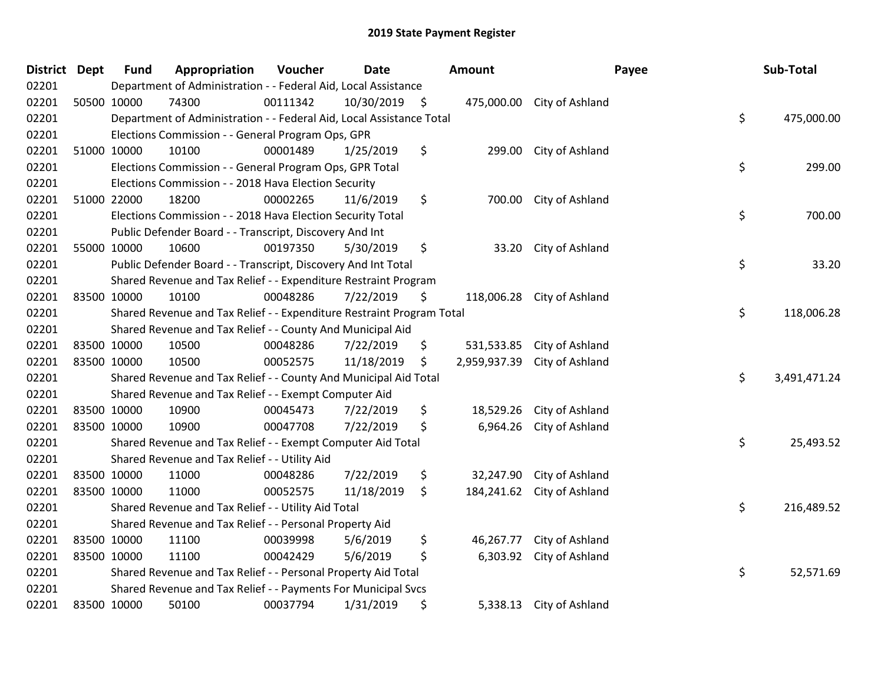| District Dept |             | <b>Fund</b> | Appropriation                                                         | Voucher  | <b>Date</b>   |    | <b>Amount</b> |                            | Payee | Sub-Total    |  |  |
|---------------|-------------|-------------|-----------------------------------------------------------------------|----------|---------------|----|---------------|----------------------------|-------|--------------|--|--|
| 02201         |             |             | Department of Administration - - Federal Aid, Local Assistance        |          |               |    |               |                            |       |              |  |  |
| 02201         |             | 50500 10000 | 74300                                                                 | 00111342 | 10/30/2019 \$ |    |               | 475,000.00 City of Ashland |       |              |  |  |
| 02201         |             |             | Department of Administration - - Federal Aid, Local Assistance Total  |          |               |    |               |                            | \$    | 475,000.00   |  |  |
| 02201         |             |             | Elections Commission - - General Program Ops, GPR                     |          |               |    |               |                            |       |              |  |  |
| 02201         |             | 51000 10000 | 10100                                                                 | 00001489 | 1/25/2019     | \$ | 299.00        | City of Ashland            |       |              |  |  |
| 02201         |             |             | Elections Commission - - General Program Ops, GPR Total               |          |               |    |               |                            | \$    | 299.00       |  |  |
| 02201         |             |             | Elections Commission - - 2018 Hava Election Security                  |          |               |    |               |                            |       |              |  |  |
| 02201         |             | 51000 22000 | 18200                                                                 | 00002265 | 11/6/2019     | \$ | 700.00        | City of Ashland            |       |              |  |  |
| 02201         |             |             | Elections Commission - - 2018 Hava Election Security Total            |          |               |    |               |                            | \$    | 700.00       |  |  |
| 02201         |             |             | Public Defender Board - - Transcript, Discovery And Int               |          |               |    |               |                            |       |              |  |  |
| 02201         |             | 55000 10000 | 10600                                                                 | 00197350 | 5/30/2019     | \$ | 33.20         | City of Ashland            |       |              |  |  |
| 02201         |             |             | Public Defender Board - - Transcript, Discovery And Int Total         |          |               |    |               |                            | \$    | 33.20        |  |  |
| 02201         |             |             | Shared Revenue and Tax Relief - - Expenditure Restraint Program       |          |               |    |               |                            |       |              |  |  |
| 02201         | 83500 10000 |             | 10100                                                                 | 00048286 | 7/22/2019     | \$ | 118,006.28    | City of Ashland            |       |              |  |  |
| 02201         |             |             | Shared Revenue and Tax Relief - - Expenditure Restraint Program Total |          |               |    |               |                            | \$    | 118,006.28   |  |  |
| 02201         |             |             | Shared Revenue and Tax Relief - - County And Municipal Aid            |          |               |    |               |                            |       |              |  |  |
| 02201         | 83500 10000 |             | 10500                                                                 | 00048286 | 7/22/2019     | \$ | 531,533.85    | City of Ashland            |       |              |  |  |
| 02201         | 83500 10000 |             | 10500                                                                 | 00052575 | 11/18/2019    | \$ | 2,959,937.39  | City of Ashland            |       |              |  |  |
| 02201         |             |             | Shared Revenue and Tax Relief - - County And Municipal Aid Total      |          |               |    |               |                            | \$    | 3,491,471.24 |  |  |
| 02201         |             |             | Shared Revenue and Tax Relief - - Exempt Computer Aid                 |          |               |    |               |                            |       |              |  |  |
| 02201         | 83500 10000 |             | 10900                                                                 | 00045473 | 7/22/2019     | \$ | 18,529.26     | City of Ashland            |       |              |  |  |
| 02201         | 83500 10000 |             | 10900                                                                 | 00047708 | 7/22/2019     | \$ | 6,964.26      | City of Ashland            |       |              |  |  |
| 02201         |             |             | Shared Revenue and Tax Relief - - Exempt Computer Aid Total           |          |               |    |               |                            | \$    | 25,493.52    |  |  |
| 02201         |             |             | Shared Revenue and Tax Relief - - Utility Aid                         |          |               |    |               |                            |       |              |  |  |
| 02201         | 83500 10000 |             | 11000                                                                 | 00048286 | 7/22/2019     | \$ | 32,247.90     | City of Ashland            |       |              |  |  |
| 02201         |             | 83500 10000 | 11000                                                                 | 00052575 | 11/18/2019    | \$ | 184,241.62    | City of Ashland            |       |              |  |  |
| 02201         |             |             | Shared Revenue and Tax Relief - - Utility Aid Total                   |          |               |    |               |                            | \$    | 216,489.52   |  |  |
| 02201         |             |             | Shared Revenue and Tax Relief - - Personal Property Aid               |          |               |    |               |                            |       |              |  |  |
| 02201         | 83500 10000 |             | 11100                                                                 | 00039998 | 5/6/2019      | \$ | 46,267.77     | City of Ashland            |       |              |  |  |
| 02201         | 83500 10000 |             | 11100                                                                 | 00042429 | 5/6/2019      | \$ | 6,303.92      | City of Ashland            |       |              |  |  |
| 02201         |             |             | Shared Revenue and Tax Relief - - Personal Property Aid Total         |          |               |    |               |                            | \$    | 52,571.69    |  |  |
| 02201         |             |             | Shared Revenue and Tax Relief - - Payments For Municipal Svcs         |          |               |    |               |                            |       |              |  |  |
| 02201         |             | 83500 10000 | 50100                                                                 | 00037794 | 1/31/2019     | \$ | 5,338.13      | City of Ashland            |       |              |  |  |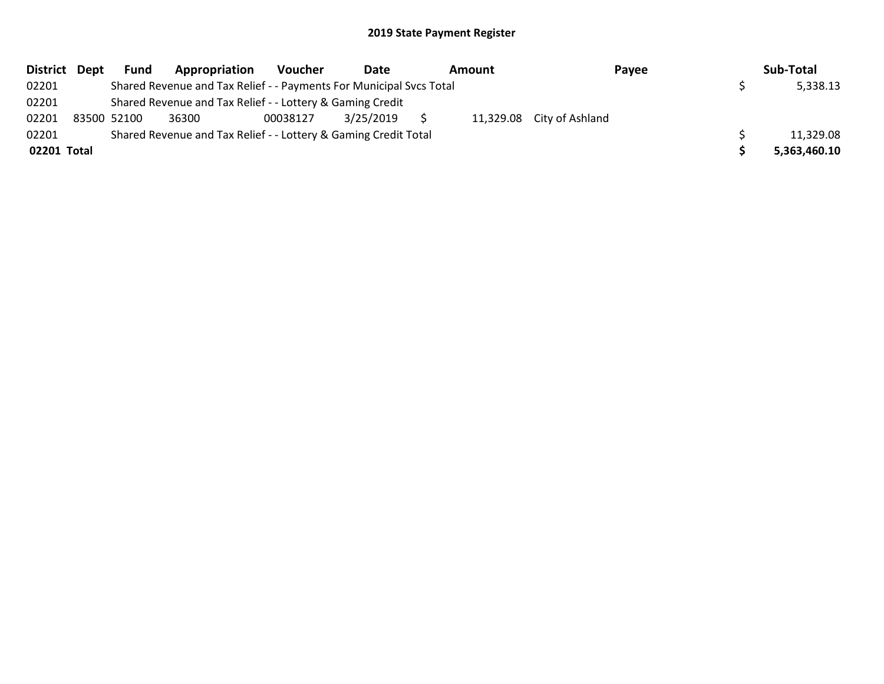|             | District Dept | Fund                                                            | Appropriation                                                       | Voucher   | Date      | Amount |  | Payee                     |  | Sub-Total    |  |
|-------------|---------------|-----------------------------------------------------------------|---------------------------------------------------------------------|-----------|-----------|--------|--|---------------------------|--|--------------|--|
| 02201       |               |                                                                 | Shared Revenue and Tax Relief - - Payments For Municipal Svcs Total |           |           |        |  |                           |  | 5,338.13     |  |
| 02201       |               |                                                                 | Shared Revenue and Tax Relief - - Lottery & Gaming Credit           |           |           |        |  |                           |  |              |  |
| 02201       |               | 83500 52100                                                     | 36300                                                               | 00038127  | 3/25/2019 |        |  | 11,329.08 City of Ashland |  |              |  |
| 02201       |               | Shared Revenue and Tax Relief - - Lottery & Gaming Credit Total |                                                                     | 11,329.08 |           |        |  |                           |  |              |  |
| 02201 Total |               |                                                                 |                                                                     |           |           |        |  |                           |  | 5,363,460.10 |  |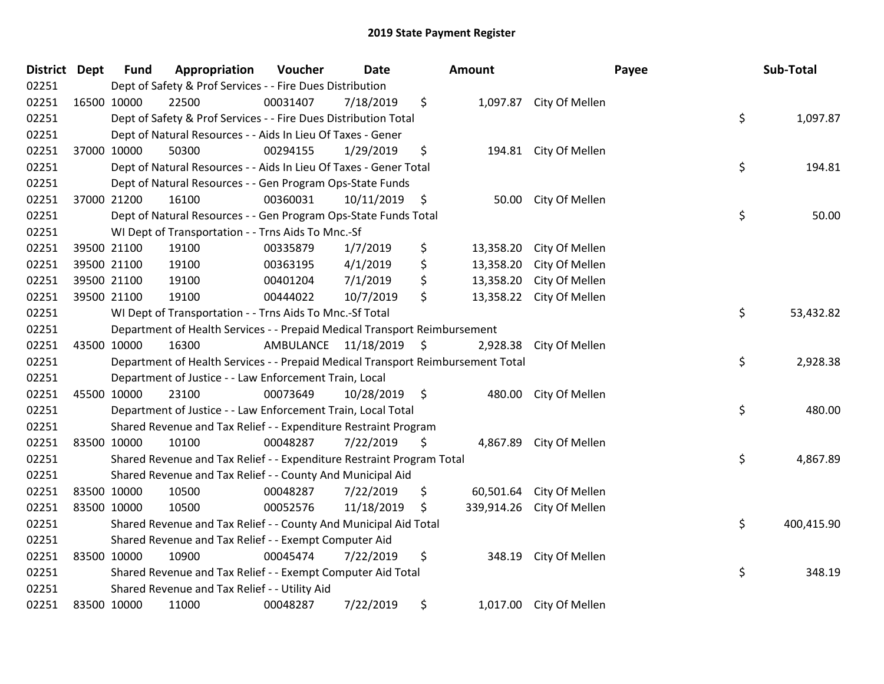| District Dept |             | <b>Fund</b> | Appropriation                                                                   | Voucher                 | <b>Date</b> | Amount           |                         | Payee | Sub-Total  |
|---------------|-------------|-------------|---------------------------------------------------------------------------------|-------------------------|-------------|------------------|-------------------------|-------|------------|
| 02251         |             |             | Dept of Safety & Prof Services - - Fire Dues Distribution                       |                         |             |                  |                         |       |            |
| 02251         | 16500 10000 |             | 22500                                                                           | 00031407                | 7/18/2019   | \$               | 1,097.87 City Of Mellen |       |            |
| 02251         |             |             | Dept of Safety & Prof Services - - Fire Dues Distribution Total                 |                         |             |                  |                         | \$    | 1,097.87   |
| 02251         |             |             | Dept of Natural Resources - - Aids In Lieu Of Taxes - Gener                     |                         |             |                  |                         |       |            |
| 02251         |             | 37000 10000 | 50300                                                                           | 00294155                | 1/29/2019   | \$               | 194.81 City Of Mellen   |       |            |
| 02251         |             |             | Dept of Natural Resources - - Aids In Lieu Of Taxes - Gener Total               |                         |             |                  |                         | \$    | 194.81     |
| 02251         |             |             | Dept of Natural Resources - - Gen Program Ops-State Funds                       |                         |             |                  |                         |       |            |
| 02251         |             | 37000 21200 | 16100                                                                           | 00360031                | 10/11/2019  | \$<br>50.00      | City Of Mellen          |       |            |
| 02251         |             |             | Dept of Natural Resources - - Gen Program Ops-State Funds Total                 |                         |             |                  |                         | \$    | 50.00      |
| 02251         |             |             | WI Dept of Transportation - - Trns Aids To Mnc.-Sf                              |                         |             |                  |                         |       |            |
| 02251         |             | 39500 21100 | 19100                                                                           | 00335879                | 1/7/2019    | \$<br>13,358.20  | City Of Mellen          |       |            |
| 02251         |             | 39500 21100 | 19100                                                                           | 00363195                | 4/1/2019    | \$<br>13,358.20  | City Of Mellen          |       |            |
| 02251         |             | 39500 21100 | 19100                                                                           | 00401204                | 7/1/2019    | \$<br>13,358.20  | City Of Mellen          |       |            |
| 02251         |             | 39500 21100 | 19100                                                                           | 00444022                | 10/7/2019   | \$<br>13,358.22  | City Of Mellen          |       |            |
| 02251         |             |             | WI Dept of Transportation - - Trns Aids To Mnc.-Sf Total                        |                         |             |                  |                         | \$    | 53,432.82  |
| 02251         |             |             | Department of Health Services - - Prepaid Medical Transport Reimbursement       |                         |             |                  |                         |       |            |
| 02251         | 43500 10000 |             | 16300                                                                           | AMBULANCE 11/18/2019 \$ |             | 2,928.38         | City Of Mellen          |       |            |
| 02251         |             |             | Department of Health Services - - Prepaid Medical Transport Reimbursement Total |                         |             |                  |                         | \$    | 2,928.38   |
| 02251         |             |             | Department of Justice - - Law Enforcement Train, Local                          |                         |             |                  |                         |       |            |
| 02251         | 45500 10000 |             | 23100                                                                           | 00073649                | 10/28/2019  | \$<br>480.00     | City Of Mellen          |       |            |
| 02251         |             |             | Department of Justice - - Law Enforcement Train, Local Total                    |                         |             |                  |                         | \$    | 480.00     |
| 02251         |             |             | Shared Revenue and Tax Relief - - Expenditure Restraint Program                 |                         |             |                  |                         |       |            |
| 02251         |             | 83500 10000 | 10100                                                                           | 00048287                | 7/22/2019   | \$<br>4,867.89   | City Of Mellen          |       |            |
| 02251         |             |             | Shared Revenue and Tax Relief - - Expenditure Restraint Program Total           |                         |             |                  |                         | \$    | 4,867.89   |
| 02251         |             |             | Shared Revenue and Tax Relief - - County And Municipal Aid                      |                         |             |                  |                         |       |            |
| 02251         |             | 83500 10000 | 10500                                                                           | 00048287                | 7/22/2019   | \$<br>60,501.64  | City Of Mellen          |       |            |
| 02251         | 83500 10000 |             | 10500                                                                           | 00052576                | 11/18/2019  | \$<br>339,914.26 | City Of Mellen          |       |            |
| 02251         |             |             | Shared Revenue and Tax Relief - - County And Municipal Aid Total                |                         |             |                  |                         | \$    | 400,415.90 |
| 02251         |             |             | Shared Revenue and Tax Relief - - Exempt Computer Aid                           |                         |             |                  |                         |       |            |
| 02251         | 83500 10000 |             | 10900                                                                           | 00045474                | 7/22/2019   | \$<br>348.19     | City Of Mellen          |       |            |
| 02251         |             |             | Shared Revenue and Tax Relief - - Exempt Computer Aid Total                     |                         |             |                  |                         | \$    | 348.19     |
| 02251         |             |             | Shared Revenue and Tax Relief - - Utility Aid                                   |                         |             |                  |                         |       |            |
| 02251         |             | 83500 10000 | 11000                                                                           | 00048287                | 7/22/2019   | \$               | 1,017.00 City Of Mellen |       |            |